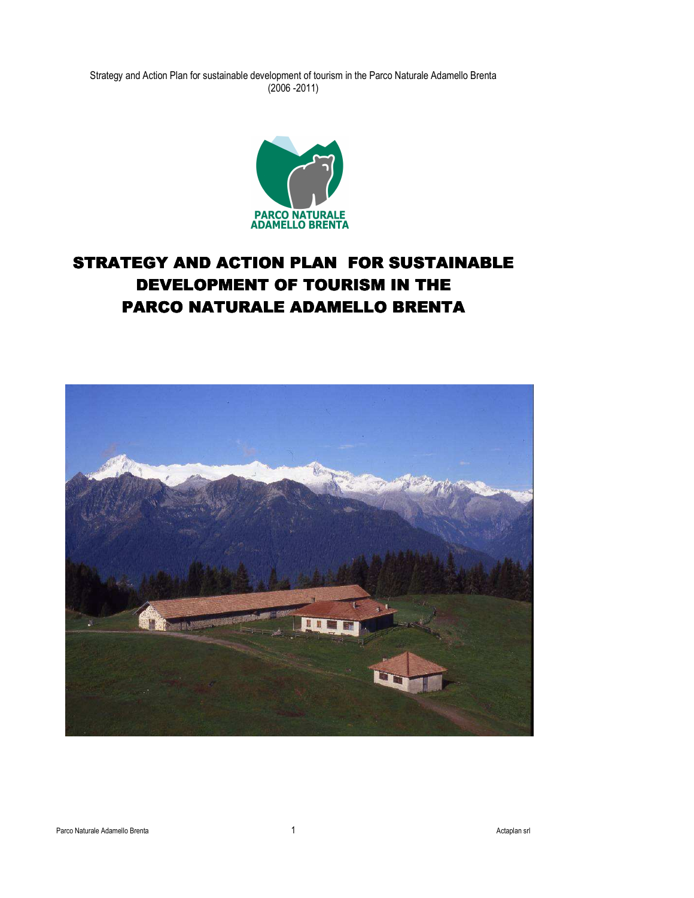

# STRATEGY AND ACTION PLAN FOR SUSTAINABLE DEVELOPMENT OF TOURISM IN THE PARCO NATURALE ADAMELLO BRENTA

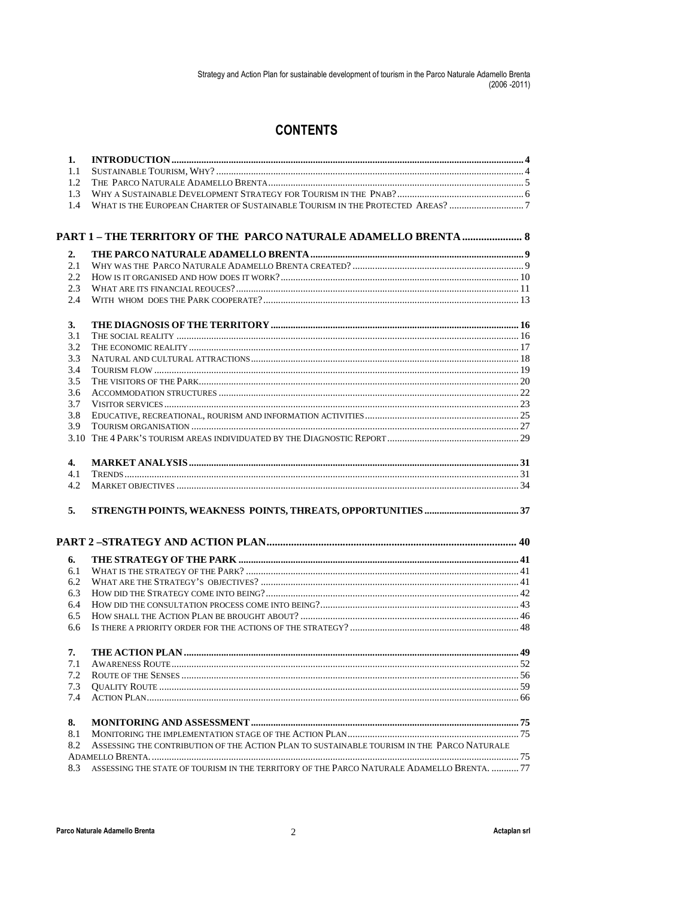# **CONTENTS**

| 1.  |                                                                                            |            |
|-----|--------------------------------------------------------------------------------------------|------------|
| 1.1 |                                                                                            |            |
| 1.2 |                                                                                            |            |
| 1.3 |                                                                                            |            |
| 1.4 | WHAT IS THE EUROPEAN CHARTER OF SUSTAINABLE TOURISM IN THE PROTECTED AREAS? 7              |            |
|     |                                                                                            |            |
|     | PART 1 - THE TERRITORY OF THE PARCO NATURALE ADAMELLO BRENTA  8                            |            |
| 2.  |                                                                                            |            |
| 2.1 |                                                                                            |            |
| 2.2 |                                                                                            |            |
| 2.3 |                                                                                            |            |
| 2.4 |                                                                                            |            |
| 3.  |                                                                                            |            |
| 3.1 |                                                                                            |            |
| 3.2 |                                                                                            |            |
| 3.3 |                                                                                            |            |
| 3.4 |                                                                                            |            |
| 3.5 |                                                                                            |            |
| 3.6 |                                                                                            |            |
| 3.7 |                                                                                            |            |
| 3.8 |                                                                                            |            |
| 3.9 |                                                                                            |            |
|     |                                                                                            |            |
| 4.  |                                                                                            |            |
| 4.1 |                                                                                            |            |
| 4.2 |                                                                                            |            |
| 5.  |                                                                                            |            |
|     |                                                                                            |            |
|     |                                                                                            |            |
| 6.  |                                                                                            |            |
| 6.1 |                                                                                            |            |
| 6.2 |                                                                                            |            |
| 6.3 |                                                                                            |            |
| 6.4 |                                                                                            |            |
| 6.5 |                                                                                            |            |
| 6.6 |                                                                                            |            |
| 7.  |                                                                                            |            |
| 7.1 |                                                                                            | $\dots 52$ |
| 7.2 |                                                                                            |            |
| 7.3 |                                                                                            |            |
| 7.4 |                                                                                            |            |
| 8.  |                                                                                            |            |
| 8.1 |                                                                                            |            |
| 8.2 | ASSESSING THE CONTRIBUTION OF THE ACTION PLAN TO SUSTAINABLE TOURISM IN THE PARCO NATURALE |            |
|     |                                                                                            |            |
| 8.3 | ASSESSING THE STATE OF TOURISM IN THE TERRITORY OF THE PARCO NATURALE ADAMELLO BRENTA.  77 |            |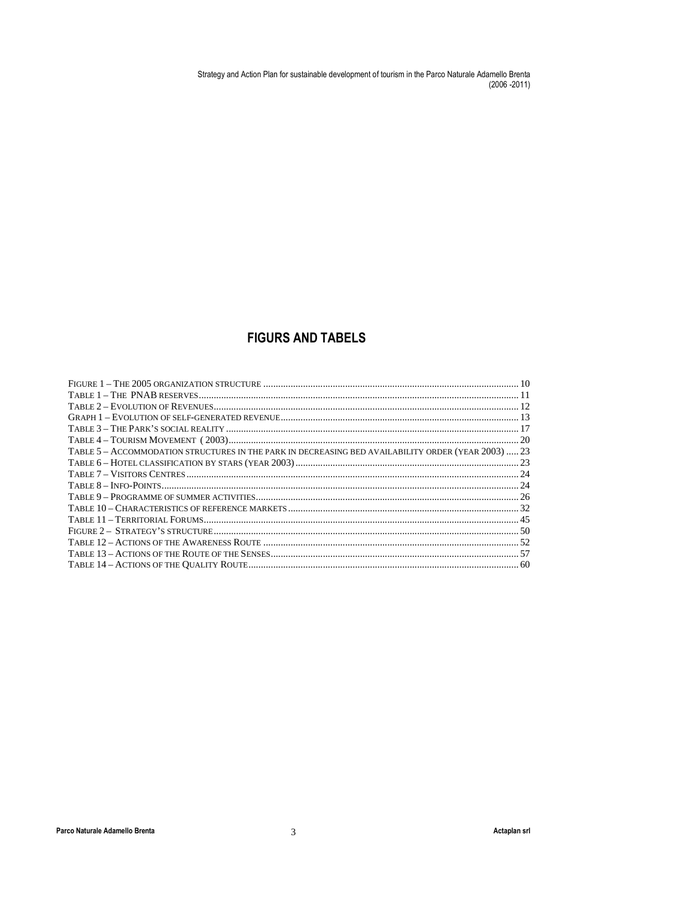# **FIGURS AND TABELS**

| TABLE 5 - ACCOMMODATION STRUCTURES IN THE PARK IN DECREASING BED AVAILABILITY ORDER (YEAR 2003)  23 |
|-----------------------------------------------------------------------------------------------------|
|                                                                                                     |
|                                                                                                     |
|                                                                                                     |
|                                                                                                     |
|                                                                                                     |
|                                                                                                     |
|                                                                                                     |
|                                                                                                     |
|                                                                                                     |
|                                                                                                     |
|                                                                                                     |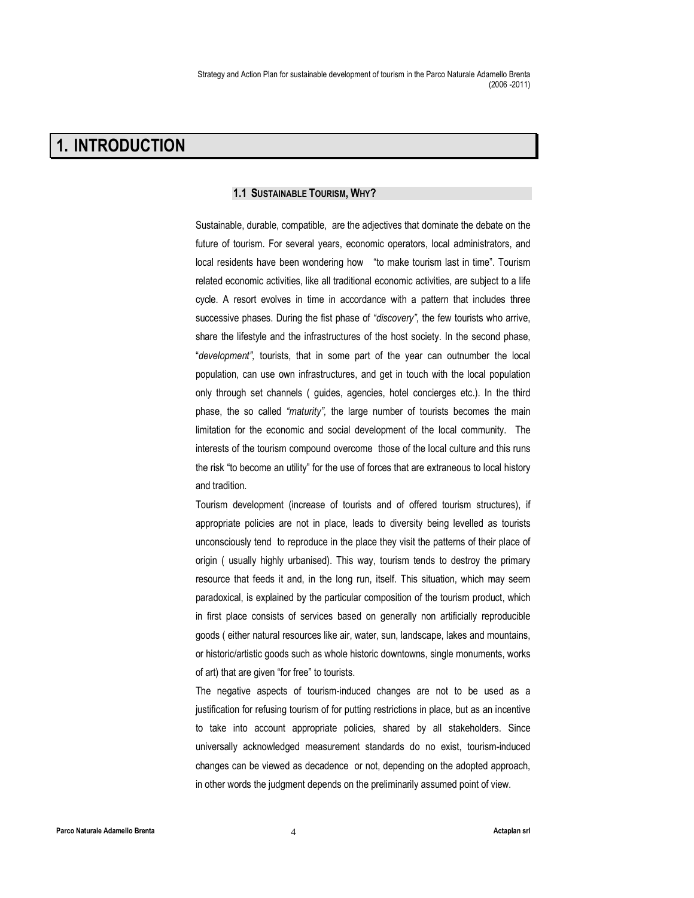# 1. INTRODUCTION

## 1.1 SUSTAINABLE TOURISM, WHY?

Sustainable, durable, compatible, are the adjectives that dominate the debate on the future of tourism. For several years, economic operators, local administrators, and local residents have been wondering how "to make tourism last in time". Tourism related economic activities, like all traditional economic activities, are subject to a life cycle. A resort evolves in time in accordance with a pattern that includes three successive phases. During the fist phase of "discovery", the few tourists who arrive, share the lifestyle and the infrastructures of the host society. In the second phase, "development", tourists, that in some part of the year can outnumber the local population, can use own infrastructures, and get in touch with the local population only through set channels ( guides, agencies, hotel concierges etc.). In the third phase, the so called "maturity", the large number of tourists becomes the main limitation for the economic and social development of the local community. The interests of the tourism compound overcome those of the local culture and this runs the risk "to become an utility" for the use of forces that are extraneous to local history and tradition.

Tourism development (increase of tourists and of offered tourism structures), if appropriate policies are not in place, leads to diversity being levelled as tourists unconsciously tend to reproduce in the place they visit the patterns of their place of origin ( usually highly urbanised). This way, tourism tends to destroy the primary resource that feeds it and, in the long run, itself. This situation, which may seem paradoxical, is explained by the particular composition of the tourism product, which in first place consists of services based on generally non artificially reproducible goods ( either natural resources like air, water, sun, landscape, lakes and mountains, or historic/artistic goods such as whole historic downtowns, single monuments, works of art) that are given "for free" to tourists.

The negative aspects of tourism-induced changes are not to be used as a justification for refusing tourism of for putting restrictions in place, but as an incentive to take into account appropriate policies, shared by all stakeholders. Since universally acknowledged measurement standards do no exist, tourism-induced changes can be viewed as decadence or not, depending on the adopted approach, in other words the judgment depends on the preliminarily assumed point of view.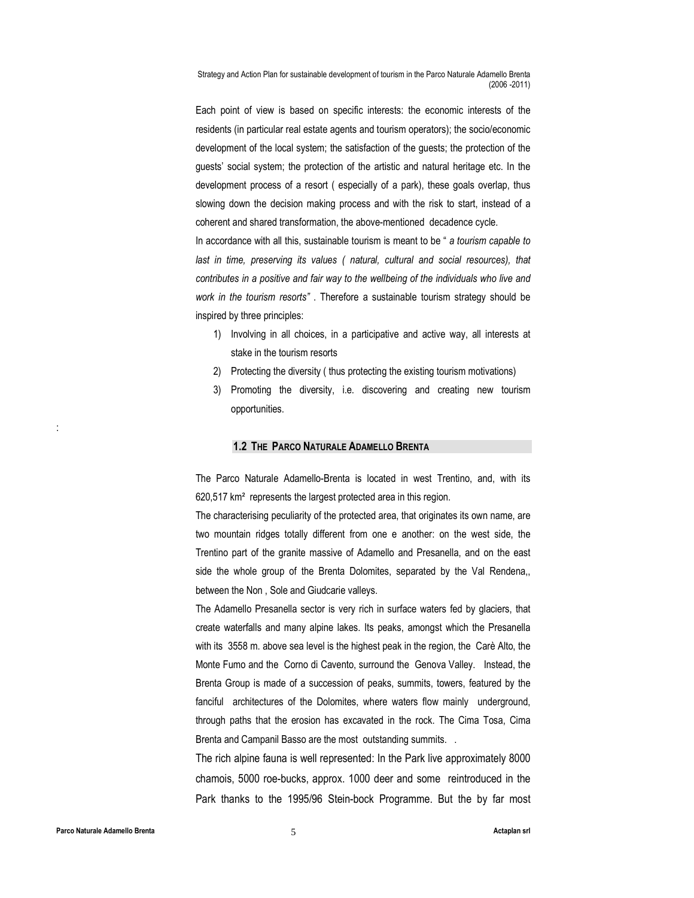Each point of view is based on specific interests: the economic interests of the residents (in particular real estate agents and tourism operators); the socio/economic development of the local system; the satisfaction of the guests; the protection of the guests' social system; the protection of the artistic and natural heritage etc. In the development process of a resort ( especially of a park), these goals overlap, thus slowing down the decision making process and with the risk to start, instead of a coherent and shared transformation, the above-mentioned decadence cycle.

In accordance with all this, sustainable tourism is meant to be " a tourism capable to last in time, preserving its values ( natural, cultural and social resources), that contributes in a positive and fair way to the wellbeing of the individuals who live and work in the tourism resorts". Therefore a sustainable tourism strategy should be inspired by three principles:

- 1) Involving in all choices, in a participative and active way, all interests at stake in the tourism resorts
- 2) Protecting the diversity ( thus protecting the existing tourism motivations)
- 3) Promoting the diversity, i.e. discovering and creating new tourism opportunities.

#### 1.2 THE PARCO NATURALE ADAMELLO BRENTA

The Parco Naturale Adamello-Brenta is located in west Trentino, and, with its 620,517 km² represents the largest protected area in this region.

The characterising peculiarity of the protected area, that originates its own name, are two mountain ridges totally different from one e another: on the west side, the Trentino part of the granite massive of Adamello and Presanella, and on the east side the whole group of the Brenta Dolomites, separated by the Val Rendena,, between the Non , Sole and Giudcarie valleys.

The Adamello Presanella sector is very rich in surface waters fed by glaciers, that create waterfalls and many alpine lakes. Its peaks, amongst which the Presanella with its 3558 m. above sea level is the highest peak in the region, the Carè Alto, the Monte Fumo and the Corno di Cavento, surround the Genova Valley. Instead, the Brenta Group is made of a succession of peaks, summits, towers, featured by the fanciful architectures of the Dolomites, where waters flow mainly underground, through paths that the erosion has excavated in the rock. The Cima Tosa, Cima Brenta and Campanil Basso are the most outstanding summits. .

The rich alpine fauna is well represented: In the Park live approximately 8000 chamois, 5000 roe-bucks, approx. 1000 deer and some reintroduced in the Park thanks to the 1995/96 Stein-bock Programme. But the by far most

: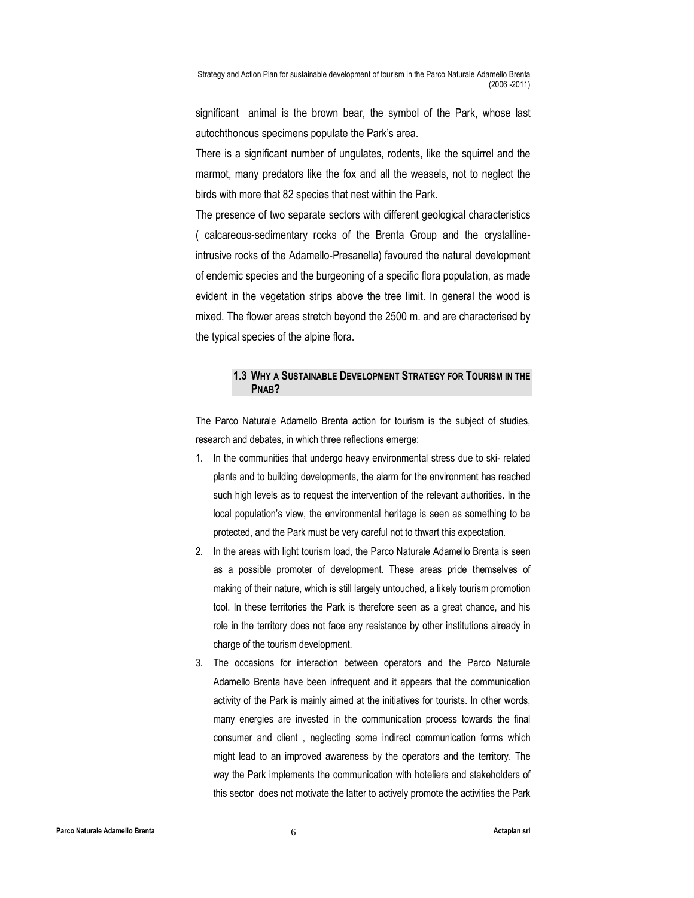significant animal is the brown bear, the symbol of the Park, whose last autochthonous specimens populate the Park's area.

There is a significant number of ungulates, rodents, like the squirrel and the marmot, many predators like the fox and all the weasels, not to neglect the birds with more that 82 species that nest within the Park.

The presence of two separate sectors with different geological characteristics ( calcareous-sedimentary rocks of the Brenta Group and the crystallineintrusive rocks of the Adamello-Presanella) favoured the natural development of endemic species and the burgeoning of a specific flora population, as made evident in the vegetation strips above the tree limit. In general the wood is mixed. The flower areas stretch beyond the 2500 m. and are characterised by the typical species of the alpine flora.

# 1.3 WHY A SUSTAINABLE DEVELOPMENT STRATEGY FOR TOURISM IN THE PNAB?

The Parco Naturale Adamello Brenta action for tourism is the subject of studies, research and debates, in which three reflections emerge:

- 1. In the communities that undergo heavy environmental stress due to ski- related plants and to building developments, the alarm for the environment has reached such high levels as to request the intervention of the relevant authorities. In the local population's view, the environmental heritage is seen as something to be protected, and the Park must be very careful not to thwart this expectation.
- 2. In the areas with light tourism load, the Parco Naturale Adamello Brenta is seen as a possible promoter of development. These areas pride themselves of making of their nature, which is still largely untouched, a likely tourism promotion tool. In these territories the Park is therefore seen as a great chance, and his role in the territory does not face any resistance by other institutions already in charge of the tourism development.
- 3. The occasions for interaction between operators and the Parco Naturale Adamello Brenta have been infrequent and it appears that the communication activity of the Park is mainly aimed at the initiatives for tourists. In other words, many energies are invested in the communication process towards the final consumer and client , neglecting some indirect communication forms which might lead to an improved awareness by the operators and the territory. The way the Park implements the communication with hoteliers and stakeholders of this sector does not motivate the latter to actively promote the activities the Park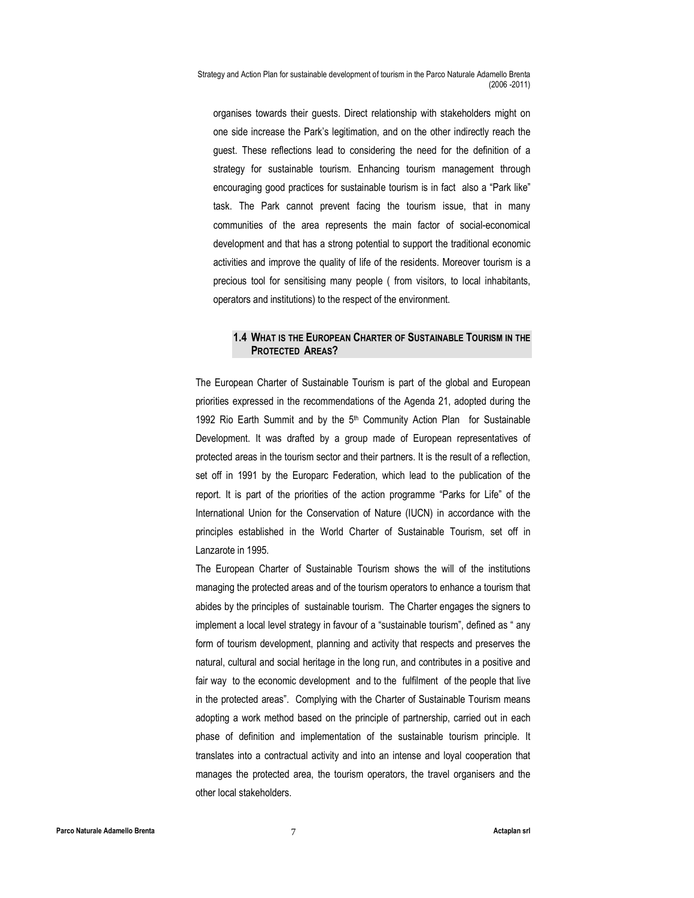organises towards their guests. Direct relationship with stakeholders might on one side increase the Park's legitimation, and on the other indirectly reach the guest. These reflections lead to considering the need for the definition of a strategy for sustainable tourism. Enhancing tourism management through encouraging good practices for sustainable tourism is in fact also a "Park like" task. The Park cannot prevent facing the tourism issue, that in many communities of the area represents the main factor of social-economical development and that has a strong potential to support the traditional economic activities and improve the quality of life of the residents. Moreover tourism is a precious tool for sensitising many people ( from visitors, to local inhabitants, operators and institutions) to the respect of the environment.

# 1.4 WHAT IS THE EUROPEAN CHARTER OF SUSTAINABLE TOURISM IN THE PROTECTED AREAS?

The European Charter of Sustainable Tourism is part of the global and European priorities expressed in the recommendations of the Agenda 21, adopted during the 1992 Rio Earth Summit and by the 5<sup>th</sup> Community Action Plan for Sustainable Development. It was drafted by a group made of European representatives of protected areas in the tourism sector and their partners. It is the result of a reflection, set off in 1991 by the Europarc Federation, which lead to the publication of the report. It is part of the priorities of the action programme "Parks for Life" of the International Union for the Conservation of Nature (IUCN) in accordance with the principles established in the World Charter of Sustainable Tourism, set off in Lanzarote in 1995.

The European Charter of Sustainable Tourism shows the will of the institutions managing the protected areas and of the tourism operators to enhance a tourism that abides by the principles of sustainable tourism. The Charter engages the signers to implement a local level strategy in favour of a "sustainable tourism", defined as " any form of tourism development, planning and activity that respects and preserves the natural, cultural and social heritage in the long run, and contributes in a positive and fair way to the economic development and to the fulfilment of the people that live in the protected areas". Complying with the Charter of Sustainable Tourism means adopting a work method based on the principle of partnership, carried out in each phase of definition and implementation of the sustainable tourism principle. It translates into a contractual activity and into an intense and loyal cooperation that manages the protected area, the tourism operators, the travel organisers and the other local stakeholders.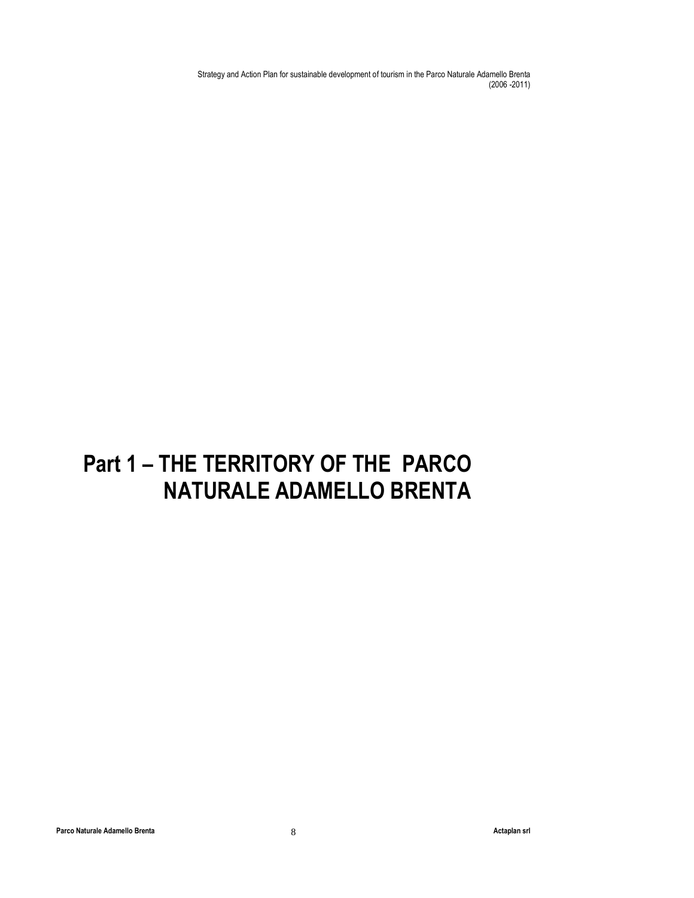# Part 1 – THE TERRITORY OF THE PARCO NATURALE ADAMELLO BRENTA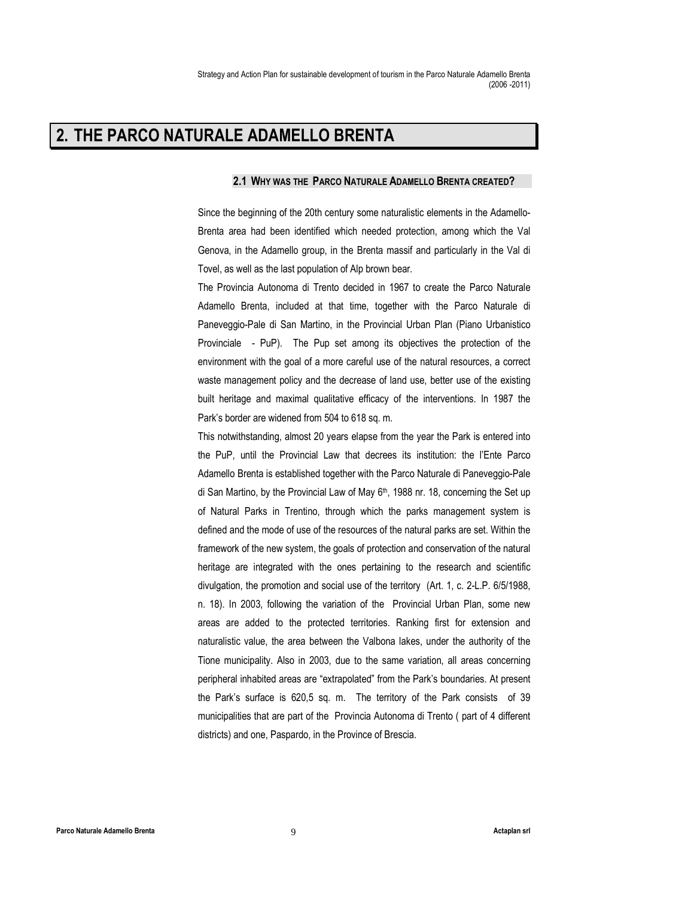# 2. THE PARCO NATURALE ADAMELLO BRENTA

#### 2.1 WHY WAS THE PARCO NATURALE ADAMELLO BRENTA CREATED?

Since the beginning of the 20th century some naturalistic elements in the Adamello-Brenta area had been identified which needed protection, among which the Val Genova, in the Adamello group, in the Brenta massif and particularly in the Val di Tovel, as well as the last population of Alp brown bear.

The Provincia Autonoma di Trento decided in 1967 to create the Parco Naturale Adamello Brenta, included at that time, together with the Parco Naturale di Paneveggio-Pale di San Martino, in the Provincial Urban Plan (Piano Urbanistico Provinciale - PuP). The Pup set among its objectives the protection of the environment with the goal of a more careful use of the natural resources, a correct waste management policy and the decrease of land use, better use of the existing built heritage and maximal qualitative efficacy of the interventions. In 1987 the Park's border are widened from 504 to 618 sq. m.

This notwithstanding, almost 20 years elapse from the year the Park is entered into the PuP, until the Provincial Law that decrees its institution: the l'Ente Parco Adamello Brenta is established together with the Parco Naturale di Paneveggio-Pale di San Martino, by the Provincial Law of May 6<sup>th</sup>, 1988 nr. 18, concerning the Set up of Natural Parks in Trentino, through which the parks management system is defined and the mode of use of the resources of the natural parks are set. Within the framework of the new system, the goals of protection and conservation of the natural heritage are integrated with the ones pertaining to the research and scientific divulgation, the promotion and social use of the territory (Art. 1, c. 2-L.P. 6/5/1988, n. 18). In 2003, following the variation of the Provincial Urban Plan, some new areas are added to the protected territories. Ranking first for extension and naturalistic value, the area between the Valbona lakes, under the authority of the Tione municipality. Also in 2003, due to the same variation, all areas concerning peripheral inhabited areas are "extrapolated" from the Park's boundaries. At present the Park's surface is 620,5 sq. m. The territory of the Park consists of 39 municipalities that are part of the Provincia Autonoma di Trento ( part of 4 different districts) and one, Paspardo, in the Province of Brescia.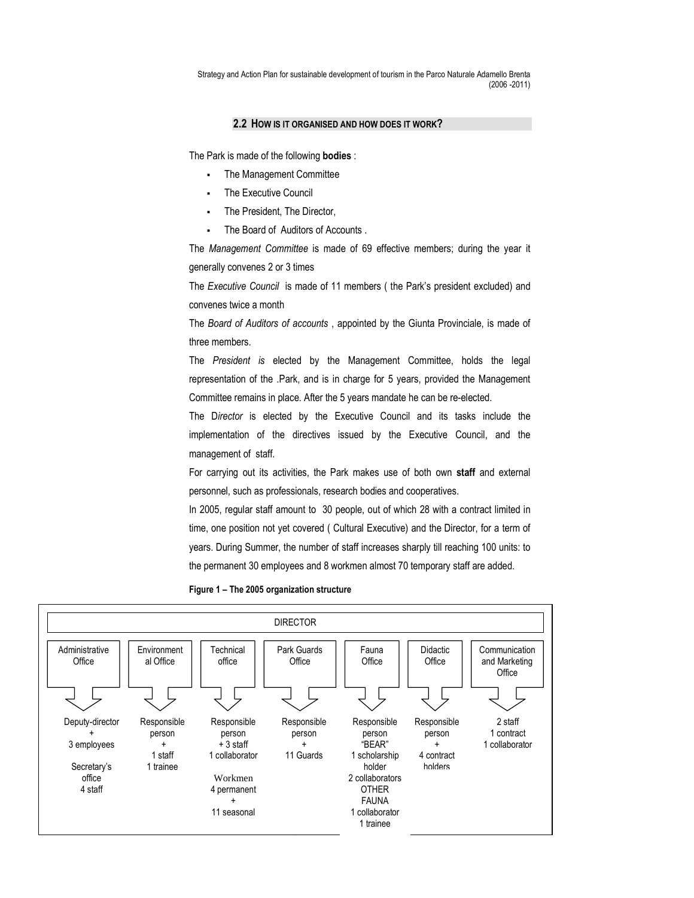#### 2.2 HOW IS IT ORGANISED AND HOW DOES IT WORK?

The Park is made of the following bodies :

- The Management Committee
- The Executive Council
- The President, The Director,
- The Board of Auditors of Accounts .

The Management Committee is made of 69 effective members; during the year it generally convenes 2 or 3 times

The Executive Council is made of 11 members (the Park's president excluded) and convenes twice a month

The Board of Auditors of accounts , appointed by the Giunta Provinciale, is made of three members.

The President is elected by the Management Committee, holds the legal representation of the .Park, and is in charge for 5 years, provided the Management Committee remains in place. After the 5 years mandate he can be re-elected.

The Director is elected by the Executive Council and its tasks include the implementation of the directives issued by the Executive Council, and the management of staff.

For carrying out its activities, the Park makes use of both own staff and external personnel, such as professionals, research bodies and cooperatives.

In 2005, regular staff amount to 30 people, out of which 28 with a contract limited in time, one position not yet covered ( Cultural Executive) and the Director, for a term of years. During Summer, the number of staff increases sharply till reaching 100 units: to the permanent 30 employees and 8 workmen almost 70 temporary staff are added.



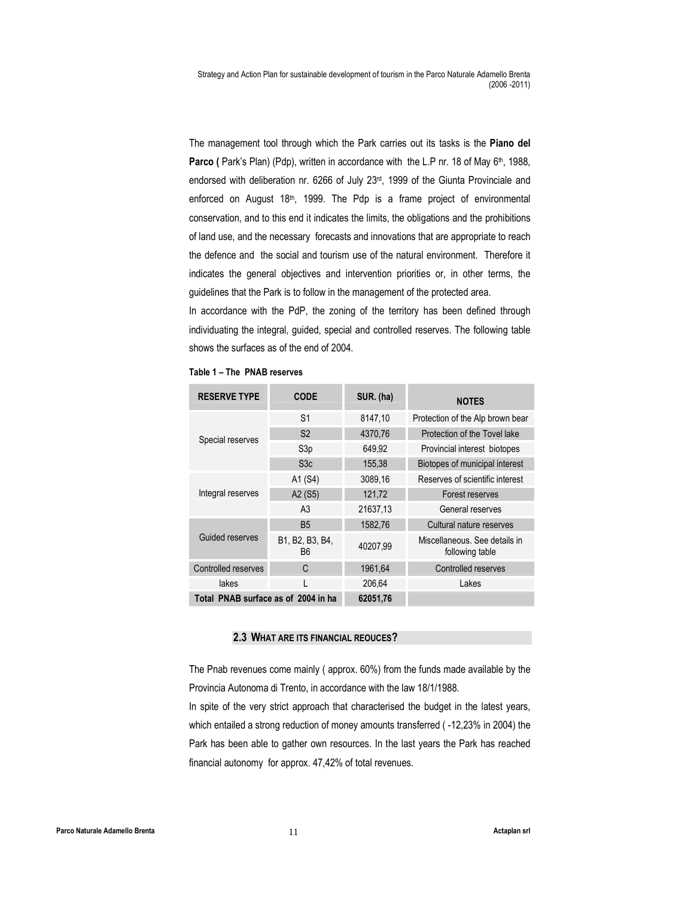The management tool through which the Park carries out its tasks is the Piano del Parco ( Park's Plan) (Pdp), written in accordance with the L.P nr. 18 of May 6<sup>th</sup>, 1988, endorsed with deliberation nr. 6266 of July 23rd, 1999 of the Giunta Provinciale and enforced on August 18<sup>th</sup>, 1999. The Pdp is a frame project of environmental conservation, and to this end it indicates the limits, the obligations and the prohibitions of land use, and the necessary forecasts and innovations that are appropriate to reach the defence and the social and tourism use of the natural environment. Therefore it indicates the general objectives and intervention priorities or, in other terms, the guidelines that the Park is to follow in the management of the protected area.

In accordance with the PdP, the zoning of the territory has been defined through individuating the integral, guided, special and controlled reserves. The following table shows the surfaces as of the end of 2004.

| <b>RESERVE TYPE</b>                 | <b>CODE</b>           | SUR. (ha) | <b>NOTES</b>                                     |
|-------------------------------------|-----------------------|-----------|--------------------------------------------------|
|                                     | S <sub>1</sub>        | 8147,10   | Protection of the Alp brown bear                 |
| Special reserves                    | S <sub>2</sub>        | 4370.76   | Protection of the Tovel lake                     |
|                                     | S <sub>3p</sub>       | 649.92    | Provincial interest biotopes                     |
|                                     | S3c                   | 155,38    | Biotopes of municipal interest                   |
|                                     | A1 (S4)               | 3089,16   | Reserves of scientific interest                  |
| Integral reserves                   | A2 (S5)               | 121,72    | Forest reserves                                  |
|                                     | A <sub>3</sub>        | 21637,13  | General reserves                                 |
|                                     | <b>B5</b>             | 1582.76   | Cultural nature reserves                         |
| Guided reserves                     | B1, B2, B3, B4,<br>B6 | 40207,99  | Miscellaneous. See details in<br>following table |
| Controlled reserves                 | C                     | 1961,64   | Controlled reserves                              |
| lakes                               |                       | 206,64    | Lakes                                            |
| Total PNAB surface as of 2004 in ha |                       | 62051,76  |                                                  |

Table 1 – The PNAB reserves

#### 2.3 WHAT ARE ITS FINANCIAL REOUCES?

The Pnab revenues come mainly ( approx. 60%) from the funds made available by the Provincia Autonoma di Trento, in accordance with the law 18/1/1988.

In spite of the very strict approach that characterised the budget in the latest years, which entailed a strong reduction of money amounts transferred (-12,23% in 2004) the Park has been able to gather own resources. In the last years the Park has reached financial autonomy for approx. 47,42% of total revenues.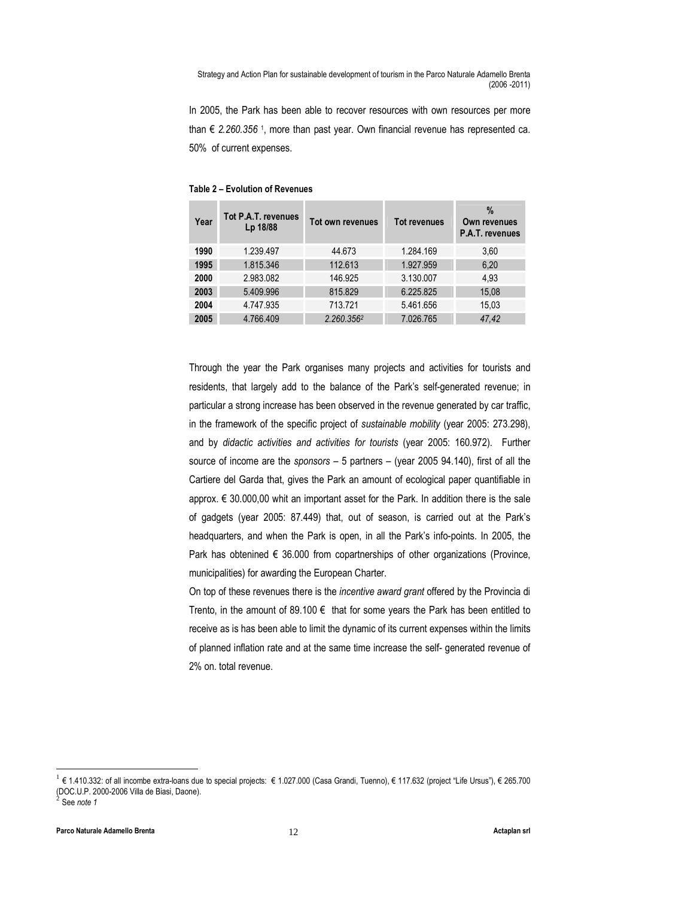In 2005, the Park has been able to recover resources with own resources per more than € 2.260.356 1, more than past year. Own financial revenue has represented ca. 50% of current expenses.

| Year | Tot P.A.T. revenues<br>Lp 18/88 | Tot own revenues | <b>Tot revenues</b> | $\%$<br>Own revenues<br>P.A.T. revenues |
|------|---------------------------------|------------------|---------------------|-----------------------------------------|
| 1990 | 1.239.497                       | 44.673           | 1.284.169           | 3,60                                    |
| 1995 | 1.815.346                       | 112.613          | 1.927.959           | 6,20                                    |
| 2000 | 2.983.082                       | 146.925          | 3.130.007           | 4,93                                    |
| 2003 | 5.409.996                       | 815.829          | 6.225.825           | 15,08                                   |
| 2004 | 4.747.935                       | 713.721          | 5.461.656           | 15,03                                   |
| 2005 | 4.766.409                       | 2.260.3562       | 7.026.765           | 47,42                                   |

Table 2 – Evolution of Revenues

Through the year the Park organises many projects and activities for tourists and residents, that largely add to the balance of the Park's self-generated revenue; in particular a strong increase has been observed in the revenue generated by car traffic, in the framework of the specific project of sustainable mobility (year 2005: 273.298), and by didactic activities and activities for tourists (year 2005: 160.972). Further source of income are the sponsors – 5 partners – (year 2005 94.140), first of all the Cartiere del Garda that, gives the Park an amount of ecological paper quantifiable in approx. € 30.000,00 whit an important asset for the Park. In addition there is the sale of gadgets (year 2005: 87.449) that, out of season, is carried out at the Park's headquarters, and when the Park is open, in all the Park's info-points. In 2005, the Park has obtenined  $\epsilon$  36.000 from copartnerships of other organizations (Province, municipalities) for awarding the European Charter.

On top of these revenues there is the incentive award grant offered by the Provincia di Trento, in the amount of 89.100  $\epsilon$  that for some years the Park has been entitled to receive as is has been able to limit the dynamic of its current expenses within the limits of planned inflation rate and at the same time increase the self- generated revenue of 2% on. total revenue.

 $\overline{a}$ 

<sup>1</sup> € 1.410.332: of all incombe extra-loans due to special projects: € 1.027.000 (Casa Grandi, Tuenno), € 117.632 (project "Life Ursus"), € 265.700 (DOC.U.P. 2000-2006 Villa de Biasi, Daone).  $\dot{2}$ See note 1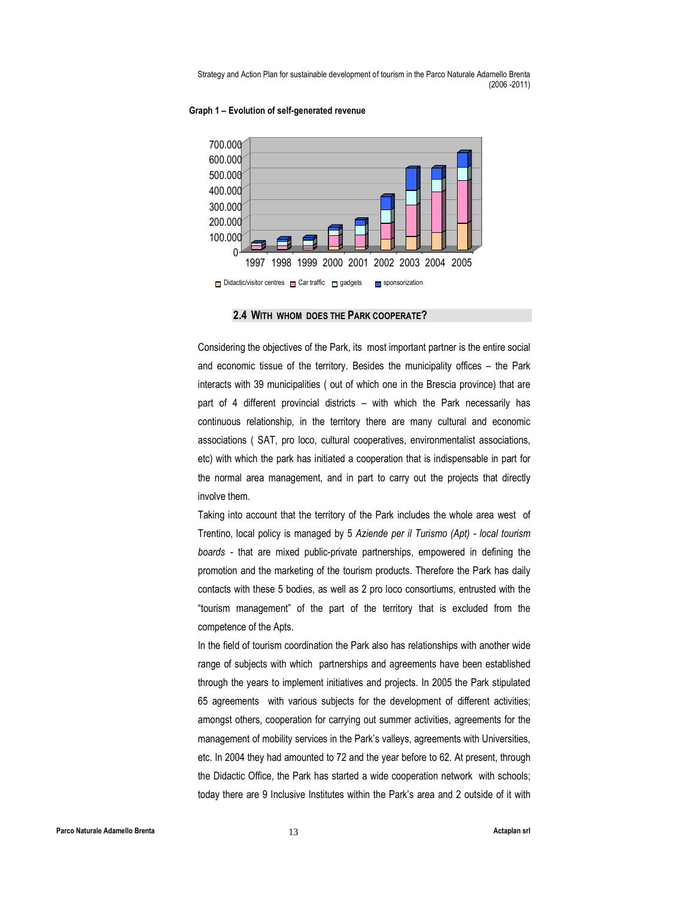#### Graph 1 – Evolution of self-generated revenue



2.4 WITH WHOM DOES THE PARK COOPERATE?

Considering the objectives of the Park, its most important partner is the entire social and economic tissue of the territory. Besides the municipality offices – the Park interacts with 39 municipalities ( out of which one in the Brescia province) that are part of 4 different provincial districts – with which the Park necessarily has continuous relationship, in the territory there are many cultural and economic associations ( SAT, pro loco, cultural cooperatives, environmentalist associations, etc) with which the park has initiated a cooperation that is indispensable in part for the normal area management, and in part to carry out the projects that directly involve them.

Taking into account that the territory of the Park includes the whole area west of Trentino, local policy is managed by 5 Aziende per il Turismo (Apt) - local tourism boards - that are mixed public-private partnerships, empowered in defining the promotion and the marketing of the tourism products. Therefore the Park has daily contacts with these 5 bodies, as well as 2 pro loco consortiums, entrusted with the "tourism management" of the part of the territory that is excluded from the competence of the Apts.

In the field of tourism coordination the Park also has relationships with another wide range of subjects with which partnerships and agreements have been established through the years to implement initiatives and projects. In 2005 the Park stipulated 65 agreements with various subjects for the development of different activities; amongst others, cooperation for carrying out summer activities, agreements for the management of mobility services in the Park's valleys, agreements with Universities, etc. In 2004 they had amounted to 72 and the year before to 62. At present, through the Didactic Office, the Park has started a wide cooperation network with schools; today there are 9 Inclusive Institutes within the Park's area and 2 outside of it with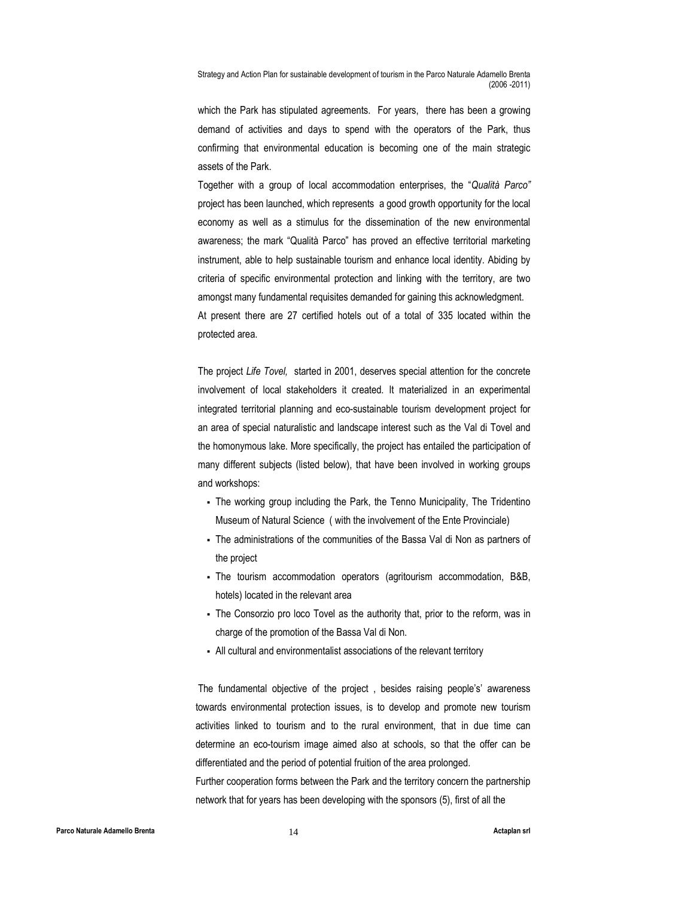which the Park has stipulated agreements. For years, there has been a growing demand of activities and days to spend with the operators of the Park, thus confirming that environmental education is becoming one of the main strategic assets of the Park.

Together with a group of local accommodation enterprises, the "Qualità Parco" project has been launched, which represents a good growth opportunity for the local economy as well as a stimulus for the dissemination of the new environmental awareness; the mark "Qualità Parco" has proved an effective territorial marketing instrument, able to help sustainable tourism and enhance local identity. Abiding by criteria of specific environmental protection and linking with the territory, are two amongst many fundamental requisites demanded for gaining this acknowledgment. At present there are 27 certified hotels out of a total of 335 located within the protected area.

The project Life Tovel, started in 2001, deserves special attention for the concrete involvement of local stakeholders it created. It materialized in an experimental integrated territorial planning and eco-sustainable tourism development project for an area of special naturalistic and landscape interest such as the Val di Tovel and the homonymous lake. More specifically, the project has entailed the participation of many different subjects (listed below), that have been involved in working groups and workshops:

- The working group including the Park, the Tenno Municipality, The Tridentino Museum of Natural Science ( with the involvement of the Ente Provinciale)
- The administrations of the communities of the Bassa Val di Non as partners of the project
- The tourism accommodation operators (agritourism accommodation, B&B, hotels) located in the relevant area
- The Consorzio pro loco Tovel as the authority that, prior to the reform, was in charge of the promotion of the Bassa Val di Non.
- All cultural and environmentalist associations of the relevant territory

 The fundamental objective of the project , besides raising people's' awareness towards environmental protection issues, is to develop and promote new tourism activities linked to tourism and to the rural environment, that in due time can determine an eco-tourism image aimed also at schools, so that the offer can be differentiated and the period of potential fruition of the area prolonged.

Further cooperation forms between the Park and the territory concern the partnership network that for years has been developing with the sponsors (5), first of all the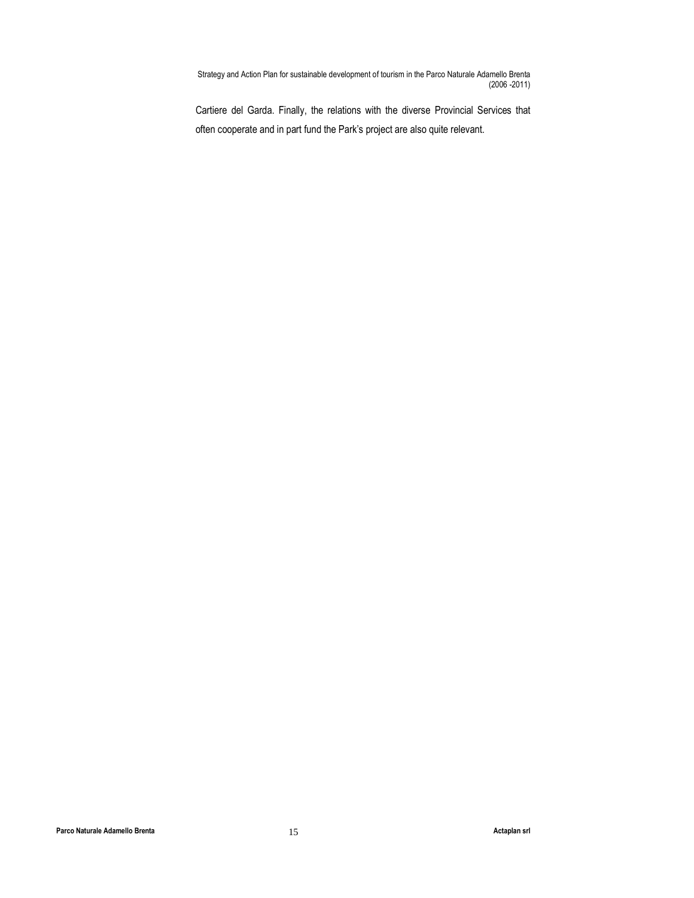Cartiere del Garda. Finally, the relations with the diverse Provincial Services that often cooperate and in part fund the Park's project are also quite relevant.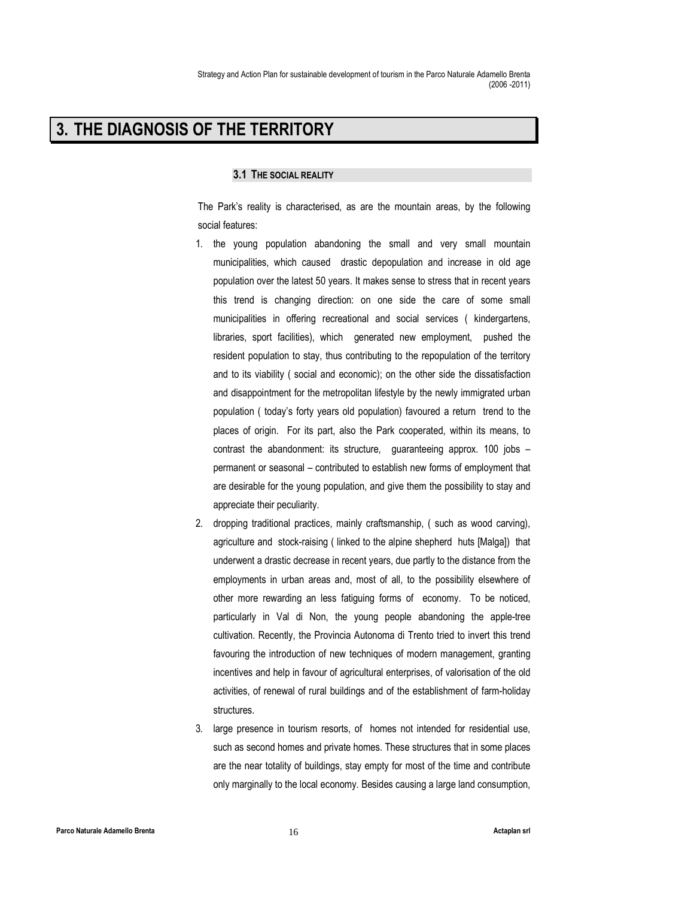# 3. THE DIAGNOSIS OF THE TERRITORY

### 3.1 THE SOCIAL REALITY

The Park's reality is characterised, as are the mountain areas, by the following social features:

- 1. the young population abandoning the small and very small mountain municipalities, which caused drastic depopulation and increase in old age population over the latest 50 years. It makes sense to stress that in recent years this trend is changing direction: on one side the care of some small municipalities in offering recreational and social services ( kindergartens, libraries, sport facilities), which generated new employment, pushed the resident population to stay, thus contributing to the repopulation of the territory and to its viability ( social and economic); on the other side the dissatisfaction and disappointment for the metropolitan lifestyle by the newly immigrated urban population ( today's forty years old population) favoured a return trend to the places of origin. For its part, also the Park cooperated, within its means, to contrast the abandonment: its structure, guaranteeing approx. 100 jobs – permanent or seasonal – contributed to establish new forms of employment that are desirable for the young population, and give them the possibility to stay and appreciate their peculiarity.
- 2. dropping traditional practices, mainly craftsmanship, ( such as wood carving), agriculture and stock-raising ( linked to the alpine shepherd huts [Malga]) that underwent a drastic decrease in recent years, due partly to the distance from the employments in urban areas and, most of all, to the possibility elsewhere of other more rewarding an less fatiguing forms of economy. To be noticed, particularly in Val di Non, the young people abandoning the apple-tree cultivation. Recently, the Provincia Autonoma di Trento tried to invert this trend favouring the introduction of new techniques of modern management, granting incentives and help in favour of agricultural enterprises, of valorisation of the old activities, of renewal of rural buildings and of the establishment of farm-holiday structures.
- 3. large presence in tourism resorts, of homes not intended for residential use, such as second homes and private homes. These structures that in some places are the near totality of buildings, stay empty for most of the time and contribute only marginally to the local economy. Besides causing a large land consumption,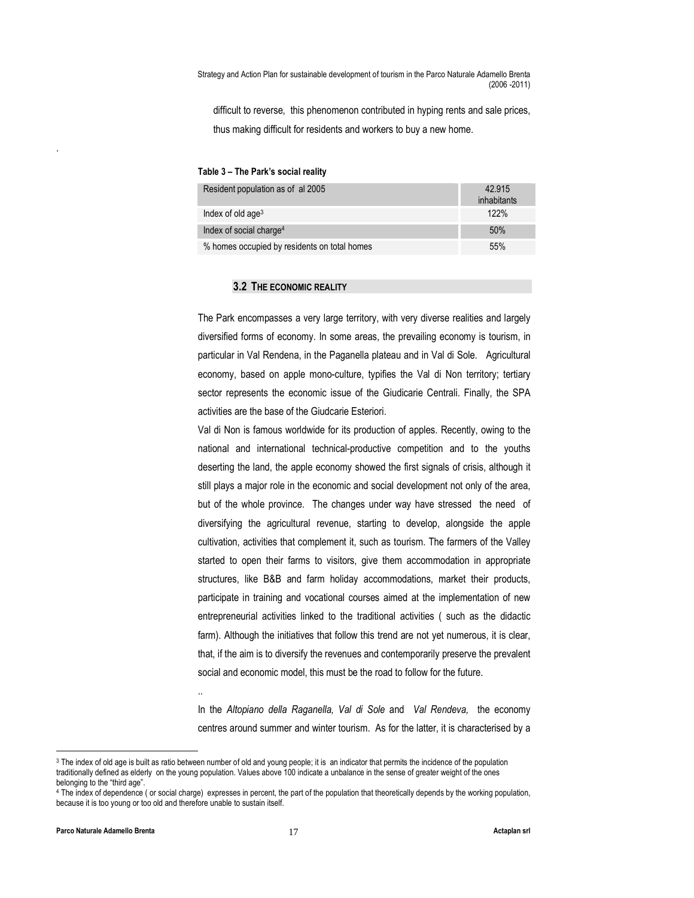difficult to reverse, this phenomenon contributed in hyping rents and sale prices, thus making difficult for residents and workers to buy a new home.

#### Table 3 – The Park's social reality

| Resident population as of al 2005            | 42.915<br>inhabitants |
|----------------------------------------------|-----------------------|
| Index of old age <sup>3</sup>                | 122%                  |
| Index of social charge <sup>4</sup>          | 50%                   |
| % homes occupied by residents on total homes | 55%                   |

#### 3.2 THE ECONOMIC REALITY

The Park encompasses a very large territory, with very diverse realities and largely diversified forms of economy. In some areas, the prevailing economy is tourism, in particular in Val Rendena, in the Paganella plateau and in Val di Sole. Agricultural economy, based on apple mono-culture, typifies the Val di Non territory; tertiary sector represents the economic issue of the Giudicarie Centrali. Finally, the SPA activities are the base of the Giudcarie Esteriori.

Val di Non is famous worldwide for its production of apples. Recently, owing to the national and international technical-productive competition and to the youths deserting the land, the apple economy showed the first signals of crisis, although it still plays a major role in the economic and social development not only of the area, but of the whole province. The changes under way have stressed the need of diversifying the agricultural revenue, starting to develop, alongside the apple cultivation, activities that complement it, such as tourism. The farmers of the Valley started to open their farms to visitors, give them accommodation in appropriate structures, like B&B and farm holiday accommodations, market their products, participate in training and vocational courses aimed at the implementation of new entrepreneurial activities linked to the traditional activities ( such as the didactic farm). Although the initiatives that follow this trend are not yet numerous, it is clear, that, if the aim is to diversify the revenues and contemporarily preserve the prevalent social and economic model, this must be the road to follow for the future.

In the Altopiano della Raganella, Val di Sole and Val Rendeva, the economy centres around summer and winter tourism. As for the latter, it is characterised by a

..

 $\overline{a}$ 

.

<sup>3</sup> The index of old age is built as ratio between number of old and young people; it is an indicator that permits the incidence of the population traditionally defined as elderly on the young population. Values above 100 indicate a unbalance in the sense of greater weight of the ones belonging to the "third age".

<sup>4</sup> The index of dependence ( or social charge) expresses in percent, the part of the population that theoretically depends by the working population, because it is too young or too old and therefore unable to sustain itself.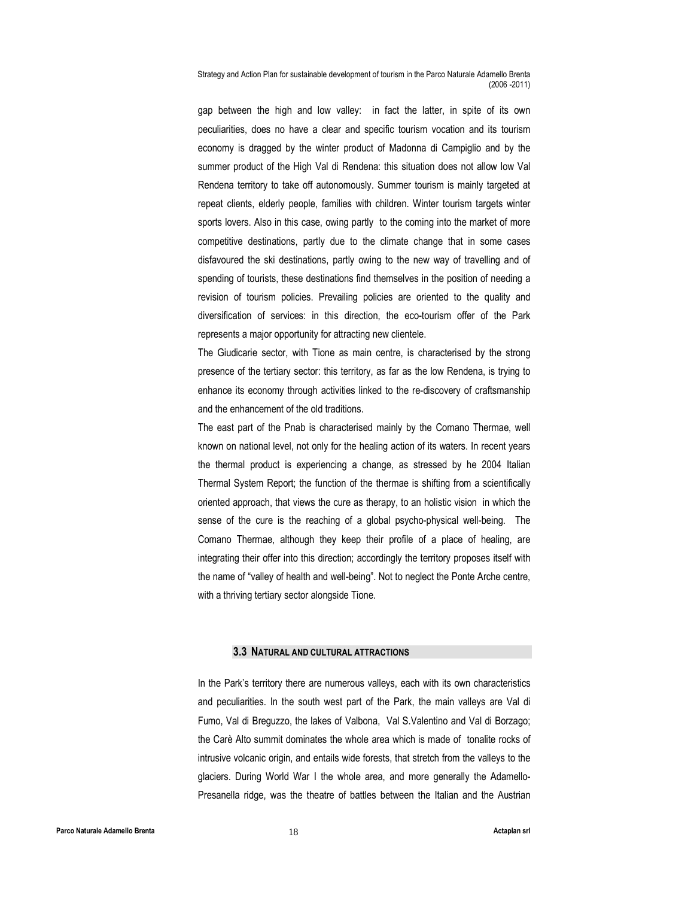gap between the high and low valley: in fact the latter, in spite of its own peculiarities, does no have a clear and specific tourism vocation and its tourism economy is dragged by the winter product of Madonna di Campiglio and by the summer product of the High Val di Rendena: this situation does not allow low Val Rendena territory to take off autonomously. Summer tourism is mainly targeted at repeat clients, elderly people, families with children. Winter tourism targets winter sports lovers. Also in this case, owing partly to the coming into the market of more competitive destinations, partly due to the climate change that in some cases disfavoured the ski destinations, partly owing to the new way of travelling and of spending of tourists, these destinations find themselves in the position of needing a revision of tourism policies. Prevailing policies are oriented to the quality and diversification of services: in this direction, the eco-tourism offer of the Park represents a major opportunity for attracting new clientele.

The Giudicarie sector, with Tione as main centre, is characterised by the strong presence of the tertiary sector: this territory, as far as the low Rendena, is trying to enhance its economy through activities linked to the re-discovery of craftsmanship and the enhancement of the old traditions.

The east part of the Pnab is characterised mainly by the Comano Thermae, well known on national level, not only for the healing action of its waters. In recent years the thermal product is experiencing a change, as stressed by he 2004 Italian Thermal System Report; the function of the thermae is shifting from a scientifically oriented approach, that views the cure as therapy, to an holistic vision in which the sense of the cure is the reaching of a global psycho-physical well-being. The Comano Thermae, although they keep their profile of a place of healing, are integrating their offer into this direction; accordingly the territory proposes itself with the name of "valley of health and well-being". Not to neglect the Ponte Arche centre, with a thriving tertiary sector alongside Tione.

#### 3.3 NATURAL AND CULTURAL ATTRACTIONS

In the Park's territory there are numerous valleys, each with its own characteristics and peculiarities. In the south west part of the Park, the main valleys are Val di Fumo, Val di Breguzzo, the lakes of Valbona, Val S.Valentino and Val di Borzago; the Carè Alto summit dominates the whole area which is made of tonalite rocks of intrusive volcanic origin, and entails wide forests, that stretch from the valleys to the glaciers. During World War I the whole area, and more generally the Adamello-Presanella ridge, was the theatre of battles between the Italian and the Austrian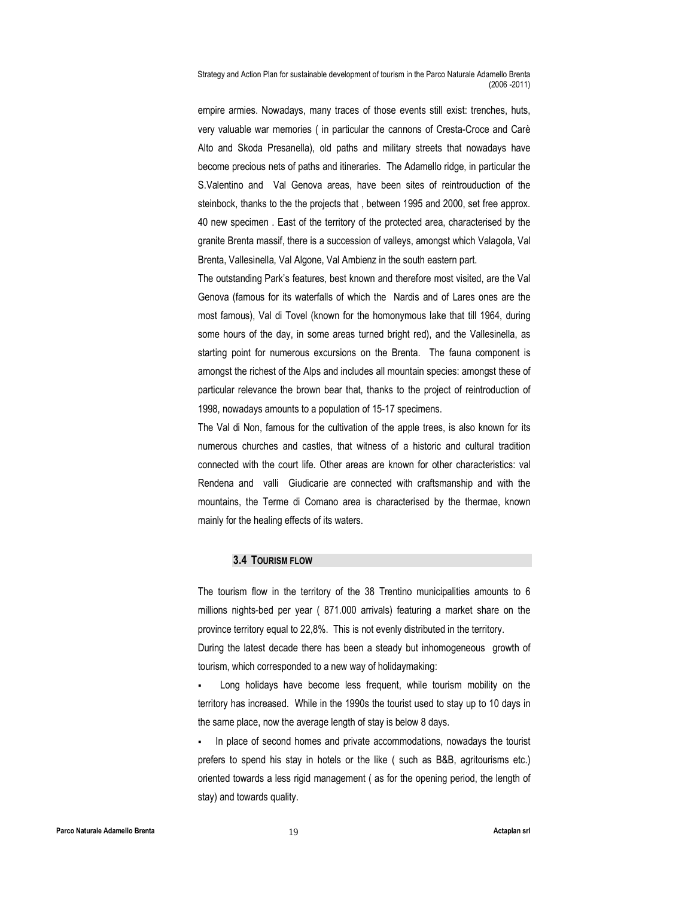empire armies. Nowadays, many traces of those events still exist: trenches, huts, very valuable war memories ( in particular the cannons of Cresta-Croce and Carè Alto and Skoda Presanella), old paths and military streets that nowadays have become precious nets of paths and itineraries. The Adamello ridge, in particular the S.Valentino and Val Genova areas, have been sites of reintrouduction of the steinbock, thanks to the the projects that , between 1995 and 2000, set free approx. 40 new specimen . East of the territory of the protected area, characterised by the granite Brenta massif, there is a succession of valleys, amongst which Valagola, Val Brenta, Vallesinella, Val Algone, Val Ambienz in the south eastern part.

The outstanding Park's features, best known and therefore most visited, are the Val Genova (famous for its waterfalls of which the Nardis and of Lares ones are the most famous), Val di Tovel (known for the homonymous lake that till 1964, during some hours of the day, in some areas turned bright red), and the Vallesinella, as starting point for numerous excursions on the Brenta. The fauna component is amongst the richest of the Alps and includes all mountain species: amongst these of particular relevance the brown bear that, thanks to the project of reintroduction of 1998, nowadays amounts to a population of 15-17 specimens.

The Val di Non, famous for the cultivation of the apple trees, is also known for its numerous churches and castles, that witness of a historic and cultural tradition connected with the court life. Other areas are known for other characteristics: val Rendena and valli Giudicarie are connected with craftsmanship and with the mountains, the Terme di Comano area is characterised by the thermae, known mainly for the healing effects of its waters.

#### 3.4 TOURISM FLOW

The tourism flow in the territory of the 38 Trentino municipalities amounts to 6 millions nights-bed per year ( 871.000 arrivals) featuring a market share on the province territory equal to 22,8%. This is not evenly distributed in the territory.

During the latest decade there has been a steady but inhomogeneous growth of tourism, which corresponded to a new way of holidaymaking:

 Long holidays have become less frequent, while tourism mobility on the territory has increased. While in the 1990s the tourist used to stay up to 10 days in the same place, now the average length of stay is below 8 days.

 In place of second homes and private accommodations, nowadays the tourist prefers to spend his stay in hotels or the like ( such as B&B, agritourisms etc.) oriented towards a less rigid management ( as for the opening period, the length of stay) and towards quality.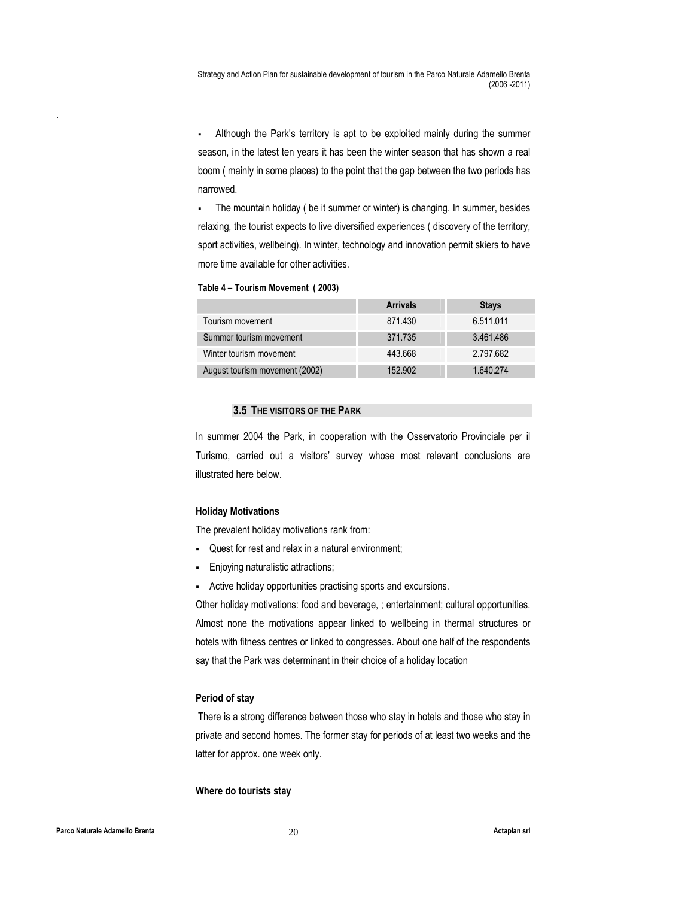Although the Park's territory is apt to be exploited mainly during the summer season, in the latest ten years it has been the winter season that has shown a real boom ( mainly in some places) to the point that the gap between the two periods has narrowed.

 The mountain holiday ( be it summer or winter) is changing. In summer, besides relaxing, the tourist expects to live diversified experiences ( discovery of the territory, sport activities, wellbeing). In winter, technology and innovation permit skiers to have more time available for other activities.

Table 4 – Tourism Movement ( 2003)

|                                | <b>Arrivals</b> | <b>Stays</b> |
|--------------------------------|-----------------|--------------|
| Tourism movement               | 871.430         | 6.511.011    |
| Summer tourism movement        | 371.735         | 3.461.486    |
| Winter tourism movement        | 443.668         | 2.797.682    |
| August tourism movement (2002) | 152,902         | 1.640.274    |

#### 3.5 THE VISITORS OF THE PARK

In summer 2004 the Park, in cooperation with the Osservatorio Provinciale per il Turismo, carried out a visitors' survey whose most relevant conclusions are illustrated here below.

### Holiday Motivations

The prevalent holiday motivations rank from:

- Quest for rest and relax in a natural environment;
- Enjoying naturalistic attractions;
- Active holiday opportunities practising sports and excursions.

Other holiday motivations: food and beverage, ; entertainment; cultural opportunities. Almost none the motivations appear linked to wellbeing in thermal structures or hotels with fitness centres or linked to congresses. About one half of the respondents say that the Park was determinant in their choice of a holiday location

### Period of stay

 There is a strong difference between those who stay in hotels and those who stay in private and second homes. The former stay for periods of at least two weeks and the latter for approx. one week only.

#### Where do tourists stay

.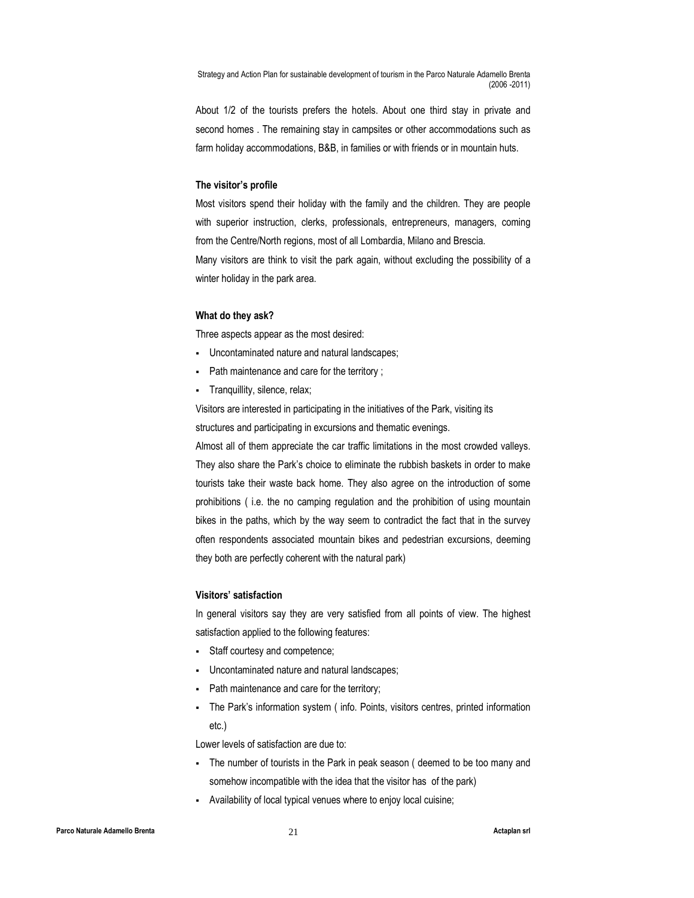About 1/2 of the tourists prefers the hotels. About one third stay in private and second homes . The remaining stay in campsites or other accommodations such as farm holiday accommodations, B&B, in families or with friends or in mountain huts.

#### The visitor's profile

Most visitors spend their holiday with the family and the children. They are people with superior instruction, clerks, professionals, entrepreneurs, managers, coming from the Centre/North regions, most of all Lombardia, Milano and Brescia. Many visitors are think to visit the park again, without excluding the possibility of a winter holiday in the park area.

#### What do they ask?

Three aspects appear as the most desired:

- Uncontaminated nature and natural landscapes;
- Path maintenance and care for the territory ;
- Tranquillity, silence, relax;

Visitors are interested in participating in the initiatives of the Park, visiting its structures and participating in excursions and thematic evenings.

Almost all of them appreciate the car traffic limitations in the most crowded valleys. They also share the Park's choice to eliminate the rubbish baskets in order to make tourists take their waste back home. They also agree on the introduction of some prohibitions ( i.e. the no camping regulation and the prohibition of using mountain bikes in the paths, which by the way seem to contradict the fact that in the survey often respondents associated mountain bikes and pedestrian excursions, deeming they both are perfectly coherent with the natural park)

#### Visitors' satisfaction

In general visitors say they are very satisfied from all points of view. The highest satisfaction applied to the following features:

- Staff courtesy and competence;
- Uncontaminated nature and natural landscapes;
- Path maintenance and care for the territory;
- The Park's information system ( info. Points, visitors centres, printed information etc.)

Lower levels of satisfaction are due to:

- The number of tourists in the Park in peak season ( deemed to be too many and somehow incompatible with the idea that the visitor has of the park)
- Availability of local typical venues where to enjoy local cuisine;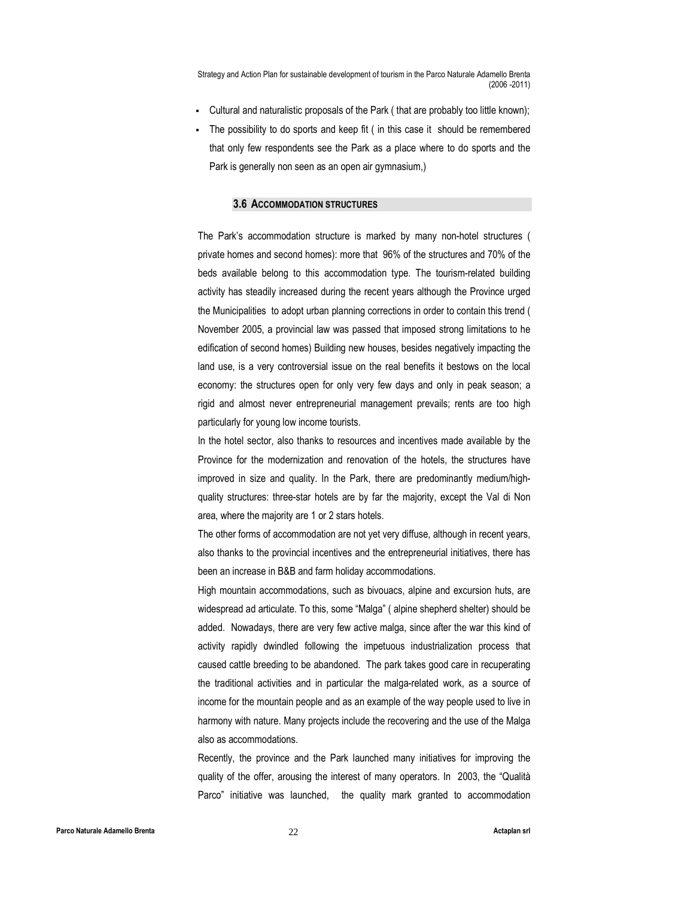- Cultural and naturalistic proposals of the Park ( that are probably too little known);
- The possibility to do sports and keep fit ( in this case it should be remembered that only few respondents see the Park as a place where to do sports and the Park is generally non seen as an open air gymnasium,)

#### 3.6 ACCOMMODATION STRUCTURES

The Park's accommodation structure is marked by many non-hotel structures ( private homes and second homes): more that 96% of the structures and 70% of the beds available belong to this accommodation type. The tourism-related building activity has steadily increased during the recent years although the Province urged the Municipalities to adopt urban planning corrections in order to contain this trend ( November 2005, a provincial law was passed that imposed strong limitations to he edification of second homes) Building new houses, besides negatively impacting the land use, is a very controversial issue on the real benefits it bestows on the local economy: the structures open for only very few days and only in peak season; a rigid and almost never entrepreneurial management prevails; rents are too high particularly for young low income tourists.

In the hotel sector, also thanks to resources and incentives made available by the Province for the modernization and renovation of the hotels, the structures have improved in size and quality. In the Park, there are predominantly medium/highquality structures: three-star hotels are by far the majority, except the Val di Non area, where the majority are 1 or 2 stars hotels.

The other forms of accommodation are not yet very diffuse, although in recent years, also thanks to the provincial incentives and the entrepreneurial initiatives, there has been an increase in B&B and farm holiday accommodations.

High mountain accommodations, such as bivouacs, alpine and excursion huts, are widespread ad articulate. To this, some "Malga" ( alpine shepherd shelter) should be added. Nowadays, there are very few active malga, since after the war this kind of activity rapidly dwindled following the impetuous industrialization process that caused cattle breeding to be abandoned. The park takes good care in recuperating the traditional activities and in particular the malga-related work, as a source of income for the mountain people and as an example of the way people used to live in harmony with nature. Many projects include the recovering and the use of the Malga also as accommodations.

Recently, the province and the Park launched many initiatives for improving the quality of the offer, arousing the interest of many operators. In 2003, the "Qualità Parco" initiative was launched, the quality mark granted to accommodation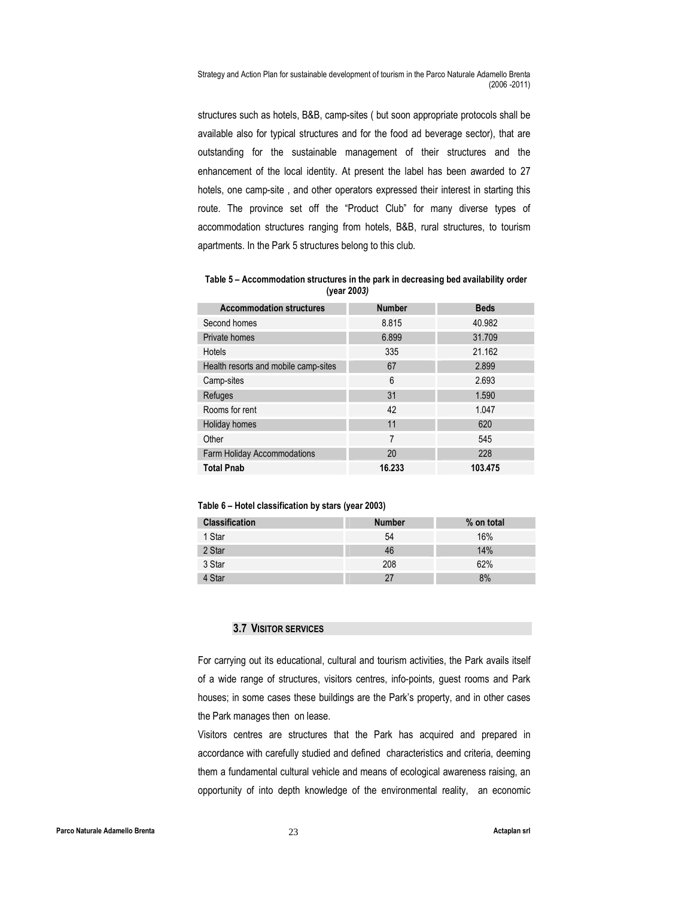structures such as hotels, B&B, camp-sites ( but soon appropriate protocols shall be available also for typical structures and for the food ad beverage sector), that are outstanding for the sustainable management of their structures and the enhancement of the local identity. At present the label has been awarded to 27 hotels, one camp-site , and other operators expressed their interest in starting this route. The province set off the "Product Club" for many diverse types of accommodation structures ranging from hotels, B&B, rural structures, to tourism apartments. In the Park 5 structures belong to this club.

Table 5 – Accommodation structures in the park in decreasing bed availability order (year 2003)

| <b>Accommodation structures</b>      | <b>Number</b> | <b>Beds</b> |
|--------------------------------------|---------------|-------------|
| Second homes                         | 8.815         | 40.982      |
| Private homes                        | 6.899         | 31.709      |
| <b>Hotels</b>                        | 335           | 21.162      |
| Health resorts and mobile camp-sites | 67            | 2.899       |
| Camp-sites                           | 6             | 2.693       |
| Refuges                              | 31            | 1.590       |
| Rooms for rent                       | 42            | 1.047       |
| Holiday homes                        | 11            | 620         |
| Other                                | 7             | 545         |
| <b>Farm Holiday Accommodations</b>   | 20            | 228         |
| <b>Total Pnab</b>                    | 16.233        | 103.475     |

#### Table 6 – Hotel classification by stars (year 2003)

| <b>Classification</b> | <b>Number</b> | % on total |
|-----------------------|---------------|------------|
| 1 Star                | 54            | 16%        |
| 2 Star                | 46            | 14%        |
| 3 Star                | 208           | 62%        |
| 4 Star                | 27            | 8%         |

#### 3.7 VISITOR SERVICES

For carrying out its educational, cultural and tourism activities, the Park avails itself of a wide range of structures, visitors centres, info-points, guest rooms and Park houses; in some cases these buildings are the Park's property, and in other cases the Park manages then on lease.

Visitors centres are structures that the Park has acquired and prepared in accordance with carefully studied and defined characteristics and criteria, deeming them a fundamental cultural vehicle and means of ecological awareness raising, an opportunity of into depth knowledge of the environmental reality, an economic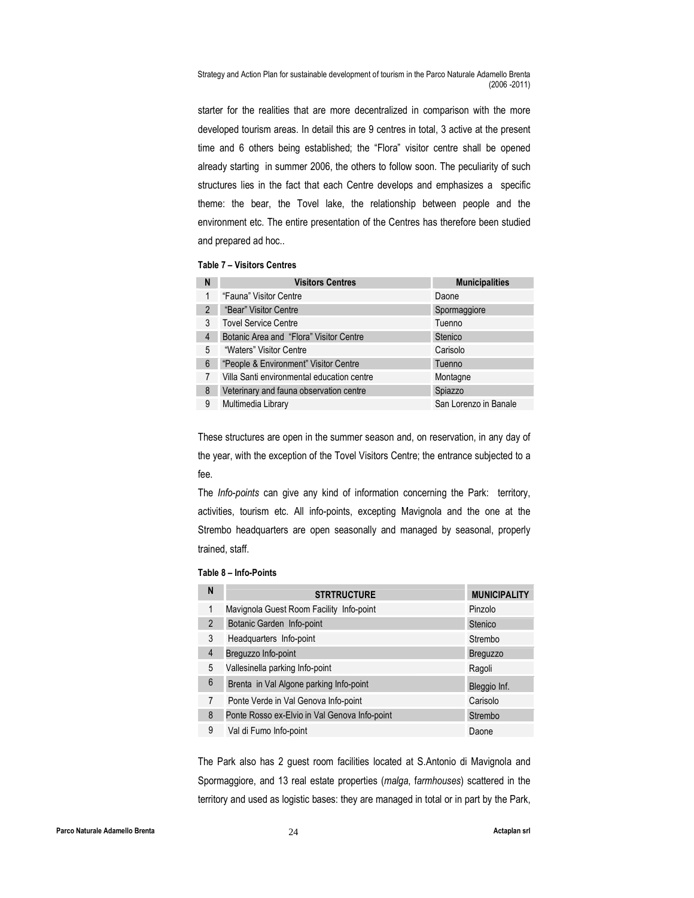starter for the realities that are more decentralized in comparison with the more developed tourism areas. In detail this are 9 centres in total, 3 active at the present time and 6 others being established; the "Flora" visitor centre shall be opened already starting in summer 2006, the others to follow soon. The peculiarity of such structures lies in the fact that each Centre develops and emphasizes a specific theme: the bear, the Tovel lake, the relationship between people and the environment etc. The entire presentation of the Centres has therefore been studied and prepared ad hoc..

Table 7 – Visitors Centres

| N | <b>Visitors Centres</b>                    | <b>Municipalities</b> |
|---|--------------------------------------------|-----------------------|
| 1 | "Fauna" Visitor Centre                     | Daone                 |
| 2 | "Bear" Visitor Centre                      | Spormaggiore          |
| 3 | <b>Tovel Service Centre</b>                | Tuenno                |
| 4 | Botanic Area and "Flora" Visitor Centre    | Stenico               |
| 5 | "Waters" Visitor Centre                    | Carisolo              |
| 6 | "People & Environment" Visitor Centre      | Tuenno                |
| 7 | Villa Santi environmental education centre | Montagne              |
| 8 | Veterinary and fauna observation centre    | Spiazzo               |
| 9 | Multimedia Library                         | San Lorenzo in Banale |

These structures are open in the summer season and, on reservation, in any day of the year, with the exception of the Tovel Visitors Centre; the entrance subjected to a fee.

The Info-points can give any kind of information concerning the Park: territory, activities, tourism etc. All info-points, excepting Mavignola and the one at the Strembo headquarters are open seasonally and managed by seasonal, properly trained, staff.

#### Table 8 – Info-Points

| N | <b>STRTRUCTURE</b>                            | <b>MUNICIPALITY</b> |
|---|-----------------------------------------------|---------------------|
| 1 | Mavignola Guest Room Facility Info-point      | Pinzolo             |
| 2 | Botanic Garden Info-point                     | Stenico             |
| 3 | Headquarters Info-point                       | Strembo             |
| 4 | Breguzzo Info-point                           | <b>Breguzzo</b>     |
| 5 | Vallesinella parking Info-point               | Ragoli              |
| 6 | Brenta in Val Algone parking Info-point       | Bleggio Inf.        |
| 7 | Ponte Verde in Val Genova Info-point          | Carisolo            |
| 8 | Ponte Rosso ex-Elvio in Val Genova Info-point | Strembo             |
| 9 | Val di Fumo Info-point                        | Daone               |

The Park also has 2 guest room facilities located at S.Antonio di Mavignola and Spormaggiore, and 13 real estate properties (malga, farmhouses) scattered in the territory and used as logistic bases: they are managed in total or in part by the Park,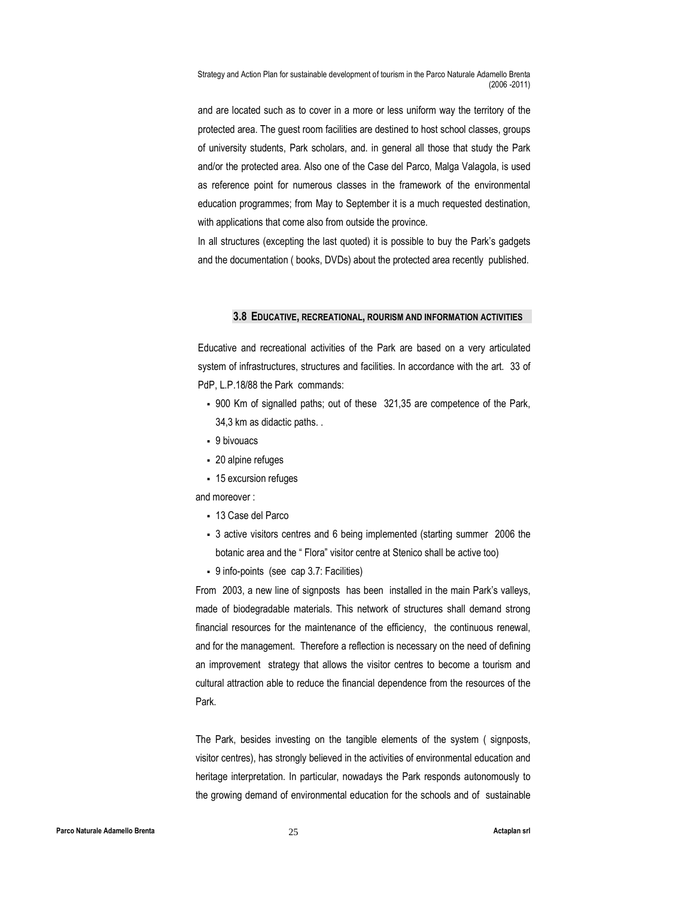and are located such as to cover in a more or less uniform way the territory of the protected area. The guest room facilities are destined to host school classes, groups of university students, Park scholars, and. in general all those that study the Park and/or the protected area. Also one of the Case del Parco, Malga Valagola, is used as reference point for numerous classes in the framework of the environmental education programmes; from May to September it is a much requested destination, with applications that come also from outside the province.

In all structures (excepting the last quoted) it is possible to buy the Park's gadgets and the documentation ( books, DVDs) about the protected area recently published.

#### 3.8 EDUCATIVE, RECREATIONAL, ROURISM AND INFORMATION ACTIVITIES

Educative and recreational activities of the Park are based on a very articulated system of infrastructures, structures and facilities. In accordance with the art. 33 of PdP, L.P.18/88 the Park commands:

- 900 Km of signalled paths; out of these 321,35 are competence of the Park, 34,3 km as didactic paths. .
- 9 bivouacs
- 20 alpine refuges
- 15 excursion refuges

and moreover :

- 13 Case del Parco
- 3 active visitors centres and 6 being implemented (starting summer 2006 the botanic area and the " Flora" visitor centre at Stenico shall be active too)
- 9 info-points (see cap 3.7: Facilities)

From 2003, a new line of signposts has been installed in the main Park's valleys, made of biodegradable materials. This network of structures shall demand strong financial resources for the maintenance of the efficiency, the continuous renewal, and for the management. Therefore a reflection is necessary on the need of defining an improvement strategy that allows the visitor centres to become a tourism and cultural attraction able to reduce the financial dependence from the resources of the Park.

The Park, besides investing on the tangible elements of the system ( signposts, visitor centres), has strongly believed in the activities of environmental education and heritage interpretation. In particular, nowadays the Park responds autonomously to the growing demand of environmental education for the schools and of sustainable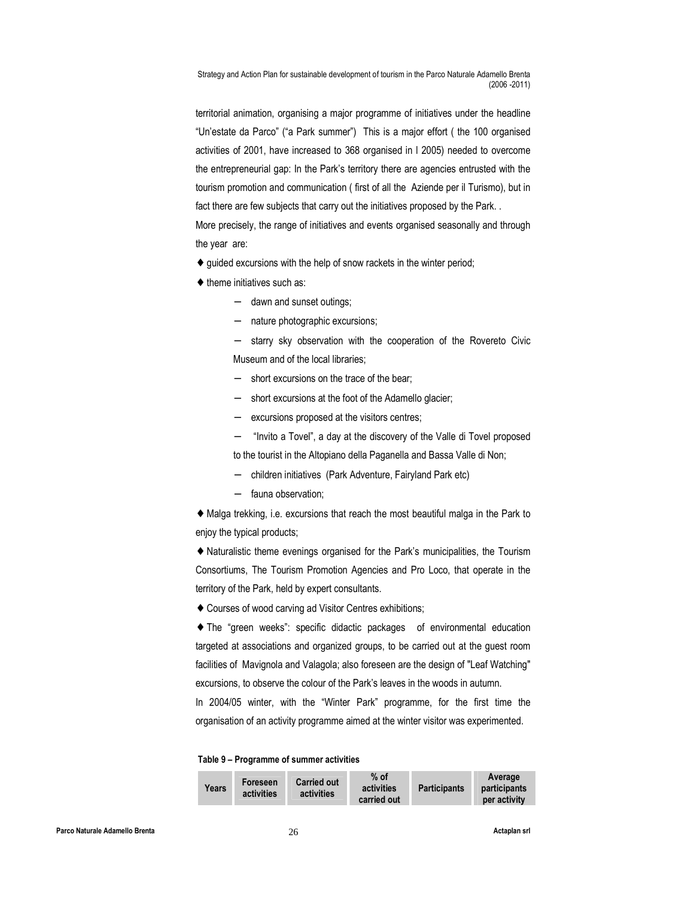territorial animation, organising a major programme of initiatives under the headline "Un'estate da Parco" ("a Park summer") This is a major effort ( the 100 organised activities of 2001, have increased to 368 organised in l 2005) needed to overcome the entrepreneurial gap: In the Park's territory there are agencies entrusted with the tourism promotion and communication ( first of all the Aziende per il Turismo), but in fact there are few subjects that carry out the initiatives proposed by the Park. .

More precisely, the range of initiatives and events organised seasonally and through the year are:

- $\bullet$  guided excursions with the help of snow rackets in the winter period;
- $\triangleleft$  theme initiatives such as:
	- − dawn and sunset outings;
	- − nature photographic excursions;
	- starry sky observation with the cooperation of the Rovereto Civic Museum and of the local libraries;
	- − short excursions on the trace of the bear;
	- short excursions at the foot of the Adamello glacier;
	- − excursions proposed at the visitors centres;
	- − "Invito a Tovel", a day at the discovery of the Valle di Tovel proposed to the tourist in the Altopiano della Paganella and Bassa Valle di Non;
	- − children initiatives (Park Adventure, Fairyland Park etc)
	- − fauna observation;

♦ Malga trekking, i.e. excursions that reach the most beautiful malga in the Park to enjoy the typical products;

♦ Naturalistic theme evenings organised for the Park's municipalities, the Tourism Consortiums, The Tourism Promotion Agencies and Pro Loco, that operate in the territory of the Park, held by expert consultants.

♦ Courses of wood carving ad Visitor Centres exhibitions;

♦ The "green weeks": specific didactic packages of environmental education targeted at associations and organized groups, to be carried out at the guest room facilities of Mavignola and Valagola; also foreseen are the design of "Leaf Watching" excursions, to observe the colour of the Park's leaves in the woods in autumn.

In 2004/05 winter, with the "Winter Park" programme, for the first time the organisation of an activity programme aimed at the winter visitor was experimented.

#### Table 9 – Programme of summer activities

| Years | Foreseen<br>activities | <b>Carried out</b><br>activities | % of<br>activities<br>carried out | <b>Participants</b> | Average<br>participants<br>per activity |
|-------|------------------------|----------------------------------|-----------------------------------|---------------------|-----------------------------------------|
|-------|------------------------|----------------------------------|-----------------------------------|---------------------|-----------------------------------------|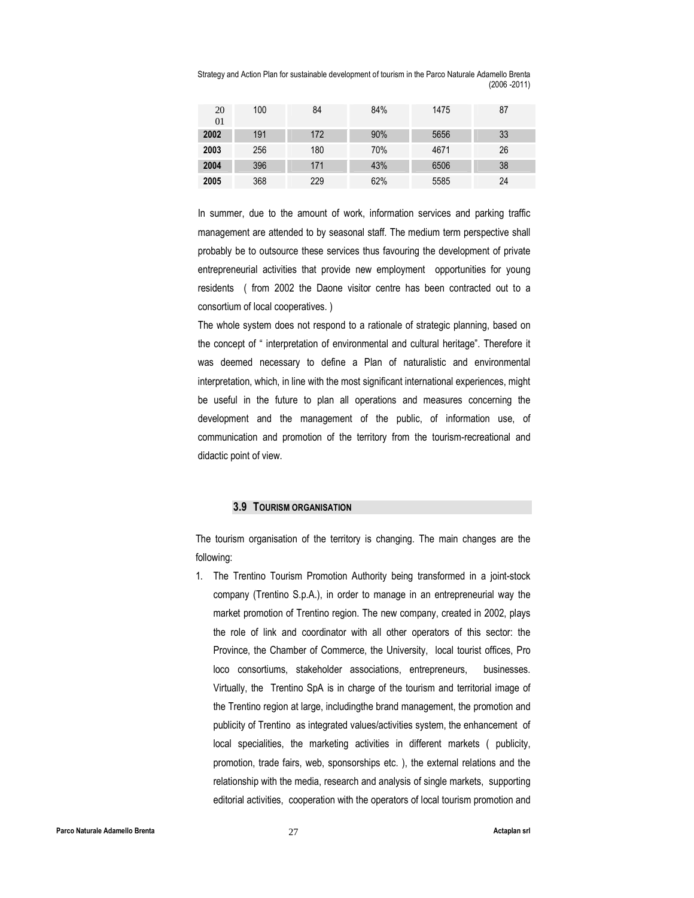| 20<br>01 | 100 | 84  | 84% | 1475 | 87 |
|----------|-----|-----|-----|------|----|
| 2002     | 191 | 172 | 90% | 5656 | 33 |
| 2003     | 256 | 180 | 70% | 4671 | 26 |
| 2004     | 396 | 171 | 43% | 6506 | 38 |
| 2005     | 368 | 229 | 62% | 5585 | 24 |

In summer, due to the amount of work, information services and parking traffic management are attended to by seasonal staff. The medium term perspective shall probably be to outsource these services thus favouring the development of private entrepreneurial activities that provide new employment opportunities for young residents ( from 2002 the Daone visitor centre has been contracted out to a consortium of local cooperatives. )

The whole system does not respond to a rationale of strategic planning, based on the concept of " interpretation of environmental and cultural heritage". Therefore it was deemed necessary to define a Plan of naturalistic and environmental interpretation, which, in line with the most significant international experiences, might be useful in the future to plan all operations and measures concerning the development and the management of the public, of information use, of communication and promotion of the territory from the tourism-recreational and didactic point of view.

#### 3.9 TOURISM ORGANISATION

The tourism organisation of the territory is changing. The main changes are the following:

1. The Trentino Tourism Promotion Authority being transformed in a joint-stock company (Trentino S.p.A.), in order to manage in an entrepreneurial way the market promotion of Trentino region. The new company, created in 2002, plays the role of link and coordinator with all other operators of this sector: the Province, the Chamber of Commerce, the University, local tourist offices, Pro loco consortiums, stakeholder associations, entrepreneurs, businesses. Virtually, the Trentino SpA is in charge of the tourism and territorial image of the Trentino region at large, includingthe brand management, the promotion and publicity of Trentino as integrated values/activities system, the enhancement of local specialities, the marketing activities in different markets ( publicity, promotion, trade fairs, web, sponsorships etc. ), the external relations and the relationship with the media, research and analysis of single markets, supporting editorial activities, cooperation with the operators of local tourism promotion and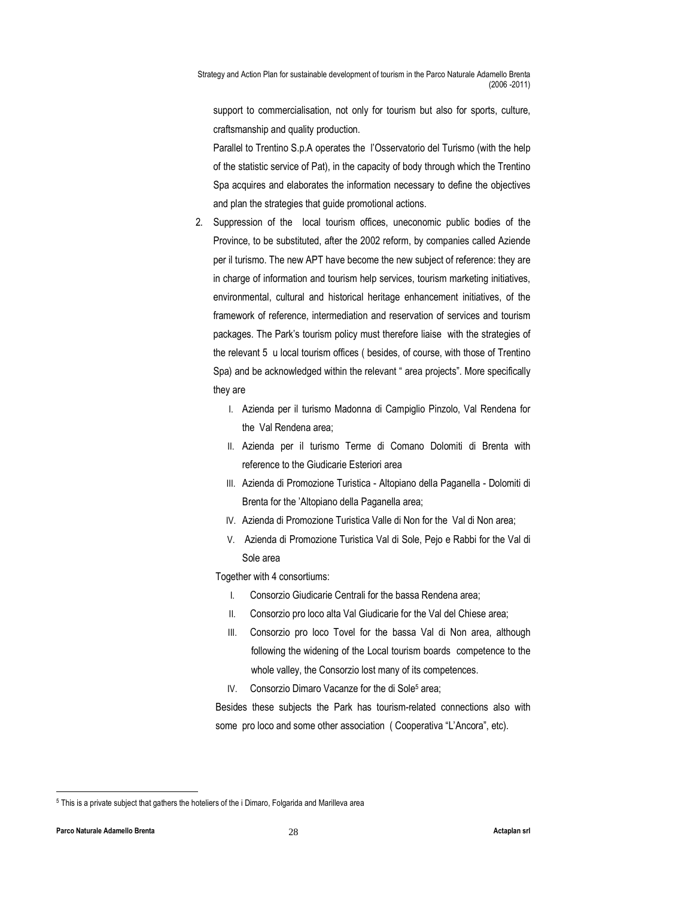support to commercialisation, not only for tourism but also for sports, culture, craftsmanship and quality production.

Parallel to Trentino S.p.A operates the l'Osservatorio del Turismo (with the help of the statistic service of Pat), in the capacity of body through which the Trentino Spa acquires and elaborates the information necessary to define the objectives and plan the strategies that guide promotional actions.

- 2. Suppression of the local tourism offices, uneconomic public bodies of the Province, to be substituted, after the 2002 reform, by companies called Aziende per il turismo. The new APT have become the new subject of reference: they are in charge of information and tourism help services, tourism marketing initiatives, environmental, cultural and historical heritage enhancement initiatives, of the framework of reference, intermediation and reservation of services and tourism packages. The Park's tourism policy must therefore liaise with the strategies of the relevant 5 u local tourism offices ( besides, of course, with those of Trentino Spa) and be acknowledged within the relevant " area projects". More specifically they are
	- I. Azienda per il turismo Madonna di Campiglio Pinzolo, Val Rendena for the Val Rendena area;
	- II. Azienda per il turismo Terme di Comano Dolomiti di Brenta with reference to the Giudicarie Esteriori area
	- III. Azienda di Promozione Turistica Altopiano della Paganella Dolomiti di Brenta for the 'Altopiano della Paganella area;
	- IV. Azienda di Promozione Turistica Valle di Non for the Val di Non area;
	- V. Azienda di Promozione Turistica Val di Sole, Pejo e Rabbi for the Val di Sole area

Together with 4 consortiums:

- I. Consorzio Giudicarie Centrali for the bassa Rendena area;
- II. Consorzio pro loco alta Val Giudicarie for the Val del Chiese area;
- III. Consorzio pro loco Tovel for the bassa Val di Non area, although following the widening of the Local tourism boards competence to the whole valley, the Consorzio lost many of its competences.
- IV. Consorzio Dimaro Vacanze for the di Sole<sup>5</sup> area;

Besides these subjects the Park has tourism-related connections also with some pro loco and some other association ( Cooperativa "L'Ancora", etc).

-

<sup>&</sup>lt;sup>5</sup> This is a private subject that gathers the hoteliers of the i Dimaro, Folgarida and Marilleva area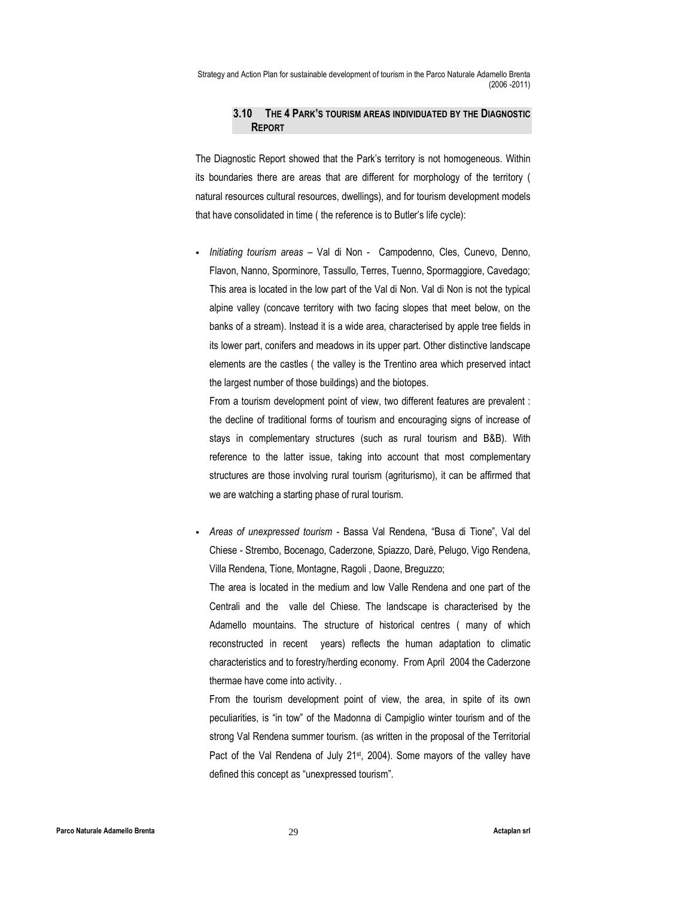## 3.10 THE 4 PARK'S TOURISM AREAS INDIVIDUATED BY THE DIAGNOSTIC REPORT

The Diagnostic Report showed that the Park's territory is not homogeneous. Within its boundaries there are areas that are different for morphology of the territory ( natural resources cultural resources, dwellings), and for tourism development models that have consolidated in time ( the reference is to Butler's life cycle):

 Initiating tourism areas – Val di Non - Campodenno, Cles, Cunevo, Denno, Flavon, Nanno, Sporminore, Tassullo, Terres, Tuenno, Spormaggiore, Cavedago; This area is located in the low part of the Val di Non. Val di Non is not the typical alpine valley (concave territory with two facing slopes that meet below, on the banks of a stream). Instead it is a wide area, characterised by apple tree fields in its lower part, conifers and meadows in its upper part. Other distinctive landscape elements are the castles ( the valley is the Trentino area which preserved intact the largest number of those buildings) and the biotopes.

From a tourism development point of view, two different features are prevalent : the decline of traditional forms of tourism and encouraging signs of increase of stays in complementary structures (such as rural tourism and B&B). With reference to the latter issue, taking into account that most complementary structures are those involving rural tourism (agriturismo), it can be affirmed that we are watching a starting phase of rural tourism.

 Areas of unexpressed tourism - Bassa Val Rendena, "Busa di Tione", Val del Chiese - Strembo, Bocenago, Caderzone, Spiazzo, Darè, Pelugo, Vigo Rendena, Villa Rendena, Tione, Montagne, Ragoli , Daone, Breguzzo;

The area is located in the medium and low Valle Rendena and one part of the Centrali and the valle del Chiese. The landscape is characterised by the Adamello mountains. The structure of historical centres ( many of which reconstructed in recent years) reflects the human adaptation to climatic characteristics and to forestry/herding economy. From April 2004 the Caderzone thermae have come into activity. .

From the tourism development point of view, the area, in spite of its own peculiarities, is "in tow" of the Madonna di Campiglio winter tourism and of the strong Val Rendena summer tourism. (as written in the proposal of the Territorial Pact of the Val Rendena of July 21<sup>st</sup>, 2004). Some mayors of the valley have defined this concept as "unexpressed tourism".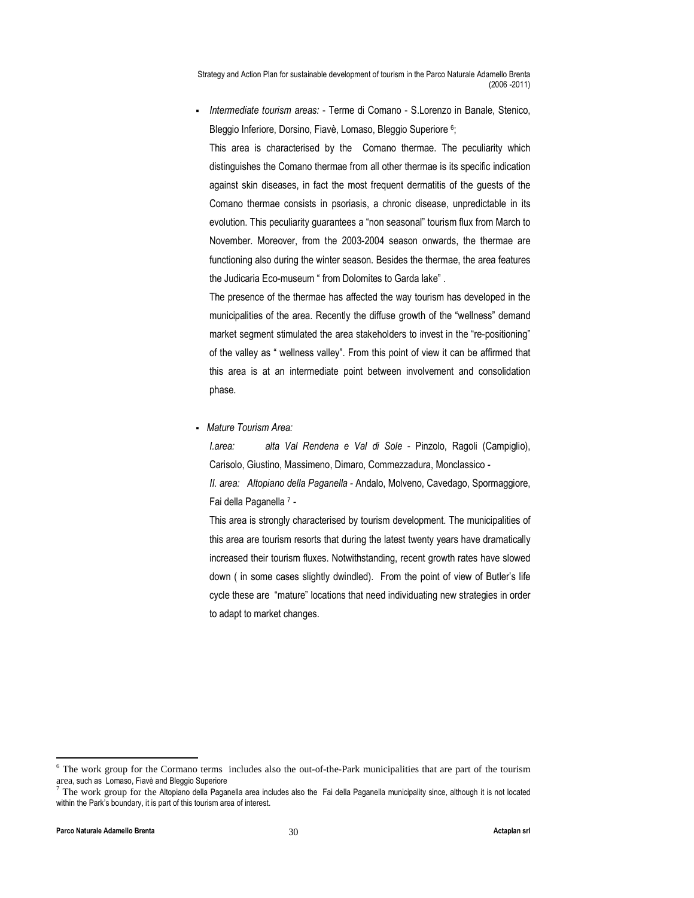Intermediate tourism areas: - Terme di Comano - S.Lorenzo in Banale, Stenico, Bleggio Inferiore, Dorsino, Fiavè, Lomaso, Bleggio Superiore <sup>6</sup>; This area is characterised by the Comano thermae. The peculiarity which distinguishes the Comano thermae from all other thermae is its specific indication against skin diseases, in fact the most frequent dermatitis of the guests of the Comano thermae consists in psoriasis, a chronic disease, unpredictable in its evolution. This peculiarity guarantees a "non seasonal" tourism flux from March to November. Moreover, from the 2003-2004 season onwards, the thermae are functioning also during the winter season. Besides the thermae, the area features the Judicaria Eco-museum " from Dolomites to Garda lake" .

The presence of the thermae has affected the way tourism has developed in the municipalities of the area. Recently the diffuse growth of the "wellness" demand market segment stimulated the area stakeholders to invest in the "re-positioning" of the valley as " wellness valley". From this point of view it can be affirmed that this area is at an intermediate point between involvement and consolidation phase.

• Mature Tourism Area:

I.area: alta Val Rendena e Val di Sole - Pinzolo, Ragoli (Campiglio), Carisolo, Giustino, Massimeno, Dimaro, Commezzadura, Monclassico - II. area: Altopiano della Paganella - Andalo, Molveno, Cavedago, Spormaggiore, Fai della Paganella 7 -

This area is strongly characterised by tourism development. The municipalities of this area are tourism resorts that during the latest twenty years have dramatically increased their tourism fluxes. Notwithstanding, recent growth rates have slowed down ( in some cases slightly dwindled). From the point of view of Butler's life cycle these are "mature" locations that need individuating new strategies in order to adapt to market changes.

<sup>&</sup>lt;sup>6</sup> The work group for the Cormano terms includes also the out-of-the-Park municipalities that are part of the tourism area, such as Lomaso, Fiavè and Bleggio Superiore

 $^7$  The work group for the Altopiano della Paganella area includes also the Fai della Paganella municipality since, although it is not located within the Park's boundary, it is part of this tourism area of interest.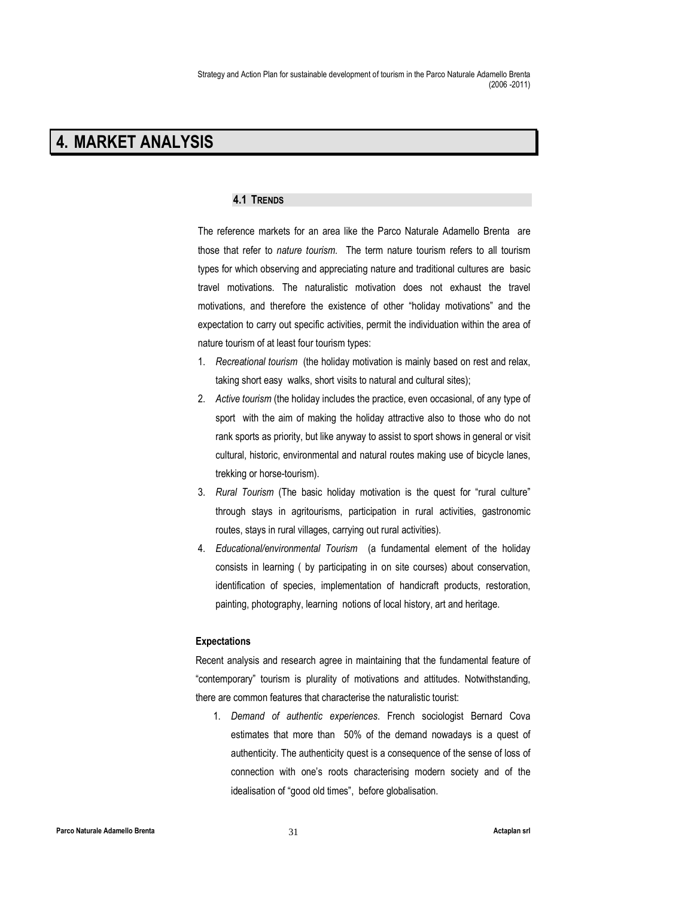# 4. MARKET ANALYSIS

#### 4.1 TRENDS

The reference markets for an area like the Parco Naturale Adamello Brenta are those that refer to nature tourism. The term nature tourism refers to all tourism types for which observing and appreciating nature and traditional cultures are basic travel motivations. The naturalistic motivation does not exhaust the travel motivations, and therefore the existence of other "holiday motivations" and the expectation to carry out specific activities, permit the individuation within the area of nature tourism of at least four tourism types:

- 1. Recreational tourism (the holiday motivation is mainly based on rest and relax, taking short easy walks, short visits to natural and cultural sites);
- 2. Active tourism (the holiday includes the practice, even occasional, of any type of sport with the aim of making the holiday attractive also to those who do not rank sports as priority, but like anyway to assist to sport shows in general or visit cultural, historic, environmental and natural routes making use of bicycle lanes, trekking or horse-tourism).
- 3. Rural Tourism (The basic holiday motivation is the quest for "rural culture" through stays in agritourisms, participation in rural activities, gastronomic routes, stays in rural villages, carrying out rural activities).
- 4. Educational/environmental Tourism (a fundamental element of the holiday consists in learning ( by participating in on site courses) about conservation, identification of species, implementation of handicraft products, restoration, painting, photography, learning notions of local history, art and heritage.

#### Expectations

Recent analysis and research agree in maintaining that the fundamental feature of "contemporary" tourism is plurality of motivations and attitudes. Notwithstanding, there are common features that characterise the naturalistic tourist:

1. Demand of authentic experiences. French sociologist Bernard Cova estimates that more than 50% of the demand nowadays is a quest of authenticity. The authenticity quest is a consequence of the sense of loss of connection with one's roots characterising modern society and of the idealisation of "good old times", before globalisation.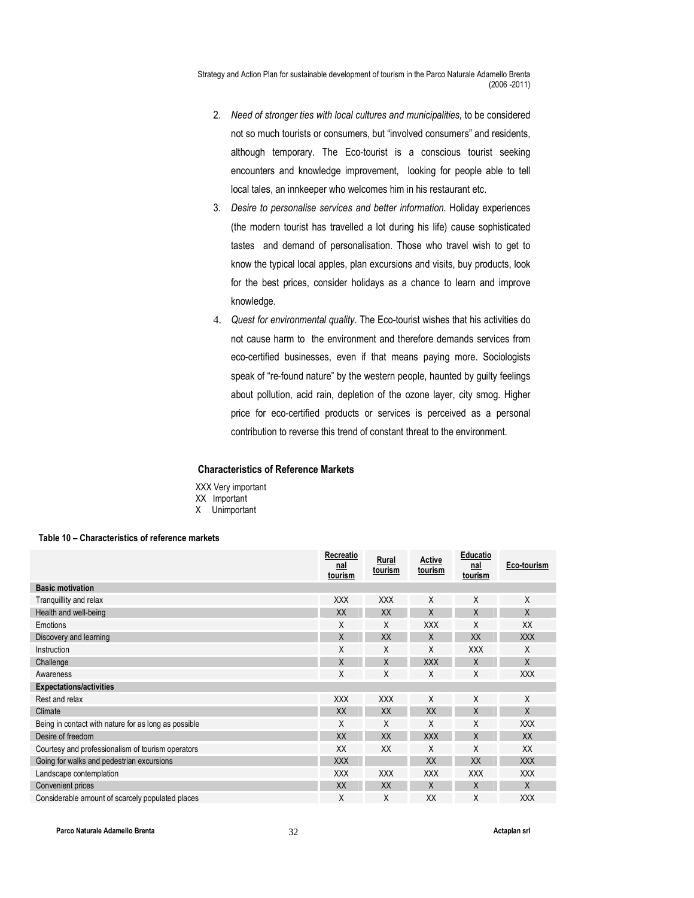- 2. Need of stronger ties with local cultures and municipalities, to be considered not so much tourists or consumers, but "involved consumers" and residents, although temporary. The Eco-tourist is a conscious tourist seeking encounters and knowledge improvement, looking for people able to tell local tales, an innkeeper who welcomes him in his restaurant etc.
- 3. Desire to personalise services and better information. Holiday experiences (the modern tourist has travelled a lot during his life) cause sophisticated tastes and demand of personalisation. Those who travel wish to get to know the typical local apples, plan excursions and visits, buy products, look for the best prices, consider holidays as a chance to learn and improve knowledge.
- 4. Quest for environmental quality. The Eco-tourist wishes that his activities do not cause harm to the environment and therefore demands services from eco-certified businesses, even if that means paying more. Sociologists speak of "re-found nature" by the western people, haunted by guilty feelings about pollution, acid rain, depletion of the ozone layer, city smog. Higher price for eco-certified products or services is perceived as a personal contribution to reverse this trend of constant threat to the environment.

# Characteristics of Reference Markets

XXX Very important XX Important X Unimportant

#### Table 10 – Characteristics of reference markets

|                                                      | Recreatio<br><u>nal</u><br>tourism | Rural<br>tourism | Active<br>tourism | Educatio<br><u>nal</u><br>tourism | Eco-tourism |
|------------------------------------------------------|------------------------------------|------------------|-------------------|-----------------------------------|-------------|
| <b>Basic motivation</b>                              |                                    |                  |                   |                                   |             |
| Tranguillity and relax                               | <b>XXX</b>                         | <b>XXX</b>       | Χ                 | X                                 | X           |
| Health and well-being                                | XX                                 | XX               | X                 | X                                 | X           |
| Emotions                                             | X                                  | X                | <b>XXX</b>        | X                                 | XX          |
| Discovery and learning                               | X                                  | XX               | X                 | XX                                | <b>XXX</b>  |
| Instruction                                          | X                                  | X                | Χ                 | <b>XXX</b>                        | X           |
| Challenge                                            | X                                  | X                | <b>XXX</b>        | X                                 | X           |
| Awareness                                            | Χ                                  | X                | Χ                 | X                                 | <b>XXX</b>  |
| <b>Expectations/activities</b>                       |                                    |                  |                   |                                   |             |
| Rest and relax                                       | <b>XXX</b>                         | <b>XXX</b>       | X                 | X                                 | X           |
| Climate                                              | XX                                 | XX               | XX                | X                                 | X           |
| Being in contact with nature for as long as possible | X                                  | X                | X                 | X                                 | <b>XXX</b>  |
| Desire of freedom                                    | XX                                 | XX               | <b>XXX</b>        | X                                 | XX          |
| Courtesy and professionalism of tourism operators    | XX                                 | XX               | Χ                 | X                                 | XX          |
| Going for walks and pedestrian excursions            | <b>XXX</b>                         |                  | XX                | XX                                | <b>XXX</b>  |
| Landscape contemplation                              | <b>XXX</b>                         | <b>XXX</b>       | <b>XXX</b>        | <b>XXX</b>                        | <b>XXX</b>  |
| Convenient prices                                    | XX                                 | XX               | Χ                 | X                                 | X           |
| Considerable amount of scarcely populated places     | X                                  | X                | XX                | X                                 | <b>XXX</b>  |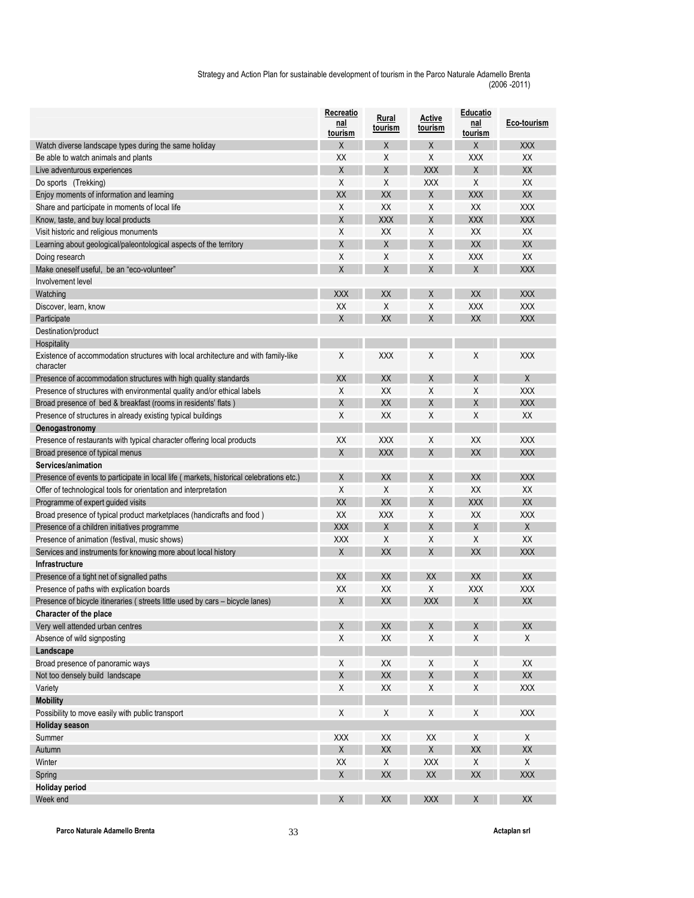|                                                                                                 | Recreatio<br>nal<br>tourism | Rural<br>tourism | Active<br><u>tourism</u> | Educatio<br>nal<br>tourism | Eco-tourism            |
|-------------------------------------------------------------------------------------------------|-----------------------------|------------------|--------------------------|----------------------------|------------------------|
| Watch diverse landscape types during the same holiday                                           | X                           | Χ                | X                        | X                          | <b>XXX</b>             |
| Be able to watch animals and plants                                                             | XX                          | Χ                | Χ                        | <b>XXX</b>                 | XX                     |
| Live adventurous experiences                                                                    | X                           | X                | <b>XXX</b>               | X                          | XX                     |
| Do sports (Trekking)                                                                            | Χ                           | Χ                | <b>XXX</b>               | Χ                          | XX                     |
| Enjoy moments of information and learning                                                       | XX                          | XX               | X                        | <b>XXX</b>                 | XX                     |
| Share and participate in moments of local life                                                  | X                           | XX               | X                        | XX                         | <b>XXX</b>             |
| Know, taste, and buy local products                                                             | X                           | <b>XXX</b>       | X                        | <b>XXX</b>                 | <b>XXX</b>             |
| Visit historic and religious monuments                                                          | Χ                           | XX               | Χ                        | XX                         | XX                     |
| Learning about geological/paleontological aspects of the territory                              | X                           | Χ                | X                        | XX                         | XX                     |
| Doing research                                                                                  | Χ                           | Χ                | Χ                        | <b>XXX</b>                 | XX                     |
| Make oneself useful, be an "eco-volunteer"                                                      | X                           | X                | X                        | X                          | <b>XXX</b>             |
| Involvement level                                                                               |                             |                  |                          |                            |                        |
| Watching                                                                                        | <b>XXX</b>                  | XX               | X                        | XX                         | <b>XXX</b>             |
| Discover, learn, know                                                                           | XX                          | X                | Χ                        | <b>XXX</b>                 | <b>XXX</b>             |
| Participate                                                                                     | X                           | XX               | X                        | XX                         | <b>XXX</b>             |
|                                                                                                 |                             |                  |                          |                            |                        |
| Destination/product<br>Hospitality                                                              |                             |                  |                          |                            |                        |
| Existence of accommodation structures with local architecture and with family-like<br>character | Χ                           | <b>XXX</b>       | Χ                        | Χ                          | <b>XXX</b>             |
| Presence of accommodation structures with high quality standards                                | XХ                          | XX               | Χ                        | X                          | X                      |
| Presence of structures with environmental quality and/or ethical labels                         | X                           | XX               | X                        | X                          | <b>XXX</b>             |
| Broad presence of bed & breakfast (rooms in residents' flats)                                   | X                           | XX               | X                        | X                          | <b>XXX</b>             |
| Presence of structures in already existing typical buildings                                    | Χ                           | XX               | Χ                        | Χ                          | XX                     |
| Oenogastronomy                                                                                  |                             |                  |                          |                            |                        |
| Presence of restaurants with typical character offering local products                          | XX                          | <b>XXX</b>       | Χ                        | XX                         | <b>XXX</b>             |
| Broad presence of typical menus                                                                 | X                           | <b>XXX</b>       | X                        | XX                         | <b>XXX</b>             |
| Services/animation                                                                              |                             |                  |                          |                            |                        |
| Presence of events to participate in local life (markets, historical celebrations etc.)         | X                           | XX               | X                        | XX                         | <b>XXX</b>             |
| Offer of technological tools for orientation and interpretation                                 | X                           | X                | Χ                        | XX                         | XX                     |
| Programme of expert guided visits                                                               | XX                          | XX               | X                        | <b>XXX</b>                 | XX                     |
| Broad presence of typical product marketplaces (handicrafts and food)                           | XX                          | <b>XXX</b>       | Χ                        | XX                         | <b>XXX</b>             |
| Presence of a children initiatives programme                                                    | <b>XXX</b>                  | X                | X                        | X                          | X                      |
| Presence of animation (festival, music shows)                                                   | <b>XXX</b>                  | Χ                | Χ                        | Χ                          | XX                     |
| Services and instruments for knowing more about local history                                   | Χ                           | XX               | X                        | XX                         | <b>XXX</b>             |
| <b>Infrastructure</b>                                                                           |                             |                  |                          |                            |                        |
| Presence of a tight net of signalled paths                                                      | XX                          | XX               | XX                       | XX                         | XX                     |
| Presence of paths with explication boards                                                       | XX                          | XX               | X                        | <b>XXX</b>                 | <b>XXX</b>             |
| Presence of bicycle itineraries (streets little used by cars – bicycle lanes)                   | Χ                           | XX               | <b>XXX</b>               | X                          | XX                     |
| Character of the place                                                                          |                             |                  |                          |                            |                        |
| Very well attended urban centres                                                                | $\mathsf X$                 | XX               | Χ                        | $\pmb{\chi}$               | XX                     |
| Absence of wild signposting                                                                     | Χ                           | XX               | Χ                        | Χ                          | X                      |
| Landscape                                                                                       |                             |                  |                          |                            |                        |
| Broad presence of panoramic ways                                                                | Χ                           | XX               | X                        | Χ                          | XX                     |
| Not too densely build landscape                                                                 | $\mathsf X$                 | XX               | Χ                        | $\mathsf X$                | XX                     |
| Variety                                                                                         | Χ                           | XX               | X                        | Χ                          | <b>XXX</b>             |
|                                                                                                 |                             |                  |                          |                            |                        |
| <b>Mobility</b>                                                                                 | Χ                           | X                | X                        | Χ                          |                        |
| Possibility to move easily with public transport                                                |                             |                  |                          |                            | <b>XXX</b>             |
| <b>Holiday season</b>                                                                           |                             |                  |                          |                            |                        |
| Summer                                                                                          | <b>XXX</b><br>$\mathsf X$   | XX<br>XX         | XX<br>$\sf X$            | X<br>XX                    | X                      |
| Autumn                                                                                          |                             |                  |                          |                            | XX                     |
| Winter                                                                                          | XX                          | X                | XXX                      | X                          | X                      |
| Spring                                                                                          | $\mathsf X$                 | XX               | XX                       | XX                         | <b>XXX</b>             |
| <b>Holiday period</b>                                                                           |                             |                  |                          |                            |                        |
| Week end                                                                                        | Χ                           | XX               | XXX                      | $\mathsf X$                | $\mathsf{X}\mathsf{X}$ |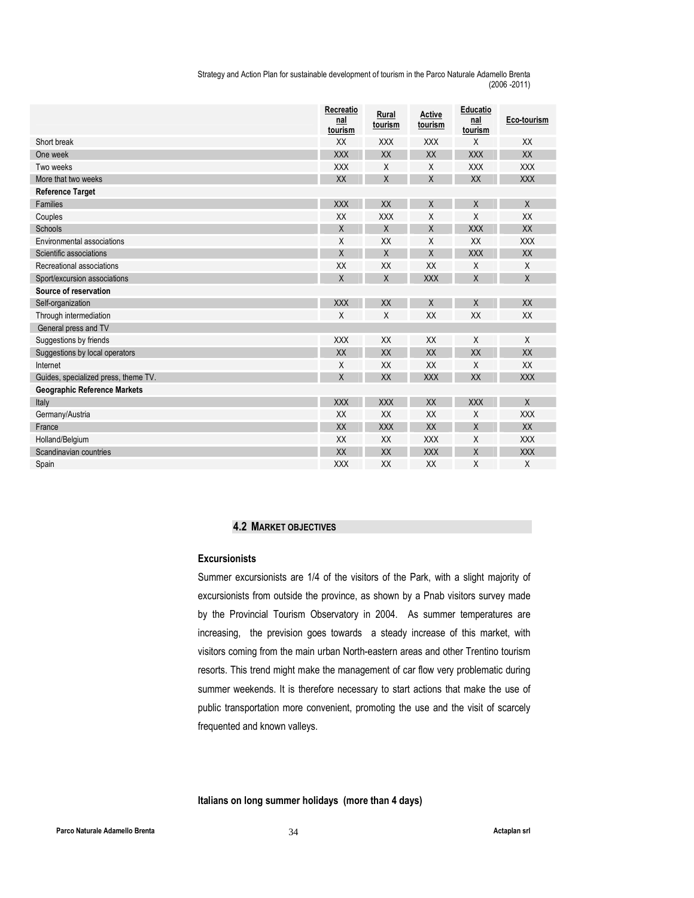|                                      | Recreatio<br>nal<br>tourism | Rural<br>tourism | Active<br>tourism | <b>Educatio</b><br>nal<br>tourism | Eco-tourism |
|--------------------------------------|-----------------------------|------------------|-------------------|-----------------------------------|-------------|
| Short break                          | XX                          | <b>XXX</b>       | <b>XXX</b>        | X                                 | XX          |
| One week                             | <b>XXX</b>                  | XX               | XX                | <b>XXX</b>                        | XX          |
| Two weeks                            | <b>XXX</b>                  | X                | X                 | <b>XXX</b>                        | <b>XXX</b>  |
| More that two weeks                  | XX                          | X                | $\mathsf{X}$      | XX                                | <b>XXX</b>  |
| <b>Reference Target</b>              |                             |                  |                   |                                   |             |
| <b>Families</b>                      | <b>XXX</b>                  | XX               | X                 | $\sf X$                           | X           |
| Couples                              | XX                          | <b>XXX</b>       | Χ                 | X                                 | XX          |
| Schools                              | $\sf X$                     | $\mathsf{X}$     | X                 | <b>XXX</b>                        | XX          |
| Environmental associations           | X                           | XX               | Χ                 | XX                                | <b>XXX</b>  |
| Scientific associations              | $\mathsf{X}$                | X                | X                 | <b>XXX</b>                        | XX          |
| Recreational associations            | XX                          | XX               | XX                | X                                 | X           |
| Sport/excursion associations         | $\sf X$                     | X                | <b>XXX</b>        | $\sf X$                           | X           |
| Source of reservation                |                             |                  |                   |                                   |             |
| Self-organization                    | <b>XXX</b>                  | XX               | X                 | X                                 | XX          |
| Through intermediation               | X                           | X                | XX                | XX                                | XX          |
| General press and TV                 |                             |                  |                   |                                   |             |
| Suggestions by friends               | <b>XXX</b>                  | XX               | XX                | X                                 | X           |
| Suggestions by local operators       | XX                          | XX               | XX                | <b>XX</b>                         | XX          |
| Internet                             | X                           | XX               | XX                | X                                 | XX          |
| Guides, specialized press, theme TV. | $\sf X$                     | XX               | <b>XXX</b>        | <b>XX</b>                         | <b>XXX</b>  |
| <b>Geographic Reference Markets</b>  |                             |                  |                   |                                   |             |
| Italy                                | <b>XXX</b>                  | <b>XXX</b>       | XX                | <b>XXX</b>                        | X           |
| Germany/Austria                      | XX                          | XX               | XX                | X                                 | <b>XXX</b>  |
| France                               | XX                          | <b>XXX</b>       | XX                | $\mathsf{X}$                      | XX          |
| Holland/Belgium                      | XX                          | XX               | <b>XXX</b>        | X                                 | <b>XXX</b>  |
| Scandinavian countries               | XX                          | XX               | <b>XXX</b>        | X                                 | <b>XXX</b>  |
| Spain                                | <b>XXX</b>                  | XX               | XX                | X                                 | X           |

### 4.2 MARKET OBJECTIVES

# Excursionists

Summer excursionists are 1/4 of the visitors of the Park, with a slight majority of excursionists from outside the province, as shown by a Pnab visitors survey made by the Provincial Tourism Observatory in 2004. As summer temperatures are increasing, the prevision goes towards a steady increase of this market, with visitors coming from the main urban North-eastern areas and other Trentino tourism resorts. This trend might make the management of car flow very problematic during summer weekends. It is therefore necessary to start actions that make the use of public transportation more convenient, promoting the use and the visit of scarcely frequented and known valleys.

Italians on long summer holidays (more than 4 days)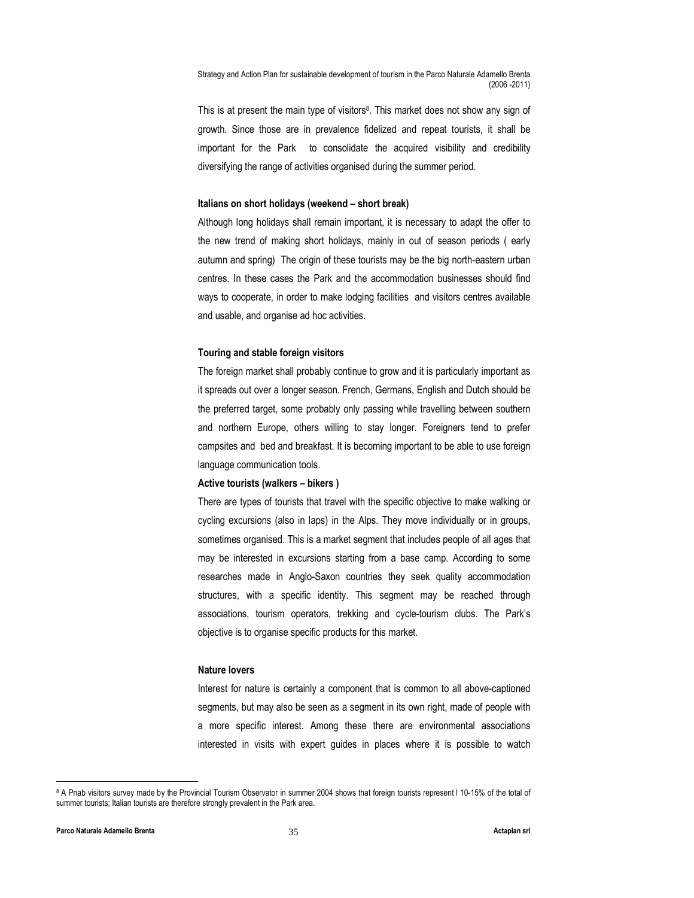This is at present the main type of visitors<sup>8</sup>. This market does not show any sign of growth. Since those are in prevalence fidelized and repeat tourists, it shall be important for the Park to consolidate the acquired visibility and credibility diversifying the range of activities organised during the summer period.

#### Italians on short holidays (weekend – short break)

Although long holidays shall remain important, it is necessary to adapt the offer to the new trend of making short holidays, mainly in out of season periods ( early autumn and spring) The origin of these tourists may be the big north-eastern urban centres. In these cases the Park and the accommodation businesses should find ways to cooperate, in order to make lodging facilities and visitors centres available and usable, and organise ad hoc activities.

#### Touring and stable foreign visitors

The foreign market shall probably continue to grow and it is particularly important as it spreads out over a longer season. French, Germans, English and Dutch should be the preferred target, some probably only passing while travelling between southern and northern Europe, others willing to stay longer. Foreigners tend to prefer campsites and bed and breakfast. It is becoming important to be able to use foreign language communication tools.

#### Active tourists (walkers – bikers )

There are types of tourists that travel with the specific objective to make walking or cycling excursions (also in laps) in the Alps. They move individually or in groups, sometimes organised. This is a market segment that includes people of all ages that may be interested in excursions starting from a base camp. According to some researches made in Anglo-Saxon countries they seek quality accommodation structures, with a specific identity. This segment may be reached through associations, tourism operators, trekking and cycle-tourism clubs. The Park's objective is to organise specific products for this market.

#### Nature lovers

Interest for nature is certainly a component that is common to all above-captioned segments, but may also be seen as a segment in its own right, made of people with a more specific interest. Among these there are environmental associations interested in visits with expert guides in places where it is possible to watch

-

<sup>8</sup> A Pnab visitors survey made by the Provincial Tourism Observator in summer 2004 shows that foreign tourists represent l 10-15% of the total of summer tourists; Italian tourists are therefore strongly prevalent in the Park area.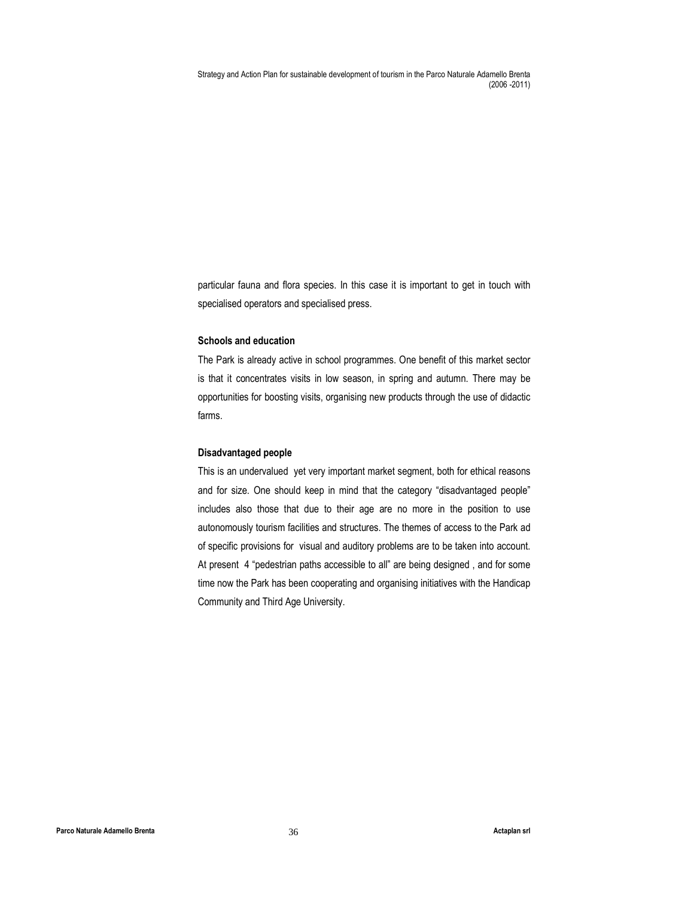particular fauna and flora species. In this case it is important to get in touch with specialised operators and specialised press.

#### Schools and education

The Park is already active in school programmes. One benefit of this market sector is that it concentrates visits in low season, in spring and autumn. There may be opportunities for boosting visits, organising new products through the use of didactic farms.

#### Disadvantaged people

This is an undervalued yet very important market segment, both for ethical reasons and for size. One should keep in mind that the category "disadvantaged people" includes also those that due to their age are no more in the position to use autonomously tourism facilities and structures. The themes of access to the Park ad of specific provisions for visual and auditory problems are to be taken into account. At present 4 "pedestrian paths accessible to all" are being designed , and for some time now the Park has been cooperating and organising initiatives with the Handicap Community and Third Age University.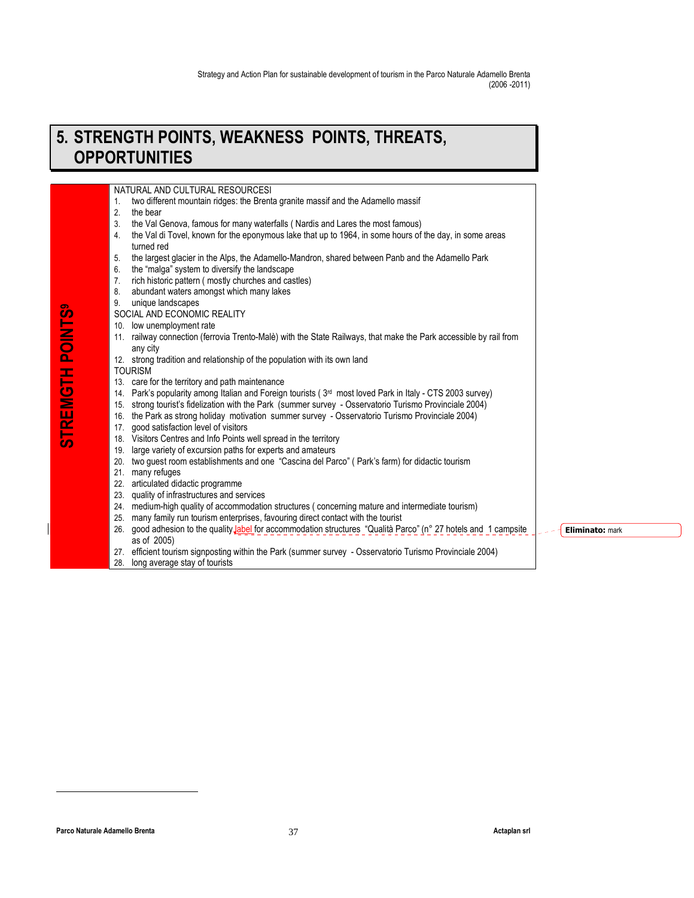## 5. STRENGTH POINTS, WEAKNESS POINTS, THREATS, **OPPORTUNITIES**

NATURAL AND CULTURAL RESOURCESI

- 1. two different mountain ridges: the Brenta granite massif and the Adamello massif
- 2. the bear
- 3. the Val Genova, famous for many waterfalls ( Nardis and Lares the most famous)
- 4. the Val di Tovel, known for the eponymous lake that up to 1964, in some hours of the day, in some areas turned red
- 5. the largest glacier in the Alps, the Adamello-Mandron, shared between Panb and the Adamello Park 6. the "malga" system to diversify the landscape
- 7. rich historic pattern ( mostly churches and castles)
- 8. abundant waters amongst which many lakes
- 9. unique landscapes
- SOCIAL AND ECONOMIC REALITY
- 10. low unemployment rate
- 11. railway connection (ferrovia Trento-Malè) with the State Railways, that make the Park accessible by rail from any city
- 12. strong tradition and relationship of the population with its own land
- TOURISM

STREMGTH POINTS9

**STREMGTH POINTS'** 

- 13. care for the territory and path maintenance
- 14. Park's popularity among Italian and Foreign tourists (3rd most loved Park in Italy CTS 2003 survey)
- 15. strong tourist's fidelization with the Park (summer survey Osservatorio Turismo Provinciale 2004)
- 16. the Park as strong holiday motivation summer survey Osservatorio Turismo Provinciale 2004)
- 17. good satisfaction level of visitors
- 18. Visitors Centres and Info Points well spread in the territory
- 19. large variety of excursion paths for experts and amateurs
- 20. two guest room establishments and one "Cascina del Parco" ( Park's farm) for didactic tourism
- 21. many refuges
- 22. articulated didactic programme
- 23. quality of infrastructures and services
- 24. medium-high quality of accommodation structures ( concerning mature and intermediate tourism)
- 25. many family run tourism enterprises, favouring direct contact with the tourist
- 26. good adhesion to the quality label for accommodation structures "Qualità Parco" (n° 27 hotels and 1 campsite as of 2005)
- 27. efficient tourism signposting within the Park (summer survey Osservatorio Turismo Provinciale 2004)
- 28. long average stay of tourists

**Eliminato: mark**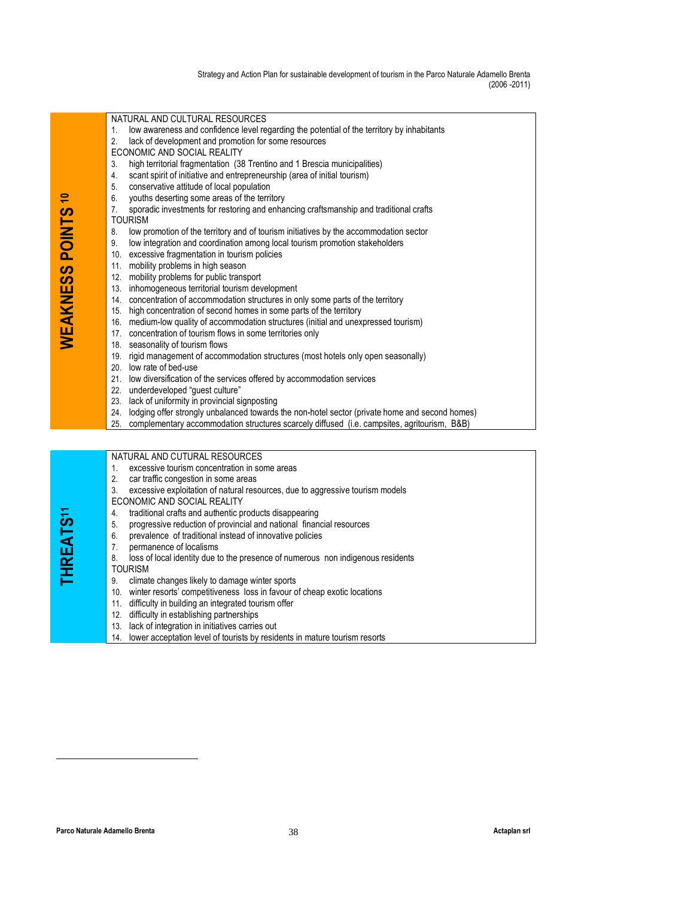| NATURAL AND CULTURAL RESOURCES                                                                               |
|--------------------------------------------------------------------------------------------------------------|
| low awareness and confidence level regarding the potential of the territory by inhabitants<br>$\mathbf{1}$ . |
| lack of development and promotion for some resources<br>2.                                                   |
| ECONOMIC AND SOCIAL REALITY                                                                                  |
| high territorial fragmentation (38 Trentino and 1 Brescia municipalities)<br>3.                              |
| scant spirit of initiative and entrepreneurship (area of initial tourism)<br>4.                              |
| conservative attitude of local population<br>5.                                                              |
| youths deserting some areas of the territory<br>6.                                                           |
| sporadic investments for restoring and enhancing craftsmanship and traditional crafts<br>7 <sub>1</sub>      |
| <b>TOURISM</b>                                                                                               |
| low promotion of the territory and of tourism initiatives by the accommodation sector<br>8.                  |
| low integration and coordination among local tourism promotion stakeholders<br>9.                            |
| 10. excessive fragmentation in tourism policies                                                              |
| 11. mobility problems in high season                                                                         |
| 12. mobility problems for public transport                                                                   |
| 13. inhomogeneous territorial tourism development                                                            |
| 14. concentration of accommodation structures in only some parts of the territory                            |
| 15. high concentration of second homes in some parts of the territory                                        |
| 16. medium-low quality of accommodation structures (initial and unexpressed tourism)                         |
| 17. concentration of tourism flows in some territories only                                                  |
| 18. seasonality of tourism flows                                                                             |
| 19. rigid management of accommodation structures (most hotels only open seasonally)                          |
| 20. low rate of bed-use                                                                                      |
| 21. Iow diversification of the services offered by accommodation services                                    |
| 22. underdeveloped "guest culture"                                                                           |
| 23. lack of uniformity in provincial signposting                                                             |
| lodging offer strongly unbalanced towards the non-hotel sector (private home and second homes)<br>24.        |
| complementary accommodation structures scarcely diffused (i.e. campsites, agritourism, B&B)<br>25.           |
|                                                                                                              |
|                                                                                                              |
| NATURAL AND CUTURAL RESOURCES                                                                                |

|  | $\blacksquare$ 1. excessive tourism concentration in some areas                          |
|--|------------------------------------------------------------------------------------------|
|  | 2. car traffic congestion in some areas                                                  |
|  | $\vert$ 3. excessive exploitation of natural resources, due to aggressive tourism models |

- ECONOMIC AND SOCIAL REALITY
	- 4. traditional crafts and authentic products disappearing
- 5. progressive reduction of provincial and national financial resources
- 6. prevalence of traditional instead of innovative policies
	- 7. permanence of localisms<br>8. loss of local identity due to
- 4. traditional crafts and authentic products disappearing<br>
6. progressive reduction of provincial and national financial resources<br>
7. permanence of localisms<br>
8. loss of local identity due to the presence of numerous non loss of local identity due to the presence of numerous non indigenous residents

- TOURISM<br>9. climat climate changes likely to damage winter sports
- 10. winter resorts' competitiveness loss in favour of cheap exotic locations
- 11. difficulty in building an integrated tourism offer
- 12. difficulty in establishing partnerships
- 13. lack of integration in initiatives carries out
- 14. lower acceptation level of tourists by residents in mature tourism resorts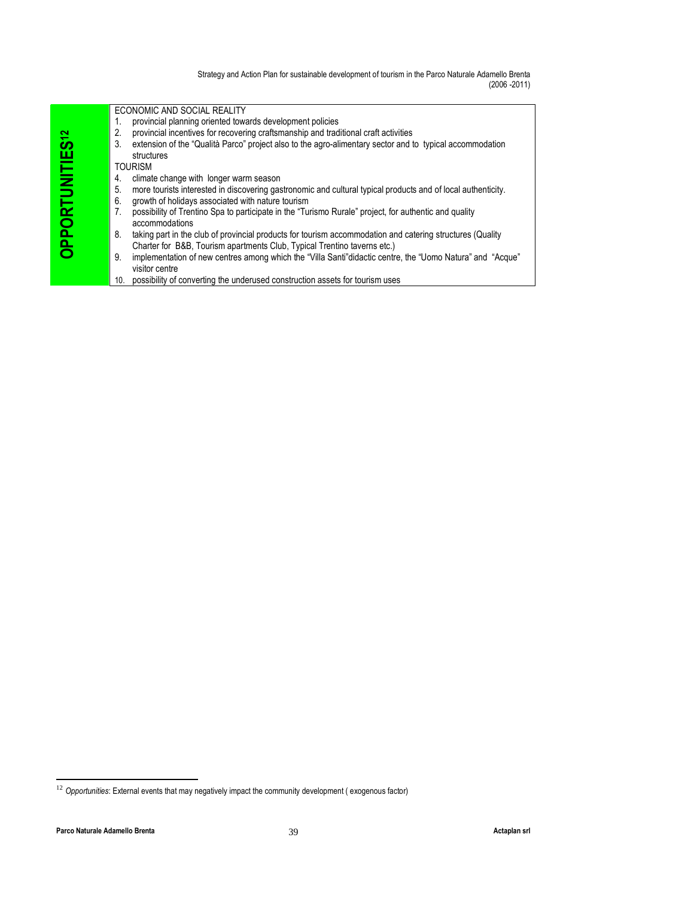| OPPORTUNITIES <sup>12</sup>    | ECONOMIC AND SOCIAL REALITY<br>provincial planning oriented towards development policies<br>1.<br>2.<br>provincial incentives for recovering craftsmanship and traditional craft activities<br>3.<br>structures<br><b>TOURISM</b><br>climate change with longer warm season<br>4.<br>5.<br>6.<br>growth of holidays associated with nature tourism<br>7.<br>accommodations<br>8.<br>Charter for B&B, Tourism apartments Club, Typical Trentino taverns etc.)<br>9.<br>visitor centre<br>possibility of converting the underused construction assets for tourism uses<br>10. | extension of the "Qualità Parco" project also to the agro-alimentary sector and to typical accommodation<br>more tourists interested in discovering gastronomic and cultural typical products and of local authenticity.<br>possibility of Trentino Spa to participate in the "Turismo Rurale" project, for authentic and quality<br>taking part in the club of provincial products for tourism accommodation and catering structures (Quality<br>implementation of new centres among which the "Villa Santi"didactic centre, the "Uomo Natura" and "Acque" |              |
|--------------------------------|-----------------------------------------------------------------------------------------------------------------------------------------------------------------------------------------------------------------------------------------------------------------------------------------------------------------------------------------------------------------------------------------------------------------------------------------------------------------------------------------------------------------------------------------------------------------------------|-------------------------------------------------------------------------------------------------------------------------------------------------------------------------------------------------------------------------------------------------------------------------------------------------------------------------------------------------------------------------------------------------------------------------------------------------------------------------------------------------------------------------------------------------------------|--------------|
|                                |                                                                                                                                                                                                                                                                                                                                                                                                                                                                                                                                                                             |                                                                                                                                                                                                                                                                                                                                                                                                                                                                                                                                                             |              |
|                                | $12$ Opportunities: External events that may negatively impact the community development (exogenous factor)                                                                                                                                                                                                                                                                                                                                                                                                                                                                 |                                                                                                                                                                                                                                                                                                                                                                                                                                                                                                                                                             |              |
| Parco Naturale Adamello Brenta |                                                                                                                                                                                                                                                                                                                                                                                                                                                                                                                                                                             | 39                                                                                                                                                                                                                                                                                                                                                                                                                                                                                                                                                          | Actaplan srl |

 $12$  Opportunities: External events that may negatively impact the community development (exogenous factor)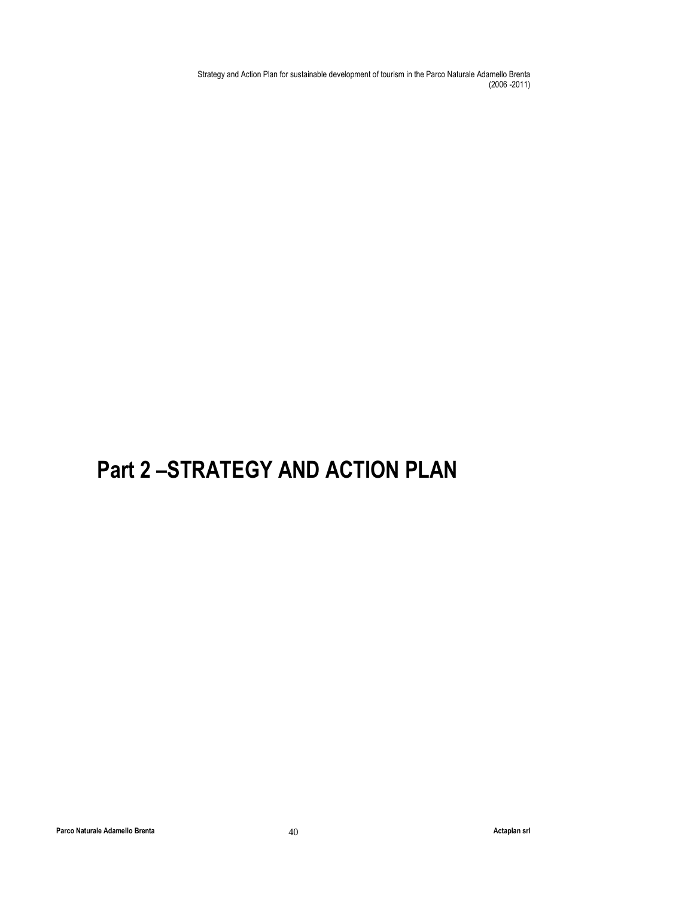# Part 2 –STRATEGY AND ACTION PLAN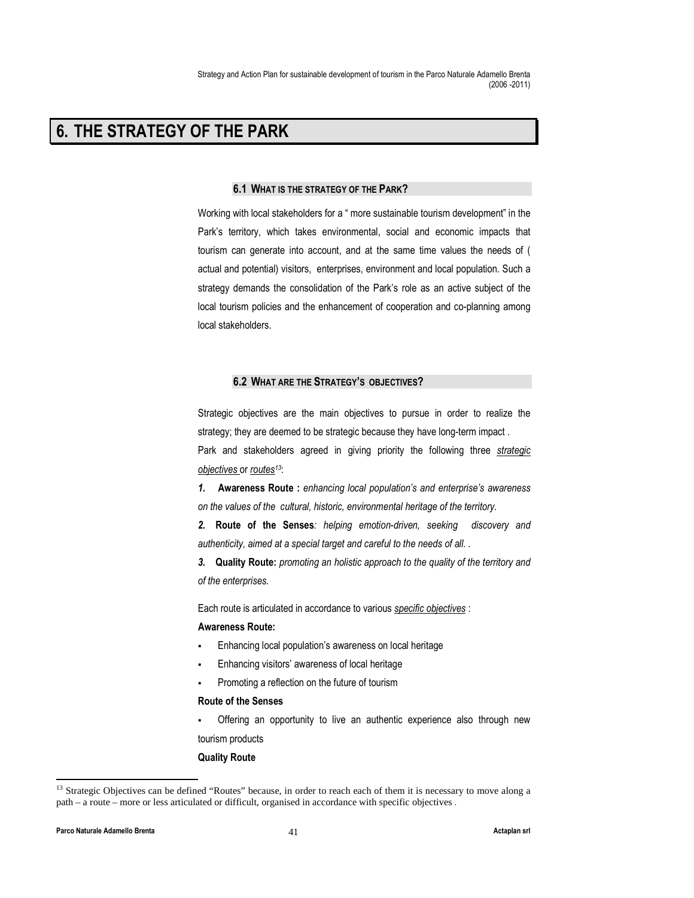## 6. THE STRATEGY OF THE PARK

## 6.1 WHAT IS THE STRATEGY OF THE PARK?

Working with local stakeholders for a " more sustainable tourism development" in the Park's territory, which takes environmental, social and economic impacts that tourism can generate into account, and at the same time values the needs of ( actual and potential) visitors, enterprises, environment and local population. Such a strategy demands the consolidation of the Park's role as an active subject of the local tourism policies and the enhancement of cooperation and co-planning among local stakeholders.

## 6.2 WHAT ARE THE STRATEGY'S OBJECTIVES?

Strategic objectives are the main objectives to pursue in order to realize the strategy; they are deemed to be strategic because they have long-term impact .

Park and stakeholders agreed in giving priority the following three strategic objectives or routes<sup>13</sup>:

1. Awareness Route: enhancing local population's and enterprise's awareness on the values of the cultural, historic, environmental heritage of the territory.

2. Route of the Senses: helping emotion-driven, seeking discovery and authenticity, aimed at a special target and careful to the needs of all. .

3. Quality Route: promoting an holistic approach to the quality of the territory and of the enterprises.

Each route is articulated in accordance to various specific objectives :

### Awareness Route:

- Enhancing local population's awareness on local heritage
- Enhancing visitors' awareness of local heritage
- Promoting a reflection on the future of tourism

## Route of the Senses

 Offering an opportunity to live an authentic experience also through new tourism products

#### Quality Route

<sup>&</sup>lt;sup>13</sup> Strategic Objectives can be defined "Routes" because, in order to reach each of them it is necessary to move along a path – a route – more or less articulated or difficult, organised in accordance with specific objectives .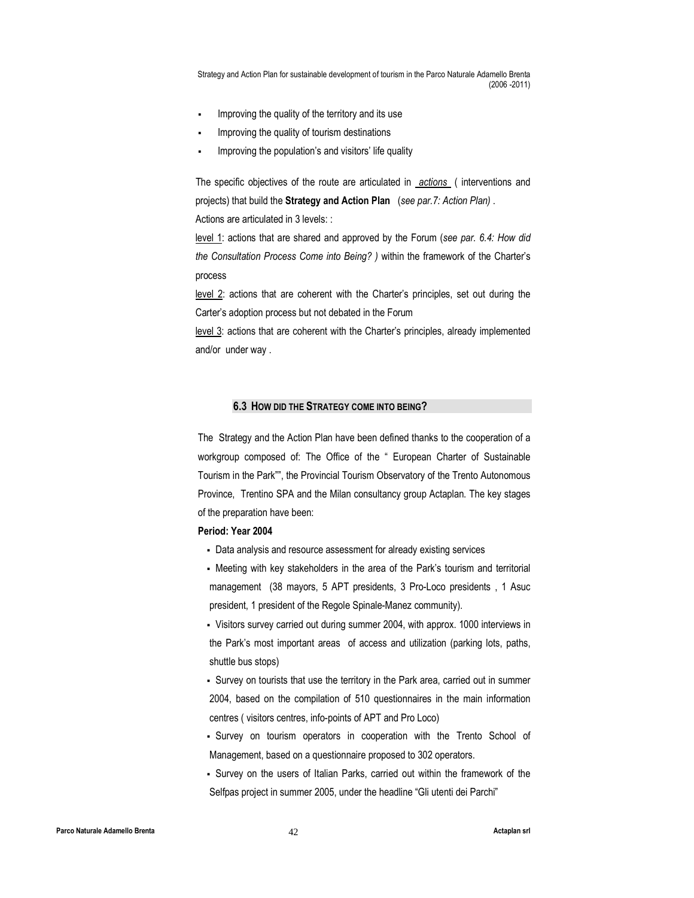- Improving the quality of the territory and its use
- Improving the quality of tourism destinations
- Improving the population's and visitors' life quality

The specific objectives of the route are articulated in actions (interventions and projects) that build the Strategy and Action Plan (see par. 7: Action Plan). Actions are articulated in 3 levels: :

level 1: actions that are shared and approved by the Forum (see par. 6.4: How did the Consultation Process Come into Being? ) within the framework of the Charter's process

level 2: actions that are coherent with the Charter's principles, set out during the Carter's adoption process but not debated in the Forum

level 3: actions that are coherent with the Charter's principles, already implemented and/or under way .

## 6.3 HOW DID THE STRATEGY COME INTO BEING?

The Strategy and the Action Plan have been defined thanks to the cooperation of a workgroup composed of: The Office of the " European Charter of Sustainable Tourism in the Park"", the Provincial Tourism Observatory of the Trento Autonomous Province, Trentino SPA and the Milan consultancy group Actaplan. The key stages of the preparation have been:

## Period: Year 2004

- Data analysis and resource assessment for already existing services
- Meeting with key stakeholders in the area of the Park's tourism and territorial management (38 mayors, 5 APT presidents, 3 Pro-Loco presidents , 1 Asuc president, 1 president of the Regole Spinale-Manez community).

 Visitors survey carried out during summer 2004, with approx. 1000 interviews in the Park's most important areas of access and utilization (parking lots, paths, shuttle bus stops)

 Survey on tourists that use the territory in the Park area, carried out in summer 2004, based on the compilation of 510 questionnaires in the main information centres ( visitors centres, info-points of APT and Pro Loco)

 Survey on tourism operators in cooperation with the Trento School of Management, based on a questionnaire proposed to 302 operators.

 Survey on the users of Italian Parks, carried out within the framework of the Selfpas project in summer 2005, under the headline "Gli utenti dei Parchi"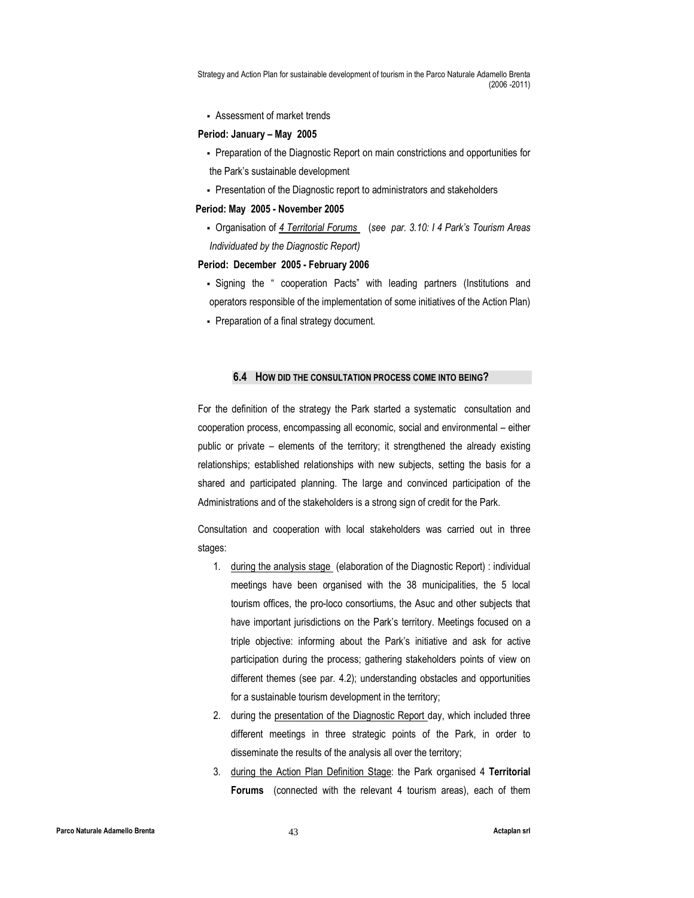Assessment of market trends

#### Period: January – May 2005

- Preparation of the Diagnostic Report on main constrictions and opportunities for the Park's sustainable development
- Presentation of the Diagnostic report to administrators and stakeholders

#### Period: May 2005 - November 2005

• Organisation of 4 Territorial Forums (see par. 3.10: I 4 Park's Tourism Areas Individuated by the Diagnostic Report)

#### Period: December 2005 - February 2006

- Signing the " cooperation Pacts" with leading partners (Institutions and operators responsible of the implementation of some initiatives of the Action Plan)
- Preparation of a final strategy document.

### 6.4 HOW DID THE CONSULTATION PROCESS COME INTO BEING?

For the definition of the strategy the Park started a systematic consultation and cooperation process, encompassing all economic, social and environmental – either public or private – elements of the territory; it strengthened the already existing relationships; established relationships with new subjects, setting the basis for a shared and participated planning. The large and convinced participation of the Administrations and of the stakeholders is a strong sign of credit for the Park.

Consultation and cooperation with local stakeholders was carried out in three stages:

- 1. during the analysis stage (elaboration of the Diagnostic Report) : individual meetings have been organised with the 38 municipalities, the 5 local tourism offices, the pro-loco consortiums, the Asuc and other subjects that have important jurisdictions on the Park's territory. Meetings focused on a triple objective: informing about the Park's initiative and ask for active participation during the process; gathering stakeholders points of view on different themes (see par. 4.2); understanding obstacles and opportunities for a sustainable tourism development in the territory;
- 2. during the presentation of the Diagnostic Report day, which included three different meetings in three strategic points of the Park, in order to disseminate the results of the analysis all over the territory;
- 3. during the Action Plan Definition Stage: the Park organised 4 Territorial Forums (connected with the relevant 4 tourism areas), each of them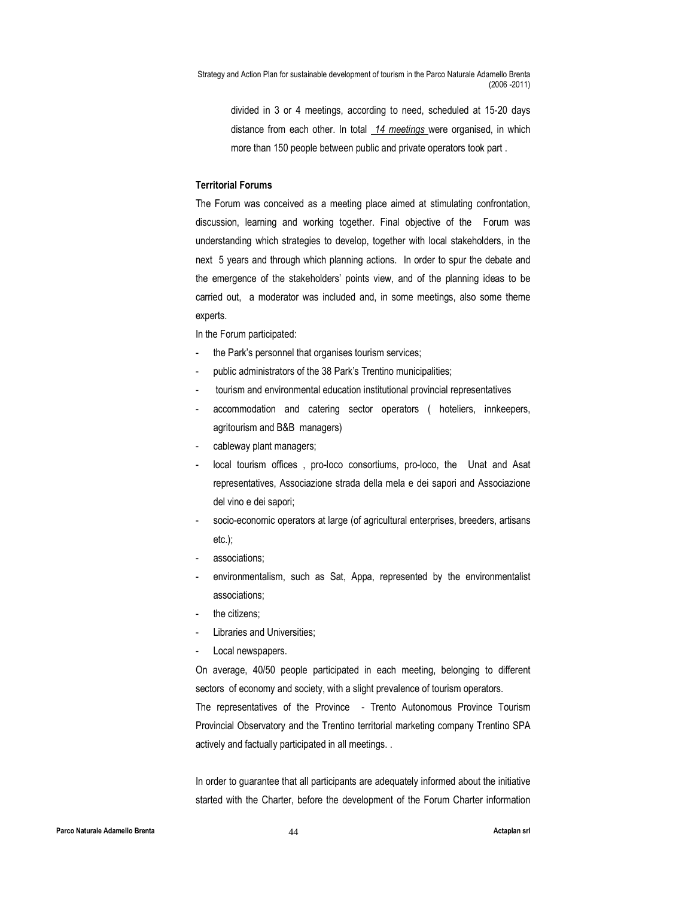divided in 3 or 4 meetings, according to need, scheduled at 15-20 days distance from each other. In total 14 meetings were organised, in which more than 150 people between public and private operators took part .

### Territorial Forums

The Forum was conceived as a meeting place aimed at stimulating confrontation, discussion, learning and working together. Final objective of the Forum was understanding which strategies to develop, together with local stakeholders, in the next 5 years and through which planning actions. In order to spur the debate and the emergence of the stakeholders' points view, and of the planning ideas to be carried out, a moderator was included and, in some meetings, also some theme experts.

In the Forum participated:

- the Park's personnel that organises tourism services;
- public administrators of the 38 Park's Trentino municipalities;
- tourism and environmental education institutional provincial representatives
- accommodation and catering sector operators ( hoteliers, innkeepers, agritourism and B&B managers)
- cableway plant managers;
- local tourism offices, pro-loco consortiums, pro-loco, the Unat and Asat representatives, Associazione strada della mela e dei sapori and Associazione del vino e dei sapori;
- socio-economic operators at large (of agricultural enterprises, breeders, artisans etc.);
- associations:
- environmentalism, such as Sat, Appa, represented by the environmentalist associations;
- the citizens:
- Libraries and Universities:
- Local newspapers.

On average, 40/50 people participated in each meeting, belonging to different sectors of economy and society, with a slight prevalence of tourism operators. The representatives of the Province - Trento Autonomous Province Tourism Provincial Observatory and the Trentino territorial marketing company Trentino SPA actively and factually participated in all meetings. .

In order to guarantee that all participants are adequately informed about the initiative started with the Charter, before the development of the Forum Charter information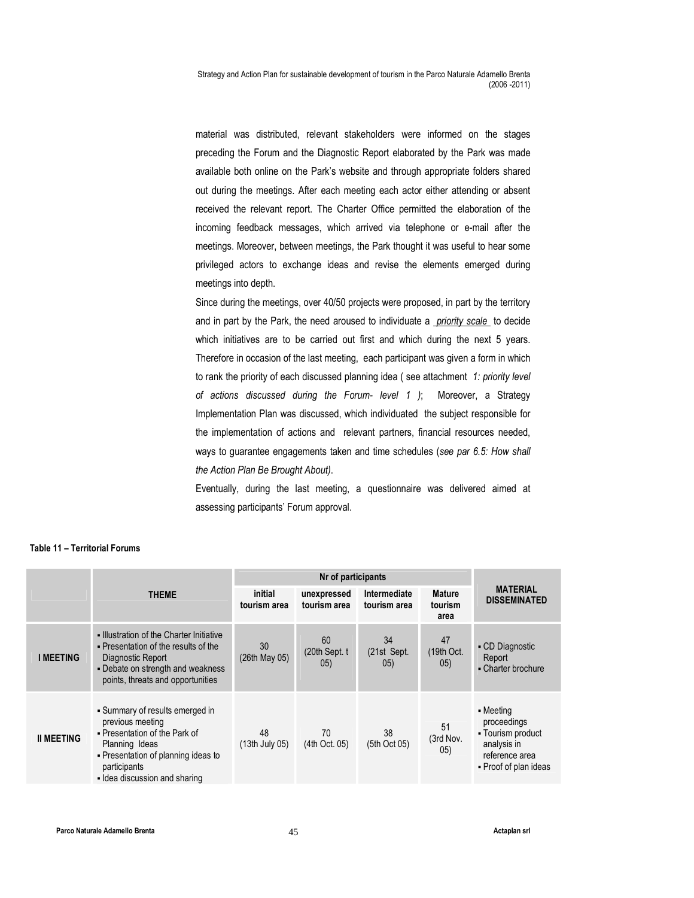material was distributed, relevant stakeholders were informed on the stages preceding the Forum and the Diagnostic Report elaborated by the Park was made available both online on the Park's website and through appropriate folders shared out during the meetings. After each meeting each actor either attending or absent received the relevant report. The Charter Office permitted the elaboration of the incoming feedback messages, which arrived via telephone or e-mail after the meetings. Moreover, between meetings, the Park thought it was useful to hear some privileged actors to exchange ideas and revise the elements emerged during meetings into depth.

Since during the meetings, over 40/50 projects were proposed, in part by the territory and in part by the Park, the need aroused to individuate a priority scale to decide which initiatives are to be carried out first and which during the next 5 years. Therefore in occasion of the last meeting, each participant was given a form in which to rank the priority of each discussed planning idea (see attachment 1: priority level of actions discussed during the Forum- level 1 ); Moreover, a Strategy Implementation Plan was discussed, which individuated the subject responsible for the implementation of actions and relevant partners, financial resources needed, ways to guarantee engagements taken and time schedules (see par 6.5: How shall the Action Plan Be Brought About).

Eventually, during the last meeting, a questionnaire was delivered aimed at assessing participants' Forum approval.

|                   | <b>THEME</b>                                                                                                                                                                                   | initial<br>tourism area | unexpressed<br>tourism area  | Intermediate<br>tourism area | <b>Mature</b><br>tourism<br>area | <b>MATERIAL</b><br><b>DISSEMINATED</b>                                                                  |
|-------------------|------------------------------------------------------------------------------------------------------------------------------------------------------------------------------------------------|-------------------------|------------------------------|------------------------------|----------------------------------|---------------------------------------------------------------------------------------------------------|
| I MEETING         | . Illustration of the Charter Initiative<br>• Presentation of the results of the<br>Diagnostic Report<br>- Debate on strength and weakness<br>points, threats and opportunities                | 30<br>$(26th$ May 05)   | 60<br>$(20th$ Sept. t<br>05) | 34<br>(21st Sept.<br>05)     | 47<br>$(19th$ Oct.<br>05)        | • CD Diagnostic<br>Report<br>• Charter brochure                                                         |
| <b>II MEETING</b> | • Summary of results emerged in<br>previous meeting<br>- Presentation of the Park of<br>Planning Ideas<br>- Presentation of planning ideas to<br>participants<br>. Idea discussion and sharing | 48<br>$(13th$ July 05)  | 70<br>(4th Oct. 05)          | 38<br>(5th Oct 05)           | 51<br>(3rd Nov.<br>(05)          | - Meeting<br>proceedings<br>- Tourism product<br>analysis in<br>reference area<br>• Proof of plan ideas |

## Table 11 – Territorial Forums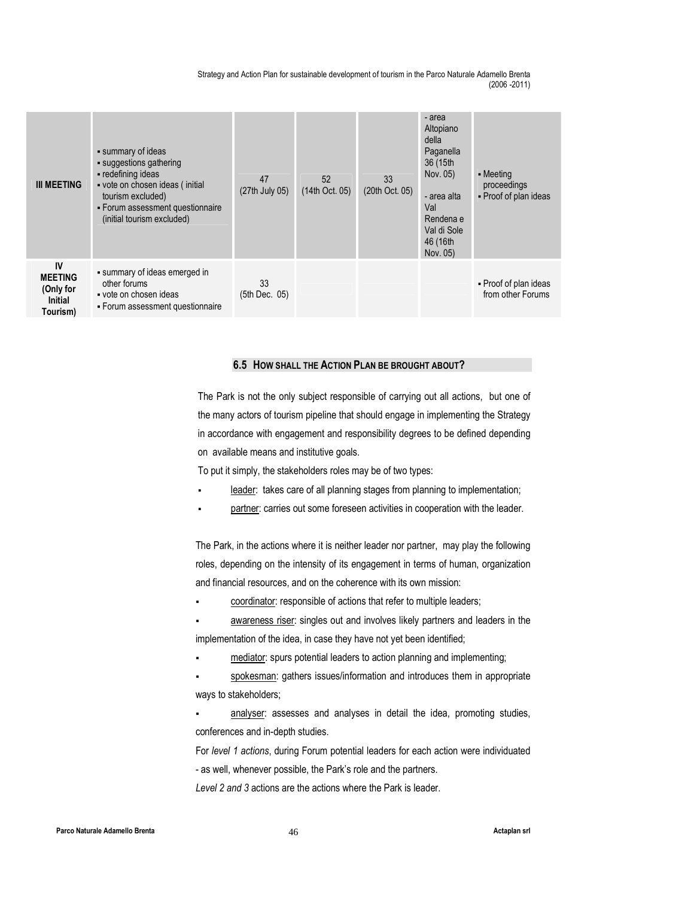| <b>III MEETING</b>                                              | • summary of ideas<br>· suggestions gathering<br>- redefining ideas<br>vote on chosen ideas (initial<br>tourism excluded)<br>- Forum assessment questionnaire<br>(initial tourism excluded) | 47<br>(27th July 05) | 52<br>(14th Oct. 05) | 33<br>(20th Oct. 05) | - area<br>Altopiano<br>della<br>Paganella<br>36 (15th<br>Nov. 05)<br>- area alta<br>Val<br>Rendena e<br>Val di Sole<br>46 (16th<br>Nov. 05) | $\blacksquare$ Meeting<br>proceedings<br>- Proof of plan ideas |
|-----------------------------------------------------------------|---------------------------------------------------------------------------------------------------------------------------------------------------------------------------------------------|----------------------|----------------------|----------------------|---------------------------------------------------------------------------------------------------------------------------------------------|----------------------------------------------------------------|
| IV<br><b>MEETING</b><br>(Only for<br><b>Initial</b><br>Tourism) | summary of ideas emerged in<br>other forums<br>vote on chosen ideas<br>- Forum assessment questionnaire                                                                                     | 33<br>(5th Dec. 05)  |                      |                      |                                                                                                                                             | - Proof of plan ideas<br>from other Forums                     |

## 6.5 HOW SHALL THE ACTION PLAN BE BROUGHT ABOUT?

The Park is not the only subject responsible of carrying out all actions, but one of the many actors of tourism pipeline that should engage in implementing the Strategy in accordance with engagement and responsibility degrees to be defined depending on available means and institutive goals.

To put it simply, the stakeholders roles may be of two types:

- leader: takes care of all planning stages from planning to implementation;
- partner: carries out some foreseen activities in cooperation with the leader.

The Park, in the actions where it is neither leader nor partner, may play the following roles, depending on the intensity of its engagement in terms of human, organization and financial resources, and on the coherence with its own mission:

- coordinator: responsible of actions that refer to multiple leaders;
- awareness riser: singles out and involves likely partners and leaders in the implementation of the idea, in case they have not yet been identified;
- mediator: spurs potential leaders to action planning and implementing;

 spokesman: gathers issues/information and introduces them in appropriate ways to stakeholders;

 analyser: assesses and analyses in detail the idea, promoting studies, conferences and in-depth studies.

For level 1 actions, during Forum potential leaders for each action were individuated - as well, whenever possible, the Park's role and the partners. Level 2 and 3 actions are the actions where the Park is leader.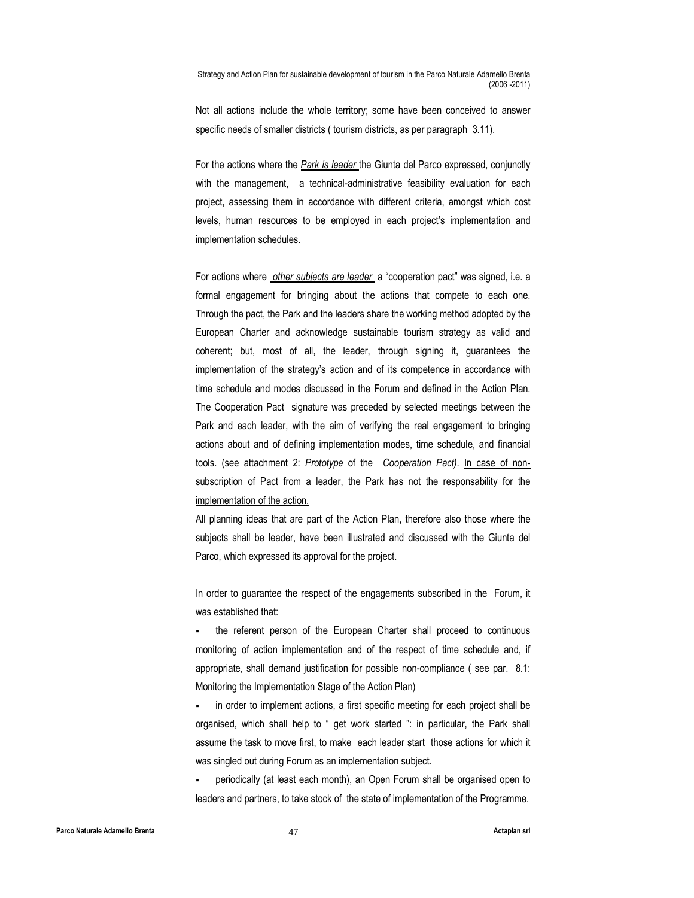Not all actions include the whole territory; some have been conceived to answer specific needs of smaller districts ( tourism districts, as per paragraph 3.11).

For the actions where the Park is leader the Giunta del Parco expressed, conjunctly with the management, a technical-administrative feasibility evaluation for each project, assessing them in accordance with different criteria, amongst which cost levels, human resources to be employed in each project's implementation and implementation schedules.

For actions where other subjects are leader a "cooperation pact" was signed, i.e. a formal engagement for bringing about the actions that compete to each one. Through the pact, the Park and the leaders share the working method adopted by the European Charter and acknowledge sustainable tourism strategy as valid and coherent; but, most of all, the leader, through signing it, guarantees the implementation of the strategy's action and of its competence in accordance with time schedule and modes discussed in the Forum and defined in the Action Plan. The Cooperation Pact signature was preceded by selected meetings between the Park and each leader, with the aim of verifying the real engagement to bringing actions about and of defining implementation modes, time schedule, and financial tools. (see attachment 2: Prototype of the Cooperation Pact). In case of nonsubscription of Pact from a leader, the Park has not the responsability for the implementation of the action.

All planning ideas that are part of the Action Plan, therefore also those where the subjects shall be leader, have been illustrated and discussed with the Giunta del Parco, which expressed its approval for the project.

In order to guarantee the respect of the engagements subscribed in the Forum, it was established that:

 the referent person of the European Charter shall proceed to continuous monitoring of action implementation and of the respect of time schedule and, if appropriate, shall demand justification for possible non-compliance ( see par. 8.1: Monitoring the Implementation Stage of the Action Plan)

 in order to implement actions, a first specific meeting for each project shall be organised, which shall help to " get work started ": in particular, the Park shall assume the task to move first, to make each leader start those actions for which it was singled out during Forum as an implementation subject.

 periodically (at least each month), an Open Forum shall be organised open to leaders and partners, to take stock of the state of implementation of the Programme.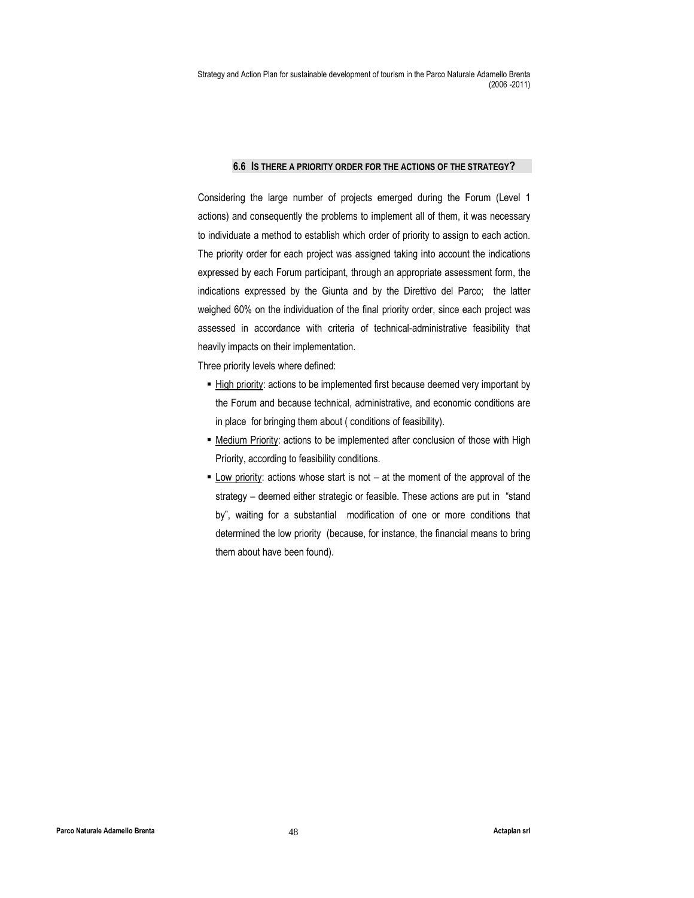#### 6.6 IS THERE A PRIORITY ORDER FOR THE ACTIONS OF THE STRATEGY?

Considering the large number of projects emerged during the Forum (Level 1 actions) and consequently the problems to implement all of them, it was necessary to individuate a method to establish which order of priority to assign to each action. The priority order for each project was assigned taking into account the indications expressed by each Forum participant, through an appropriate assessment form, the indications expressed by the Giunta and by the Direttivo del Parco; the latter weighed 60% on the individuation of the final priority order, since each project was assessed in accordance with criteria of technical-administrative feasibility that heavily impacts on their implementation.

Three priority levels where defined:

- High priority: actions to be implemented first because deemed very important by the Forum and because technical, administrative, and economic conditions are in place for bringing them about ( conditions of feasibility).
- Medium Priority: actions to be implemented after conclusion of those with High Priority, according to feasibility conditions.
- **Low priority:** actions whose start is not at the moment of the approval of the strategy – deemed either strategic or feasible. These actions are put in "stand by", waiting for a substantial modification of one or more conditions that determined the low priority (because, for instance, the financial means to bring them about have been found).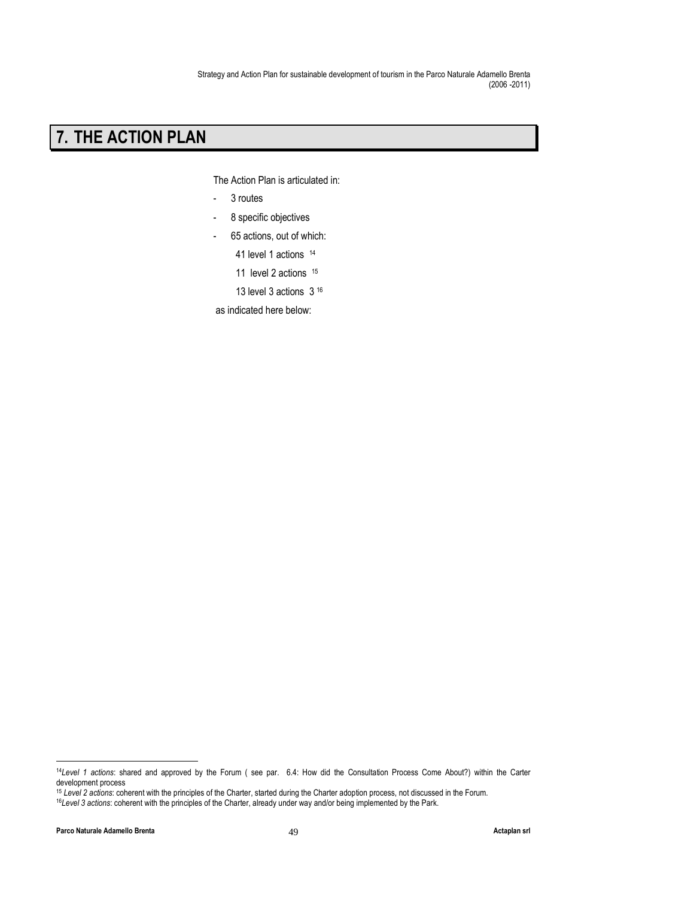## 7. THE ACTION PLAN

The Action Plan is articulated in:

- 3 routes
- 8 specific objectives
- 65 actions, out of which:

41 level 1 actions <sup>14</sup>

11 level 2 actions 15

13 level 3 actions 3 <sup>16</sup>

as indicated here below:

 $\overline{a}$ 

<sup>14</sup>Level 1 actions: shared and approved by the Forum ( see par. 6.4: How did the Consultation Process Come About?) within the Carter development process

<sup>15</sup> Level 2 actions: coherent with the principles of the Charter, started during the Charter adoption process, not discussed in the Forum.

<sup>16</sup>Level 3 actions: coherent with the principles of the Charter, already under way and/or being implemented by the Park.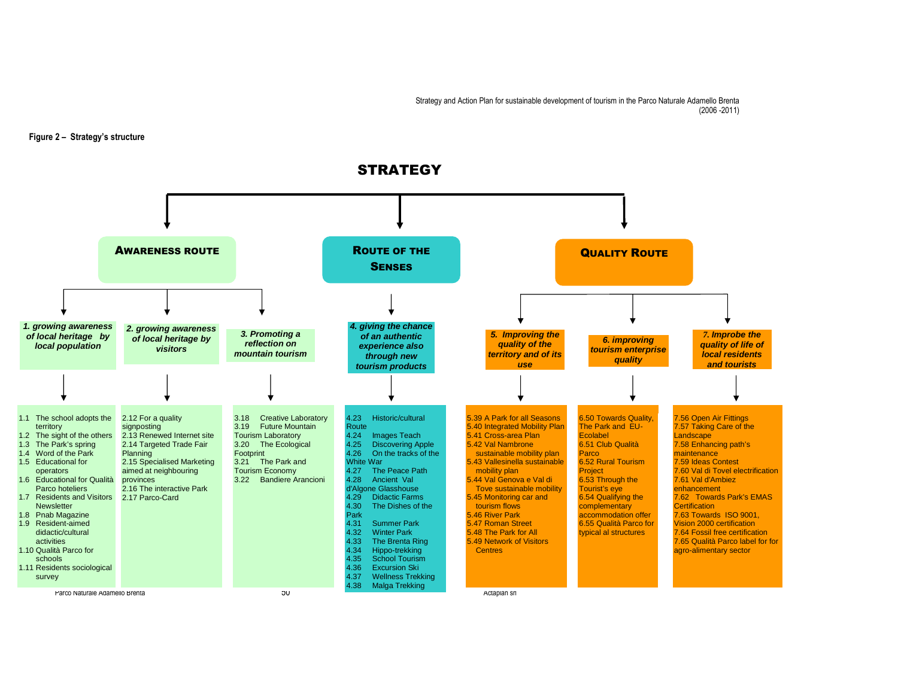#### Figure 2 – Strategy's structure



## **STRATEGY**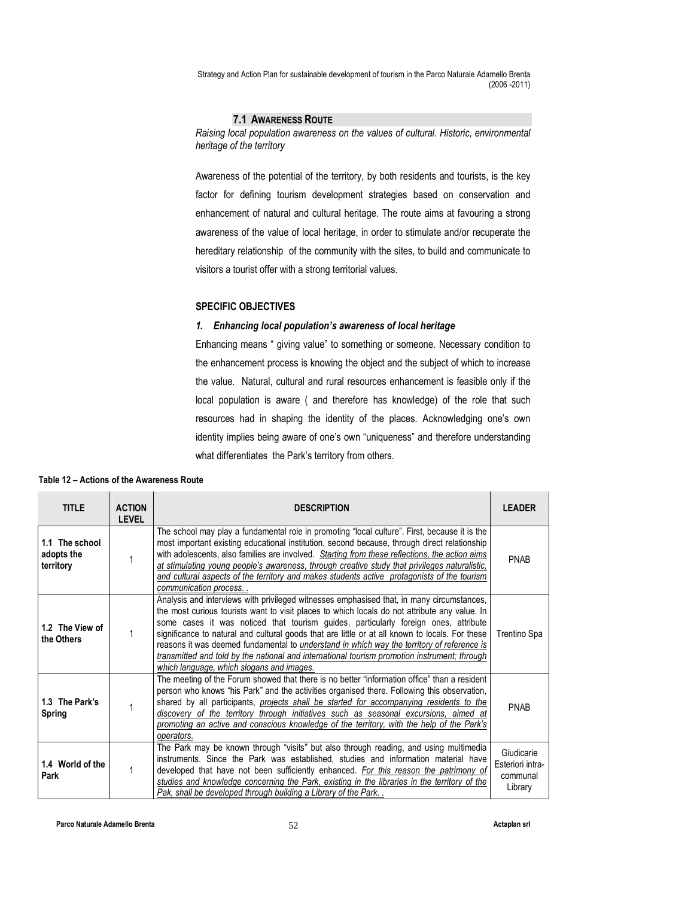## 7.1 AWARENESS ROUTE

Raising local population awareness on the values of cultural. Historic, environmental heritage of the territory

Awareness of the potential of the territory, by both residents and tourists, is the key factor for defining tourism development strategies based on conservation and enhancement of natural and cultural heritage. The route aims at favouring a strong awareness of the value of local heritage, in order to stimulate and/or recuperate the hereditary relationship of the community with the sites, to build and communicate to visitors a tourist offer with a strong territorial values.

## SPECIFIC OBJECTIVES

#### 1. Enhancing local population's awareness of local heritage

Enhancing means " giving value" to something or someone. Necessary condition to the enhancement process is knowing the object and the subject of which to increase the value. Natural, cultural and rural resources enhancement is feasible only if the local population is aware ( and therefore has knowledge) of the role that such resources had in shaping the identity of the places. Acknowledging one's own identity implies being aware of one's own "uniqueness" and therefore understanding what differentiates the Park's territory from others.

| <b>TITLE</b>                              | <b>ACTION</b><br><b>LEVEL</b> | <b>DESCRIPTION</b>                                                                                                                                                                                                                                                                                                                                                                                                                                                                                                                                                                                                              | <b>LEADER</b>                                         |
|-------------------------------------------|-------------------------------|---------------------------------------------------------------------------------------------------------------------------------------------------------------------------------------------------------------------------------------------------------------------------------------------------------------------------------------------------------------------------------------------------------------------------------------------------------------------------------------------------------------------------------------------------------------------------------------------------------------------------------|-------------------------------------------------------|
| 1.1 The school<br>adopts the<br>territory |                               | The school may play a fundamental role in promoting "local culture". First, because it is the<br>most important existing educational institution, second because, through direct relationship<br>with adolescents, also families are involved. Starting from these reflections, the action aims<br>at stimulating young people's awareness, through creative study that privileges naturalistic,<br>and cultural aspects of the territory and makes students active protagonists of the tourism<br>communication process                                                                                                        | <b>PNAB</b>                                           |
| 1.2 The View of<br>the Others             |                               | Analysis and interviews with privileged witnesses emphasised that, in many circumstances,<br>the most curious tourists want to visit places to which locals do not attribute any value. In<br>some cases it was noticed that tourism guides, particularly foreign ones, attribute<br>significance to natural and cultural goods that are little or at all known to locals. For these<br>reasons it was deemed fundamental to understand in which way the territory of reference is<br>transmitted and told by the national and international tourism promotion instrument; through<br>which language, which slogans and images. | Trentino Spa                                          |
| 1.3 The Park's<br>Spring                  |                               | The meeting of the Forum showed that there is no better "information office" than a resident<br>person who knows "his Park" and the activities organised there. Following this observation,<br>shared by all participants, <i>projects shall be started for accompanying residents to the</i><br>discovery of the territory through initiatives such as seasonal excursions, aimed at<br>promoting an active and conscious knowledge of the territory, with the help of the Park's<br>operators.                                                                                                                                | <b>PNAB</b>                                           |
| 1.4 World of the<br>Park                  |                               | The Park may be known through "visits" but also through reading, and using multimedia<br>instruments. Since the Park was established, studies and information material have<br>developed that have not been sufficiently enhanced. For this reason the patrimony of<br>studies and knowledge concerning the Park, existing in the libraries in the territory of the<br>Pak, shall be developed through building a Library of the Park                                                                                                                                                                                           | Giudicarie<br>Esteriori intra-<br>communal<br>Library |

#### Table 12 – Actions of the Awareness Route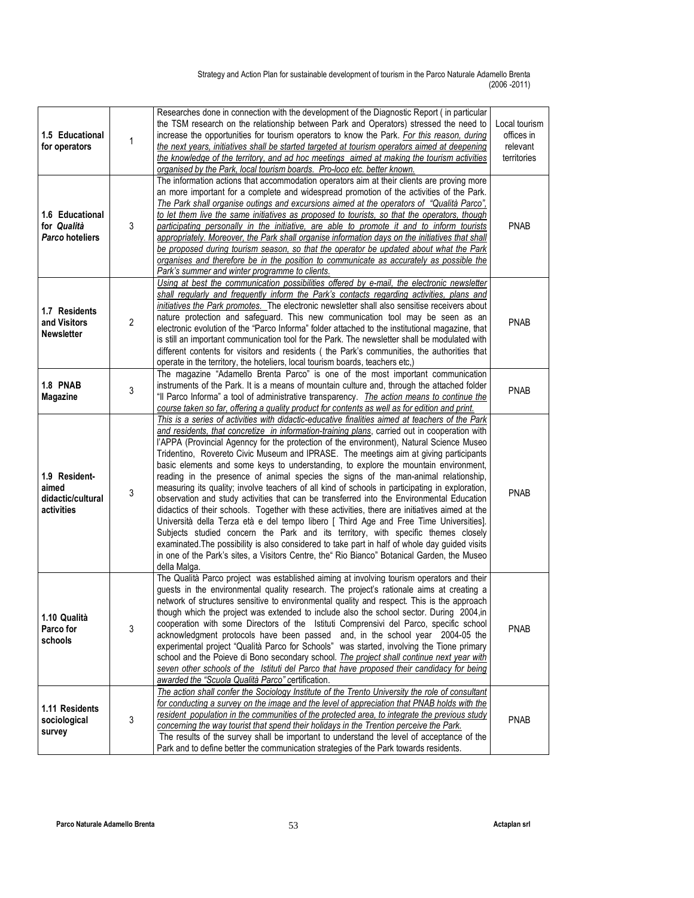| 1.5 Educational<br>for operators                          | 1 | Researches done in connection with the development of the Diagnostic Report (in particular<br>the TSM research on the relationship between Park and Operators) stressed the need to<br>increase the opportunities for tourism operators to know the Park. For this reason, during<br>the next years, initiatives shall be started targeted at tourism operators aimed at deepening<br>the knowledge of the territory, and ad hoc meetings aimed at making the tourism activities<br>organised by the Park, local tourism boards. Pro-loco etc. better known.                                                                                                                                                                                                                                                                                                                                                                                                                                                                                                                                                                                                                                                                                                          | Local tourism<br>offices in<br>relevant<br>territories |
|-----------------------------------------------------------|---|-----------------------------------------------------------------------------------------------------------------------------------------------------------------------------------------------------------------------------------------------------------------------------------------------------------------------------------------------------------------------------------------------------------------------------------------------------------------------------------------------------------------------------------------------------------------------------------------------------------------------------------------------------------------------------------------------------------------------------------------------------------------------------------------------------------------------------------------------------------------------------------------------------------------------------------------------------------------------------------------------------------------------------------------------------------------------------------------------------------------------------------------------------------------------------------------------------------------------------------------------------------------------|--------------------------------------------------------|
| 1.6 Educational<br>for Qualità<br>Parco hoteliers         | 3 | The information actions that accommodation operators aim at their clients are proving more<br>an more important for a complete and widespread promotion of the activities of the Park.<br>The Park shall organise outings and excursions aimed at the operators of "Qualità Parco",<br>to let them live the same initiatives as proposed to tourists, so that the operators, though<br>participating personally in the initiative, are able to promote it and to inform tourists<br>appropriately. Moreover, the Park shall organise information days on the initiatives that shall<br>be proposed during tourism season, so that the operator be updated about what the Park<br>organises and therefore be in the position to communicate as accurately as possible the<br>Park's summer and winter programme to clients.                                                                                                                                                                                                                                                                                                                                                                                                                                            | <b>PNAB</b>                                            |
| 1.7 Residents<br>and Visitors<br><b>Newsletter</b>        | 2 | Using at best the communication possibilities offered by e-mail, the electronic newsletter<br>shall regularly and frequently inform the Park's contacts regarding activities, plans and<br>initiatives the Park promotes. The electronic newsletter shall also sensitise receivers about<br>nature protection and safeguard. This new communication tool may be seen as an<br>electronic evolution of the "Parco Informa" folder attached to the institutional magazine, that<br>is still an important communication tool for the Park. The newsletter shall be modulated with<br>different contents for visitors and residents ( the Park's communities, the authorities that<br>operate in the territory, the hoteliers, local tourism boards, teachers etc.)                                                                                                                                                                                                                                                                                                                                                                                                                                                                                                       | <b>PNAB</b>                                            |
| 1.8 PNAB<br>Magazine                                      | 3 | The magazine "Adamello Brenta Parco" is one of the most important communication<br>instruments of the Park. It is a means of mountain culture and, through the attached folder<br>"Il Parco Informa" a tool of administrative transparency. <i>The action means to continue the</i><br>course taken so far, offering a quality product for contents as well as for edition and print.                                                                                                                                                                                                                                                                                                                                                                                                                                                                                                                                                                                                                                                                                                                                                                                                                                                                                 | <b>PNAB</b>                                            |
| 1.9 Resident-<br>aimed<br>didactic/cultural<br>activities | 3 | This is a series of activities with didactic-educative finalities aimed at teachers of the Park<br>and residents, that concretize in information-training plans, carried out in cooperation with<br>l'APPA (Provincial Agenncy for the protection of the environment), Natural Science Museo<br>Tridentino, Rovereto Civic Museum and IPRASE. The meetings aim at giving participants<br>basic elements and some keys to understanding, to explore the mountain environment,<br>reading in the presence of animal species the signs of the man-animal relationship,<br>measuring its quality; involve teachers of all kind of schools in participating in exploration,<br>observation and study activities that can be transferred into the Environmental Education<br>didactics of their schools. Together with these activities, there are initiatives aimed at the<br>Università della Terza età e del tempo libero [ Third Age and Free Time Universities].<br>Subjects studied concern the Park and its territory, with specific themes closely<br>examinated. The possibility is also considered to take part in half of whole day guided visits<br>in one of the Park's sites, a Visitors Centre, the" Rio Bianco" Botanical Garden, the Museo<br>della Malga. | <b>PNAB</b>                                            |
| 1.10 Qualità<br>Parco for<br>schools                      | 3 | The Qualità Parco project was established aiming at involving tourism operators and their<br>guests in the environmental quality research. The project's rationale aims at creating a<br>network of structures sensitive to environmental quality and respect. This is the approach<br>though which the project was extended to include also the school sector. During 2004, in<br>cooperation with some Directors of the Istituti Comprensivi del Parco, specific school<br>acknowledgment protocols have been passed and, in the school year 2004-05 the<br>experimental project "Qualità Parco for Schools" was started, involving the Tione primary<br>school and the Poieve di Bono secondary school. The project shall continue next year with<br>seven other schools of the Istituti del Parco that have proposed their candidacy for being<br>awarded the "Scuola Qualità Parco" certification.                                                                                                                                                                                                                                                                                                                                                               | <b>PNAB</b>                                            |
| 1.11 Residents<br>sociological<br>survey                  | 3 | The action shall confer the Sociology Institute of the Trento University the role of consultant<br>for conducting a survey on the image and the level of appreciation that PNAB holds with the<br>resident population in the communities of the protected area, to integrate the previous study<br>concerning the way tourist that spend their holidays in the Trention perceive the Park.<br>The results of the survey shall be important to understand the level of acceptance of the<br>Park and to define better the communication strategies of the Park towards residents.                                                                                                                                                                                                                                                                                                                                                                                                                                                                                                                                                                                                                                                                                      | <b>PNAB</b>                                            |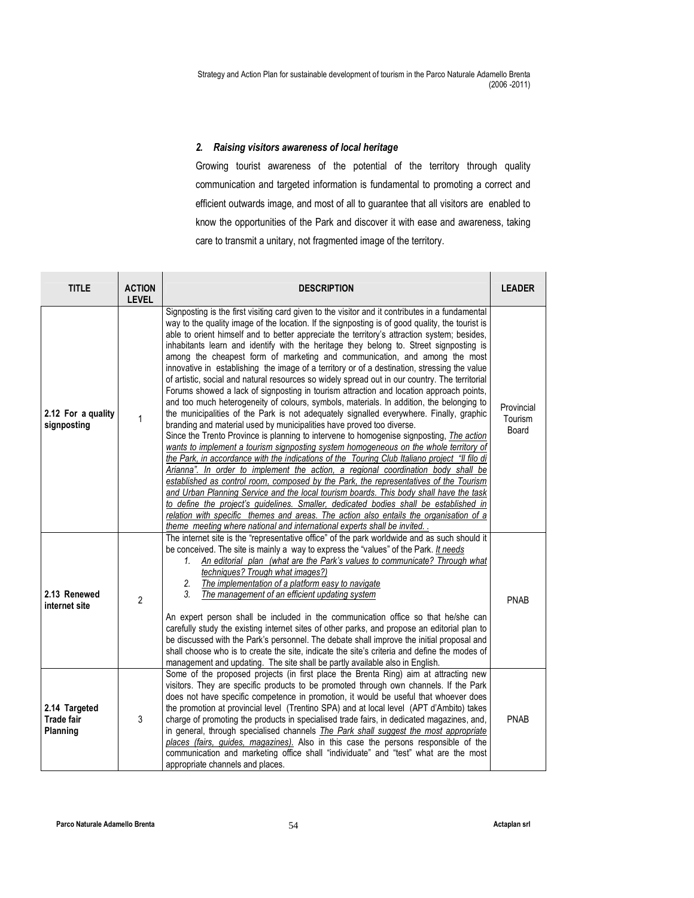## 2. Raising visitors awareness of local heritage

Growing tourist awareness of the potential of the territory through quality communication and targeted information is fundamental to promoting a correct and efficient outwards image, and most of all to guarantee that all visitors are enabled to know the opportunities of the Park and discover it with ease and awareness, taking care to transmit a unitary, not fragmented image of the territory.

| <b>TITLE</b>                                   | <b>ACTION</b><br><b>LEVEL</b> | <b>DESCRIPTION</b>                                                                                                                                                                                                                                                                                                                                                                                                                                                                                                                                                                                                                                                                                                                                                                                                                                                                                                                                                                                                                                                                                                                                                                                                                                                                                                                                                                                                                                                                                                                                                                                                                                                                                                                                                                                                                                                  | <b>LEADER</b>                  |
|------------------------------------------------|-------------------------------|---------------------------------------------------------------------------------------------------------------------------------------------------------------------------------------------------------------------------------------------------------------------------------------------------------------------------------------------------------------------------------------------------------------------------------------------------------------------------------------------------------------------------------------------------------------------------------------------------------------------------------------------------------------------------------------------------------------------------------------------------------------------------------------------------------------------------------------------------------------------------------------------------------------------------------------------------------------------------------------------------------------------------------------------------------------------------------------------------------------------------------------------------------------------------------------------------------------------------------------------------------------------------------------------------------------------------------------------------------------------------------------------------------------------------------------------------------------------------------------------------------------------------------------------------------------------------------------------------------------------------------------------------------------------------------------------------------------------------------------------------------------------------------------------------------------------------------------------------------------------|--------------------------------|
| 2.12 For a quality<br>signposting              | 1                             | Signposting is the first visiting card given to the visitor and it contributes in a fundamental<br>way to the quality image of the location. If the signposting is of good quality, the tourist is<br>able to orient himself and to better appreciate the territory's attraction system; besides,<br>inhabitants learn and identify with the heritage they belong to. Street signposting is<br>among the cheapest form of marketing and communication, and among the most<br>innovative in establishing the image of a territory or of a destination, stressing the value<br>of artistic, social and natural resources so widely spread out in our country. The territorial<br>Forums showed a lack of signposting in tourism attraction and location approach points,<br>and too much heterogeneity of colours, symbols, materials. In addition, the belonging to<br>the municipalities of the Park is not adequately signalled everywhere. Finally, graphic<br>branding and material used by municipalities have proved too diverse.<br>Since the Trento Province is planning to intervene to homogenise signposting, The action<br>wants to implement a tourism signposting system homogeneous on the whole territory of<br>the Park, in accordance with the indications of the Touring Club Italiano project "Il filo di<br>Arianna". In order to implement the action, a regional coordination body shall be<br>established as control room, composed by the Park, the representatives of the Tourism<br>and Urban Planning Service and the local tourism boards. This body shall have the task<br>to define the project's guidelines. Smaller, dedicated bodies shall be established in<br>relation with specific themes and areas. The action also entails the organisation of a<br>theme meeting where national and international experts shall be invited. | Provincial<br>Tourism<br>Board |
| 2.13 Renewed<br>internet site                  | $\overline{2}$                | The internet site is the "representative office" of the park worldwide and as such should it<br>be conceived. The site is mainly a way to express the "values" of the Park. It needs<br>An editorial plan (what are the Park's values to communicate? Through what<br>1.<br>techniques? Trough what images?)<br>The implementation of a platform easy to navigate<br>2.<br>3.<br>The management of an efficient updating system<br>An expert person shall be included in the communication office so that he/she can<br>carefully study the existing internet sites of other parks, and propose an editorial plan to<br>be discussed with the Park's personnel. The debate shall improve the initial proposal and<br>shall choose who is to create the site, indicate the site's criteria and define the modes of<br>management and updating. The site shall be partly available also in English.                                                                                                                                                                                                                                                                                                                                                                                                                                                                                                                                                                                                                                                                                                                                                                                                                                                                                                                                                                   | <b>PNAB</b>                    |
| 2.14 Targeted<br><b>Trade fair</b><br>Planning | 3                             | Some of the proposed projects (in first place the Brenta Ring) aim at attracting new<br>visitors. They are specific products to be promoted through own channels. If the Park<br>does not have specific competence in promotion, it would be useful that whoever does<br>the promotion at provincial level (Trentino SPA) and at local level (APT d'Ambito) takes<br>charge of promoting the products in specialised trade fairs, in dedicated magazines, and,<br>in general, through specialised channels <i>The Park shall suggest the most appropriate</i><br>places (fairs, guides, magazines). Also in this case the persons responsible of the<br>communication and marketing office shall "individuate" and "test" what are the most<br>appropriate channels and places.                                                                                                                                                                                                                                                                                                                                                                                                                                                                                                                                                                                                                                                                                                                                                                                                                                                                                                                                                                                                                                                                                     | <b>PNAB</b>                    |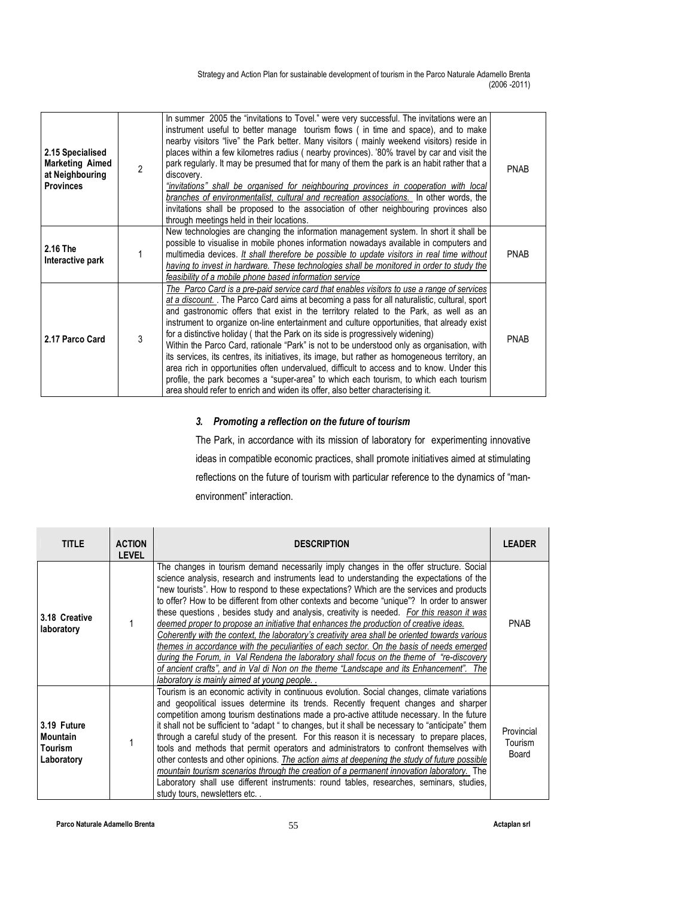| 2.15 Specialised<br><b>Marketing Aimed</b><br>at Neighbouring<br><b>Provinces</b> | $\mathfrak{p}$ | In summer 2005 the "invitations to Tovel." were very successful. The invitations were an<br>instrument useful to better manage tourism flows (in time and space), and to make<br>nearby visitors "live" the Park better. Many visitors (mainly weekend visitors) reside in<br>places within a few kilometres radius (nearby provinces). '80% travel by car and visit the<br>park regularly. It may be presumed that for many of them the park is an habit rather that a<br>discovery.<br>"invitations" shall be organised for neighbouring provinces in cooperation with local<br>branches of environmentalist, cultural and recreation associations. In other words, the<br>invitations shall be proposed to the association of other neighbouring provinces also<br>through meetings held in their locations.                                                                                                                              | <b>PNAB</b> |
|-----------------------------------------------------------------------------------|----------------|----------------------------------------------------------------------------------------------------------------------------------------------------------------------------------------------------------------------------------------------------------------------------------------------------------------------------------------------------------------------------------------------------------------------------------------------------------------------------------------------------------------------------------------------------------------------------------------------------------------------------------------------------------------------------------------------------------------------------------------------------------------------------------------------------------------------------------------------------------------------------------------------------------------------------------------------|-------------|
| 2.16 The<br>Interactive park                                                      |                | New technologies are changing the information management system. In short it shall be<br>possible to visualise in mobile phones information nowadays available in computers and<br>multimedia devices. It shall therefore be possible to update visitors in real time without<br>having to invest in hardware. These technologies shall be monitored in order to study the<br>feasibility of a mobile phone based information service                                                                                                                                                                                                                                                                                                                                                                                                                                                                                                        | <b>PNAB</b> |
| 2.17 Parco Card                                                                   | 3              | The Parco Card is a pre-paid service card that enables visitors to use a range of services<br>at a discount. The Parco Card aims at becoming a pass for all naturalistic, cultural, sport<br>and gastronomic offers that exist in the territory related to the Park, as well as an<br>instrument to organize on-line entertainment and culture opportunities, that already exist<br>for a distinctive holiday (that the Park on its side is progressively widening)<br>Within the Parco Card, rationale "Park" is not to be understood only as organisation, with<br>its services, its centres, its initiatives, its image, but rather as homogeneous territory, an<br>area rich in opportunities often undervalued, difficult to access and to know. Under this<br>profile, the park becomes a "super-area" to which each tourism, to which each tourism<br>area should refer to enrich and widen its offer, also better characterising it. | <b>PNAB</b> |

## 3. Promoting a reflection on the future of tourism

The Park, in accordance with its mission of laboratory for experimenting innovative ideas in compatible economic practices, shall promote initiatives aimed at stimulating reflections on the future of tourism with particular reference to the dynamics of "manenvironment" interaction.

| <b>TITLE</b>                                            | <b>ACTION</b><br><b>LEVEL</b> | <b>DESCRIPTION</b>                                                                                                                                                                                                                                                                                                                                                                                                                                                                                                                                                                                                                                                                                                                                                                                                                                                                                                                                                                                         | <b>LEADER</b>                  |
|---------------------------------------------------------|-------------------------------|------------------------------------------------------------------------------------------------------------------------------------------------------------------------------------------------------------------------------------------------------------------------------------------------------------------------------------------------------------------------------------------------------------------------------------------------------------------------------------------------------------------------------------------------------------------------------------------------------------------------------------------------------------------------------------------------------------------------------------------------------------------------------------------------------------------------------------------------------------------------------------------------------------------------------------------------------------------------------------------------------------|--------------------------------|
| 3.18 Creative<br>laboratory                             |                               | The changes in tourism demand necessarily imply changes in the offer structure. Social<br>science analysis, research and instruments lead to understanding the expectations of the<br>"new tourists". How to respond to these expectations? Which are the services and products<br>to offer? How to be different from other contexts and become "unique"? In order to answer<br>these questions, besides study and analysis, creativity is needed. For this reason it was<br>deemed proper to propose an initiative that enhances the production of creative ideas.<br>Coherently with the context, the laboratory's creativity area shall be oriented towards various<br>themes in accordance with the peculiarities of each sector. On the basis of needs emerged<br>during the Forum, in Val Rendena the laboratory shall focus on the theme of "re-discovery"<br>of ancient crafts", and in Val di Non on the theme "Landscape and its Enhancement". The<br>laboratory is mainly aimed at young people | <b>PNAB</b>                    |
| 3.19 Future<br><b>Mountain</b><br>Tourism<br>Laboratory |                               | Tourism is an economic activity in continuous evolution. Social changes, climate variations<br>and geopolitical issues determine its trends. Recently frequent changes and sharper<br>competition among tourism destinations made a pro-active attitude necessary. In the future<br>it shall not be sufficient to "adapt" to changes, but it shall be necessary to "anticipate" them<br>through a careful study of the present. For this reason it is necessary to prepare places,<br>tools and methods that permit operators and administrators to confront themselves with<br>other contests and other opinions. The action aims at deepening the study of future possible<br>mountain tourism scenarios through the creation of a permanent innovation laboratory. The<br>Laboratory shall use different instruments: round tables, researches, seminars, studies,<br>study tours, newsletters etc                                                                                                      | Provincial<br>Tourism<br>Board |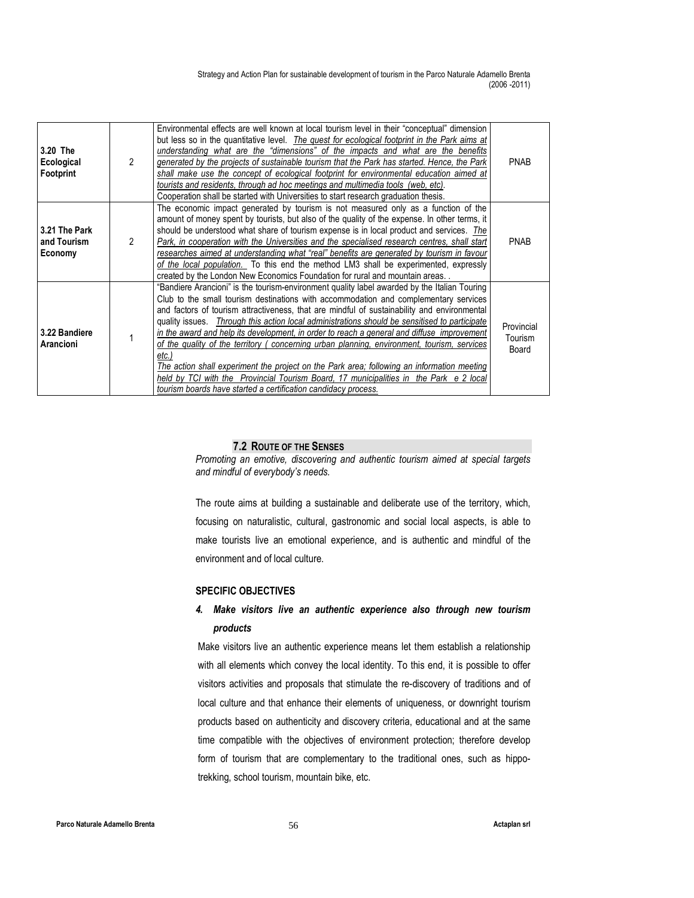| 3.20 The<br>Ecological<br>Footprint     | 2              | Environmental effects are well known at local tourism level in their "conceptual" dimension<br>but less so in the quantitative level. <i>The quest for ecological footprint in the Park aims at</i><br>understanding what are the "dimensions" of the impacts and what are the benefits<br>generated by the projects of sustainable tourism that the Park has started. Hence, the Park<br>shall make use the concept of ecological footprint for environmental education aimed at<br>tourists and residents, through ad hoc meetings and multimedia tools (web, etc).<br>Cooperation shall be started with Universities to start research graduation thesis.                                                                                                                                                                                        | <b>PNAB</b>                    |
|-----------------------------------------|----------------|-----------------------------------------------------------------------------------------------------------------------------------------------------------------------------------------------------------------------------------------------------------------------------------------------------------------------------------------------------------------------------------------------------------------------------------------------------------------------------------------------------------------------------------------------------------------------------------------------------------------------------------------------------------------------------------------------------------------------------------------------------------------------------------------------------------------------------------------------------|--------------------------------|
| 3.21 The Park<br>and Tourism<br>Economy | $\mathfrak{p}$ | The economic impact generated by tourism is not measured only as a function of the<br>amount of money spent by tourists, but also of the quality of the expense. In other terms, it<br>should be understood what share of tourism expense is in local product and services. The<br>Park, in cooperation with the Universities and the specialised research centres, shall start<br>researches aimed at understanding what "real" benefits are generated by tourism in favour<br>of the local population. To this end the method LM3 shall be experimented, expressly<br>created by the London New Economics Foundation for rural and mountain areas                                                                                                                                                                                                 | <b>PNAB</b>                    |
| 3.22 Bandiere<br>Arancioni              |                | "Bandiere Arancioni" is the tourism-environment quality label awarded by the Italian Touring<br>Club to the small tourism destinations with accommodation and complementary services<br>and factors of tourism attractiveness, that are mindful of sustainability and environmental<br>quality issues. Through this action local administrations should be sensitised to participate<br>in the award and help its development, in order to reach a general and diffuse improvement<br>of the quality of the territory (concerning urban planning, environment, tourism, services<br>etc.)<br>The action shall experiment the project on the Park area; following an information meeting<br>held by TCI with the Provincial Tourism Board, 17 municipalities in the Park e 2 local<br>tourism boards have started a certification candidacy process. | Provincial<br>Tourism<br>Board |

#### 7.2 ROUTE OF THE SENSES

Promoting an emotive, discovering and authentic tourism aimed at special targets and mindful of everybody's needs.

The route aims at building a sustainable and deliberate use of the territory, which, focusing on naturalistic, cultural, gastronomic and social local aspects, is able to make tourists live an emotional experience, and is authentic and mindful of the environment and of local culture.

## SPECIFIC OBJECTIVES

## 4. Make visitors live an authentic experience also through new tourism products

Make visitors live an authentic experience means let them establish a relationship with all elements which convey the local identity. To this end, it is possible to offer visitors activities and proposals that stimulate the re-discovery of traditions and of local culture and that enhance their elements of uniqueness, or downright tourism products based on authenticity and discovery criteria, educational and at the same time compatible with the objectives of environment protection; therefore develop form of tourism that are complementary to the traditional ones, such as hippotrekking, school tourism, mountain bike, etc.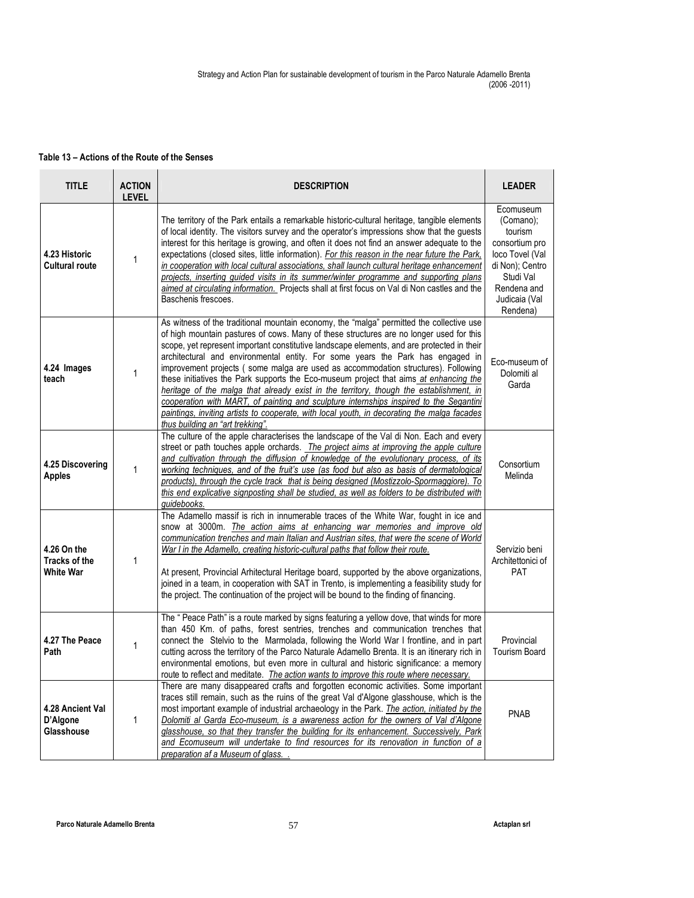## Table 13 – Actions of the Route of the Senses

| <b>TITLE</b>                                     | <b>ACTION</b><br><b>LEVEL</b> | <b>DESCRIPTION</b>                                                                                                                                                                                                                                                                                                                                                                                                                                                                                                                                                                                                                                                                                                                                                                                                                                                        | <b>LEADER</b>                                                                                                                                      |
|--------------------------------------------------|-------------------------------|---------------------------------------------------------------------------------------------------------------------------------------------------------------------------------------------------------------------------------------------------------------------------------------------------------------------------------------------------------------------------------------------------------------------------------------------------------------------------------------------------------------------------------------------------------------------------------------------------------------------------------------------------------------------------------------------------------------------------------------------------------------------------------------------------------------------------------------------------------------------------|----------------------------------------------------------------------------------------------------------------------------------------------------|
| 4.23 Historic<br><b>Cultural route</b>           | $\mathbf{1}$                  | The territory of the Park entails a remarkable historic-cultural heritage, tangible elements<br>of local identity. The visitors survey and the operator's impressions show that the guests<br>interest for this heritage is growing, and often it does not find an answer adequate to the<br>expectations (closed sites, little information). For this reason in the near future the Park,<br>in cooperation with local cultural associations, shall launch cultural heritage enhancement<br>projects, inserting guided visits in its summer/winter programme and supporting plans<br>aimed at circulating information. Projects shall at first focus on Val di Non castles and the<br>Baschenis frescoes.                                                                                                                                                                | Ecomuseum<br>(Comano);<br>tourism<br>consortium pro<br>loco Tovel (Val<br>di Non); Centro<br>Studi Val<br>Rendena and<br>Judicaia (Val<br>Rendena) |
| 4.24 Images<br>teach                             | 1                             | As witness of the traditional mountain economy, the "malga" permitted the collective use<br>of high mountain pastures of cows. Many of these structures are no longer used for this<br>scope, yet represent important constitutive landscape elements, and are protected in their<br>architectural and environmental entity. For some years the Park has engaged in<br>improvement projects (some malga are used as accommodation structures). Following<br>these initiatives the Park supports the Eco-museum project that aims at enhancing the<br>heritage of the malga that already exist in the territory, though the establishment, in<br>cooperation with MART, of painting and sculpture internships inspired to the Segantini<br>paintings, inviting artists to cooperate, with local youth, in decorating the malga facades<br>thus building an "art trekking". | Eco-museum of<br>Dolomiti al<br>Garda                                                                                                              |
| 4.25 Discovering<br><b>Apples</b>                | 1                             | The culture of the apple characterises the landscape of the Val di Non. Each and every<br>street or path touches apple orchards. The project aims at improving the apple culture<br>and cultivation through the diffusion of knowledge of the evolutionary process, of its<br>working techniques, and of the fruit's use (as food but also as basis of dermatological<br>products), through the cycle track that is being designed (Mostizzolo-Spormaggiore). To<br>this end explicative signposting shall be studied, as well as folders to be distributed with<br>guidebooks.                                                                                                                                                                                                                                                                                           | Consortium<br>Melinda                                                                                                                              |
| 4.26 On the<br><b>Tracks of the</b><br>White War | $\mathbf{1}$                  | The Adamello massif is rich in innumerable traces of the White War, fought in ice and<br>snow at 3000m. The action aims at enhancing war memories and improve old<br>communication trenches and main Italian and Austrian sites, that were the scene of World<br>War I in the Adamello, creating historic-cultural paths that follow their route.<br>At present, Provincial Arhitectural Heritage board, supported by the above organizations,<br>joined in a team, in cooperation with SAT in Trento, is implementing a feasibility study for<br>the project. The continuation of the project will be bound to the finding of financing.                                                                                                                                                                                                                                 | Servizio beni<br>Architettonici of<br>PAT                                                                                                          |
| 4.27 The Peace<br>Path                           | $\mathbf{1}$                  | The "Peace Path" is a route marked by signs featuring a yellow dove, that winds for more<br>than 450 Km. of paths, forest sentries, trenches and communication trenches that<br>connect the Stelvio to the Marmolada, following the World War I frontline, and in part<br>cutting across the territory of the Parco Naturale Adamello Brenta. It is an itinerary rich in<br>environmental emotions, but even more in cultural and historic significance: a memory<br>route to reflect and meditate. The action wants to improve this route where necessary.                                                                                                                                                                                                                                                                                                               | Provincial<br><b>Tourism Board</b>                                                                                                                 |
| 4.28 Ancient Val<br>D'Algone<br>Glasshouse       | 1                             | There are many disappeared crafts and forgotten economic activities. Some important<br>traces still remain, such as the ruins of the great Val d'Algone glasshouse, which is the<br>most important example of industrial archaeology in the Park. The action, initiated by the<br>Dolomiti al Garda Eco-museum, is a awareness action for the owners of Val d'Algone<br>glasshouse, so that they transfer the building for its enhancement. Successively, Park<br>and Ecomuseum will undertake to find resources for its renovation in function of a<br>preparation af a Museum of glass                                                                                                                                                                                                                                                                                  | <b>PNAB</b>                                                                                                                                        |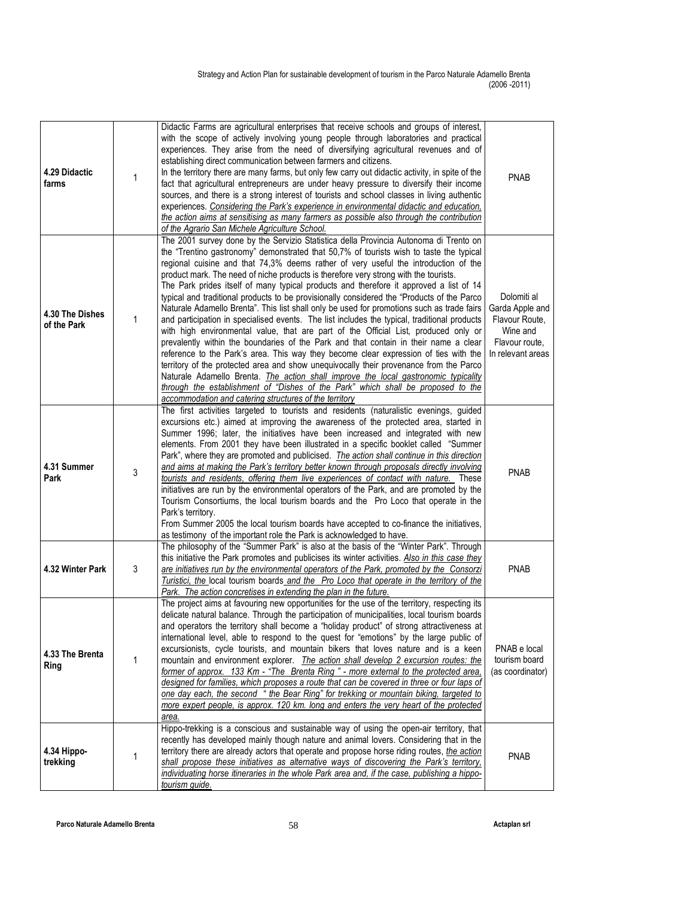| 4.29 Didactic<br>farms         | 1 | Didactic Farms are agricultural enterprises that receive schools and groups of interest,<br>with the scope of actively involving young people through laboratories and practical<br>experiences. They arise from the need of diversifying agricultural revenues and of<br>establishing direct communication between farmers and citizens.<br>In the territory there are many farms, but only few carry out didactic activity, in spite of the<br>fact that agricultural entrepreneurs are under heavy pressure to diversify their income<br>sources, and there is a strong interest of tourists and school classes in living authentic<br>experiences. Considering the Park's experience in environmental didactic and education.<br>the action aims at sensitising as many farmers as possible also through the contribution<br>of the Agrario San Michele Agriculture School.                                                                                                                                                                                                                                                                                                                                                                                                                                                                             | <b>PNAB</b>                                                                                         |
|--------------------------------|---|-------------------------------------------------------------------------------------------------------------------------------------------------------------------------------------------------------------------------------------------------------------------------------------------------------------------------------------------------------------------------------------------------------------------------------------------------------------------------------------------------------------------------------------------------------------------------------------------------------------------------------------------------------------------------------------------------------------------------------------------------------------------------------------------------------------------------------------------------------------------------------------------------------------------------------------------------------------------------------------------------------------------------------------------------------------------------------------------------------------------------------------------------------------------------------------------------------------------------------------------------------------------------------------------------------------------------------------------------------------|-----------------------------------------------------------------------------------------------------|
| 4.30 The Dishes<br>of the Park | 1 | The 2001 survey done by the Servizio Statistica della Provincia Autonoma di Trento on<br>the "Trentino gastronomy" demonstrated that 50,7% of tourists wish to taste the typical<br>regional cuisine and that 74,3% deems rather of very useful the introduction of the<br>product mark. The need of niche products is therefore very strong with the tourists.<br>The Park prides itself of many typical products and therefore it approved a list of 14<br>typical and traditional products to be provisionally considered the "Products of the Parco<br>Naturale Adamello Brenta". This list shall only be used for promotions such as trade fairs<br>and participation in specialised events. The list includes the typical, traditional products<br>with high environmental value, that are part of the Official List, produced only or<br>prevalently within the boundaries of the Park and that contain in their name a clear<br>reference to the Park's area. This way they become clear expression of ties with the<br>territory of the protected area and show unequivocally their provenance from the Parco<br>Naturale Adamello Brenta. The action shall improve the local gastronomic typicality<br>through the establishment of "Dishes of the Park" which shall be proposed to the<br>accommodation and catering structures of the territory | Dolomiti al<br>Garda Apple and<br>Flavour Route,<br>Wine and<br>Flavour route,<br>In relevant areas |
| 4.31 Summer<br>Park            | 3 | The first activities targeted to tourists and residents (naturalistic evenings, guided<br>excursions etc.) aimed at improving the awareness of the protected area, started in<br>Summer 1996; later, the initiatives have been increased and integrated with new<br>elements. From 2001 they have been illustrated in a specific booklet called "Summer<br>Park", where they are promoted and publicised. <i>The action shall continue in this direction</i><br>and aims at making the Park's territory better known through proposals directly involving<br>tourists and residents, offering them live experiences of contact with nature. These<br>initiatives are run by the environmental operators of the Park, and are promoted by the<br>Tourism Consortiums, the local tourism boards and the Pro Loco that operate in the<br>Park's territory.<br>From Summer 2005 the local tourism boards have accepted to co-finance the initiatives,<br>as testimony of the important role the Park is acknowledged to have.                                                                                                                                                                                                                                                                                                                                   | <b>PNAB</b>                                                                                         |
| 4.32 Winter Park               | 3 | The philosophy of the "Summer Park" is also at the basis of the "Winter Park". Through<br>this initiative the Park promotes and publicises its winter activities. Also in this case they<br>are initiatives run by the environmental operators of the Park, promoted by the Consorzi<br>Turistici, the local tourism boards and the Pro Loco that operate in the territory of the<br>Park. The action concretises in extending the plan in the future.                                                                                                                                                                                                                                                                                                                                                                                                                                                                                                                                                                                                                                                                                                                                                                                                                                                                                                      | <b>PNAB</b>                                                                                         |
| 4.33 The Brenta<br>Ring        | 1 | The project aims at favouring new opportunities for the use of the territory, respecting its<br>delicate natural balance. Through the participation of municipalities, local tourism boards<br>and operators the territory shall become a "holiday product" of strong attractiveness at<br>international level, able to respond to the quest for "emotions" by the large public of<br>excursionists, cycle tourists, and mountain bikers that loves nature and is a keen<br>mountain and environment explorer. The action shall develop 2 excursion routes: the<br>former of approx. 133 Km - "The Brenta Ring " - more external to the protected area,<br>designed for families, which proposes a route that can be covered in three or four laps of<br>one day each, the second "the Bear Ring" for trekking or mountain biking, targeted to<br>more expert people, is approx. 120 km. long and enters the very heart of the protected<br>area.                                                                                                                                                                                                                                                                                                                                                                                                           | PNAB e local<br>tourism board<br>(as coordinator)                                                   |
| 4.34 Hippo-<br>trekking        | 1 | Hippo-trekking is a conscious and sustainable way of using the open-air territory, that<br>recently has developed mainly though nature and animal lovers. Considering that in the<br>territory there are already actors that operate and propose horse riding routes, the action<br>shall propose these initiatives as alternative ways of discovering the Park's territory,<br>individuating horse itineraries in the whole Park area and, if the case, publishing a hippo-<br>tourism guide.                                                                                                                                                                                                                                                                                                                                                                                                                                                                                                                                                                                                                                                                                                                                                                                                                                                              | <b>PNAB</b>                                                                                         |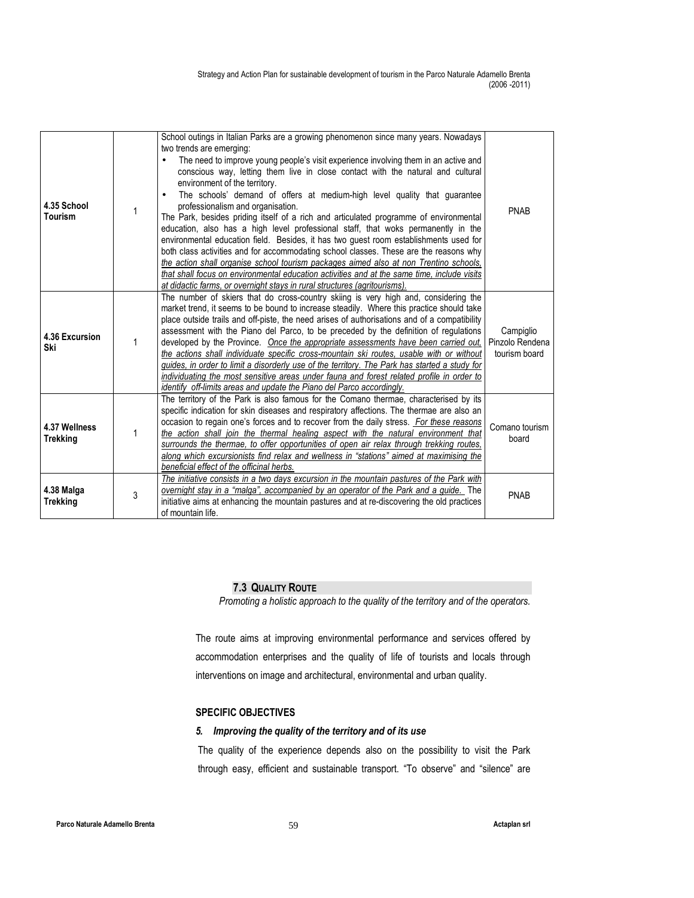| 4.35 School<br>Tourism           | 1 | School outings in Italian Parks are a growing phenomenon since many years. Nowadays<br>two trends are emerging:<br>The need to improve young people's visit experience involving them in an active and<br>conscious way, letting them live in close contact with the natural and cultural<br>environment of the territory.<br>The schools' demand of offers at medium-high level quality that guarantee<br>professionalism and organisation.<br>The Park, besides priding itself of a rich and articulated programme of environmental<br>education, also has a high level professional staff, that woks permanently in the<br>environmental education field. Besides, it has two quest room establishments used for<br>both class activities and for accommodating school classes. These are the reasons why<br>the action shall organise school tourism packages aimed also at non Trentino schools,<br>that shall focus on environmental education activities and at the same time, include visits<br>at didactic farms, or overnight stays in rural structures (agritourisms). | <b>PNAB</b>                                   |
|----------------------------------|---|-----------------------------------------------------------------------------------------------------------------------------------------------------------------------------------------------------------------------------------------------------------------------------------------------------------------------------------------------------------------------------------------------------------------------------------------------------------------------------------------------------------------------------------------------------------------------------------------------------------------------------------------------------------------------------------------------------------------------------------------------------------------------------------------------------------------------------------------------------------------------------------------------------------------------------------------------------------------------------------------------------------------------------------------------------------------------------------|-----------------------------------------------|
| 4.36 Excursion<br>Ski            | 1 | The number of skiers that do cross-country skiing is very high and, considering the<br>market trend, it seems to be bound to increase steadily. Where this practice should take<br>place outside trails and off-piste, the need arises of authorisations and of a compatibility<br>assessment with the Piano del Parco, to be preceded by the definition of regulations<br>developed by the Province. Once the appropriate assessments have been carried out.<br>the actions shall individuate specific cross-mountain ski routes, usable with or without<br>guides, in order to limit a disorderly use of the territory. The Park has started a study for<br>individuating the most sensitive areas under fauna and forest related profile in order to<br>identify off-limits areas and update the Piano del Parco accordingly.                                                                                                                                                                                                                                                  | Campiglio<br>Pinzolo Rendena<br>tourism board |
| 4.37 Wellness<br><b>Trekking</b> | 1 | The territory of the Park is also famous for the Comano thermae, characterised by its<br>specific indication for skin diseases and respiratory affections. The thermae are also an<br>occasion to regain one's forces and to recover from the daily stress. For these reasons<br>the action shall join the thermal healing aspect with the natural environment that<br>surrounds the thermae, to offer opportunities of open air relax through trekking routes.<br>along which excursionists find relax and wellness in "stations" aimed at maximising the<br>beneficial effect of the officinal herbs.                                                                                                                                                                                                                                                                                                                                                                                                                                                                           | Comano tourism<br>board                       |
| 4.38 Malga<br><b>Trekking</b>    | 3 | The initiative consists in a two days excursion in the mountain pastures of the Park with<br>overnight stay in a "malga", accompanied by an operator of the Park and a guide. The<br>initiative aims at enhancing the mountain pastures and at re-discovering the old practices<br>of mountain life.                                                                                                                                                                                                                                                                                                                                                                                                                                                                                                                                                                                                                                                                                                                                                                              | <b>PNAB</b>                                   |

## 7.3 QUALITY ROUTE

Promoting a holistic approach to the quality of the territory and of the operators.

The route aims at improving environmental performance and services offered by accommodation enterprises and the quality of life of tourists and locals through interventions on image and architectural, environmental and urban quality.

## SPECIFIC OBJECTIVES

## 5. Improving the quality of the territory and of its use

The quality of the experience depends also on the possibility to visit the Park through easy, efficient and sustainable transport. "To observe" and "silence" are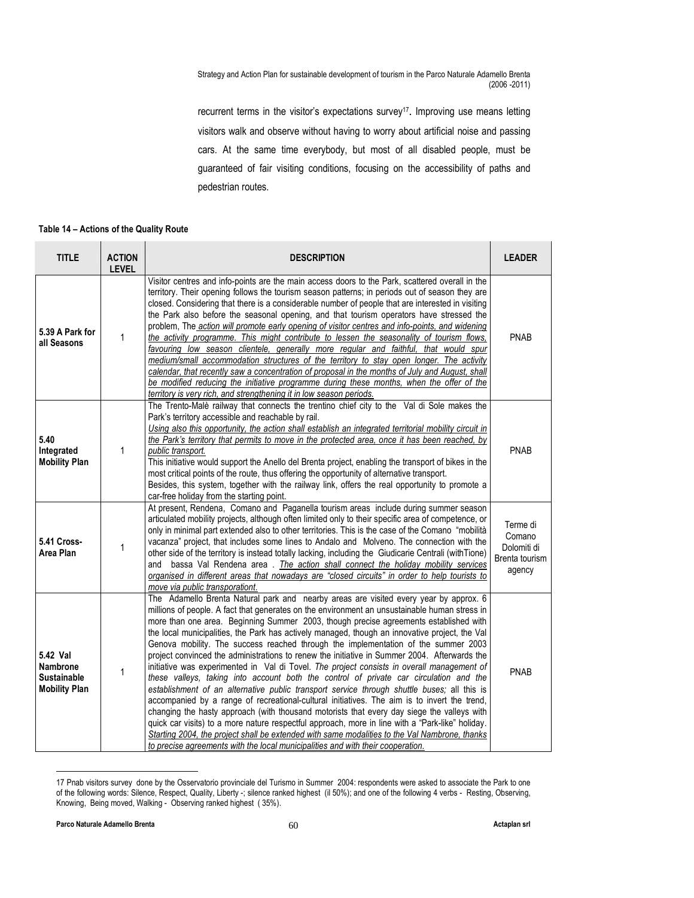recurrent terms in the visitor's expectations survey<sup>17</sup>. Improving use means letting visitors walk and observe without having to worry about artificial noise and passing cars. At the same time everybody, but most of all disabled people, must be guaranteed of fair visiting conditions, focusing on the accessibility of paths and pedestrian routes.

#### Table 14 – Actions of the Quality Route

| <b>TITLE</b>                                                       | <b>ACTION</b><br><b>LEVEL</b> | <b>DESCRIPTION</b>                                                                                                                                                                                                                                                                                                                                                                                                                                                                                                                                                                                                                                                                                                                                                                                                                                                                                                                                                                                                                                                                                                                                                                                                                                                                                                                                   | <b>LEADER</b>                                                 |
|--------------------------------------------------------------------|-------------------------------|------------------------------------------------------------------------------------------------------------------------------------------------------------------------------------------------------------------------------------------------------------------------------------------------------------------------------------------------------------------------------------------------------------------------------------------------------------------------------------------------------------------------------------------------------------------------------------------------------------------------------------------------------------------------------------------------------------------------------------------------------------------------------------------------------------------------------------------------------------------------------------------------------------------------------------------------------------------------------------------------------------------------------------------------------------------------------------------------------------------------------------------------------------------------------------------------------------------------------------------------------------------------------------------------------------------------------------------------------|---------------------------------------------------------------|
| 5.39 A Park for<br>all Seasons                                     | 1                             | Visitor centres and info-points are the main access doors to the Park, scattered overall in the<br>territory. Their opening follows the tourism season patterns; in periods out of season they are<br>closed. Considering that there is a considerable number of people that are interested in visiting<br>the Park also before the seasonal opening, and that tourism operators have stressed the<br>problem, The action will promote early opening of visitor centres and info-points, and widening<br>the activity programme. This might contribute to lessen the seasonality of tourism flows,<br>favouring low season clientele, generally more regular and faithful, that would spur<br>medium/small accommodation structures of the territory to stay open longer. The activity<br>calendar, that recently saw a concentration of proposal in the months of July and August, shall<br>be modified reducing the initiative programme during these months, when the offer of the<br>territory is very rich, and strengthening it in low season periods.                                                                                                                                                                                                                                                                                         | <b>PNAB</b>                                                   |
| 5.40<br>Integrated<br><b>Mobility Plan</b>                         | 1                             | The Trento-Malè railway that connects the trentino chief city to the Val di Sole makes the<br>Park's territory accessible and reachable by rail.<br>Using also this opportunity, the action shall establish an integrated territorial mobility circuit in<br>the Park's territory that permits to move in the protected area, once it has been reached, by<br>public transport.<br>This initiative would support the Anello del Brenta project, enabling the transport of bikes in the<br>most critical points of the route, thus offering the opportunity of alternative transport.<br>Besides, this system, together with the railway link, offers the real opportunity to promote a<br>car-free holiday from the starting point.                                                                                                                                                                                                                                                                                                                                                                                                                                                                                                                                                                                                                  | <b>PNAB</b>                                                   |
| 5.41 Cross-<br>Area Plan                                           | 1                             | At present, Rendena, Comano and Paganella tourism areas include during summer season<br>articulated mobility projects, although often limited only to their specific area of competence, or<br>only in minimal part extended also to other territories. This is the case of the Comano "mobilità<br>vacanza" project, that includes some lines to Andalo and Molveno. The connection with the<br>other side of the territory is instead totally lacking, including the Giudicarie Centrali (with Tione)<br>and bassa Val Rendena area. The action shall connect the holiday mobility services<br>organised in different areas that nowadays are "closed circuits" in order to help tourists to<br>move via public transporationt.                                                                                                                                                                                                                                                                                                                                                                                                                                                                                                                                                                                                                    | Terme di<br>Comano<br>Dolomiti di<br>Brenta tourism<br>agency |
| 5.42 Val<br>Nambrone<br><b>Sustainable</b><br><b>Mobility Plan</b> | $\mathbf{1}$                  | The Adamello Brenta Natural park and nearby areas are visited every year by approx. 6<br>millions of people. A fact that generates on the environment an unsustainable human stress in<br>more than one area. Beginning Summer 2003, though precise agreements established with<br>the local municipalities, the Park has actively managed, though an innovative project, the Val<br>Genova mobility. The success reached through the implementation of the summer 2003<br>project convinced the administrations to renew the initiative in Summer 2004. Afterwards the<br>initiative was experimented in Val di Tovel. The project consists in overall management of<br>these valleys, taking into account both the control of private car circulation and the<br>establishment of an alternative public transport service through shuttle buses; all this is<br>accompanied by a range of recreational-cultural initiatives. The aim is to invert the trend,<br>changing the hasty approach (with thousand motorists that every day siege the valleys with<br>quick car visits) to a more nature respectful approach, more in line with a "Park-like" holiday.<br>Starting 2004, the project shall be extended with same modalities to the Val Nambrone, thanks<br>to precise agreements with the local municipalities and with their cooperation. | <b>PNAB</b>                                                   |

<sup>17</sup> Pnab visitors survey done by the Osservatorio provinciale del Turismo in Summer 2004: respondents were asked to associate the Park to one of the following words: Silence, Respect, Quality, Liberty -; silence ranked highest (il 50%); and one of the following 4 verbs - Resting, Observing, Knowing, Being moved, Walking - Observing ranked highest ( 35%).

 $\ddot{ }$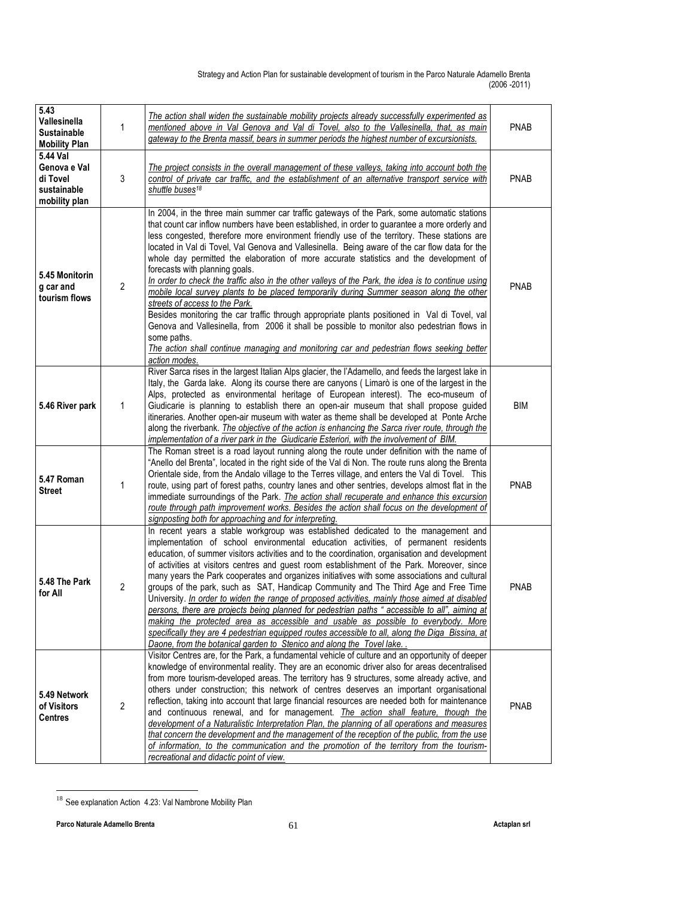| 5.43<br>Vallesinella<br><b>Sustainable</b><br><b>Mobility Plan</b>   | 1              | The action shall widen the sustainable mobility projects already successfully experimented as<br>mentioned above in Val Genova and Val di Tovel, also to the Vallesinella, that, as main<br>gateway to the Brenta massif, bears in summer periods the highest number of excursionists.                                                                                                                                                                                                                                                                                                                                                                                                                                                                                                                                                                                                                                                                                                                                                                                                      | <b>PNAB</b> |
|----------------------------------------------------------------------|----------------|---------------------------------------------------------------------------------------------------------------------------------------------------------------------------------------------------------------------------------------------------------------------------------------------------------------------------------------------------------------------------------------------------------------------------------------------------------------------------------------------------------------------------------------------------------------------------------------------------------------------------------------------------------------------------------------------------------------------------------------------------------------------------------------------------------------------------------------------------------------------------------------------------------------------------------------------------------------------------------------------------------------------------------------------------------------------------------------------|-------------|
| 5.44 Val<br>Genova e Val<br>di Tovel<br>sustainable<br>mobility plan | 3              | The project consists in the overall management of these valleys, taking into account both the<br>control of private car traffic, and the establishment of an alternative transport service with<br>shuttle buses <sup>18</sup>                                                                                                                                                                                                                                                                                                                                                                                                                                                                                                                                                                                                                                                                                                                                                                                                                                                              | <b>PNAB</b> |
| 5.45 Monitorin<br>g car and<br>tourism flows                         | $\overline{2}$ | In 2004, in the three main summer car traffic gateways of the Park, some automatic stations<br>that count car inflow numbers have been established, in order to guarantee a more orderly and<br>less congested, therefore more environment friendly use of the territory. These stations are<br>located in Val di Tovel, Val Genova and Vallesinella. Being aware of the car flow data for the<br>whole day permitted the elaboration of more accurate statistics and the development of<br>forecasts with planning goals.<br>In order to check the traffic also in the other valleys of the Park, the idea is to continue using<br>mobile local survey plants to be placed temporarily during Summer season along the other<br>streets of access to the Park.<br>Besides monitoring the car traffic through appropriate plants positioned in Val di Tovel, val<br>Genova and Vallesinella, from 2006 it shall be possible to monitor also pedestrian flows in<br>some paths.<br>The action shall continue managing and monitoring car and pedestrian flows seeking better<br>action modes. | <b>PNAB</b> |
| 5.46 River park                                                      | 1              | River Sarca rises in the largest Italian Alps glacier, the l'Adamello, and feeds the largest lake in<br>Italy, the Garda lake. Along its course there are canyons (Limarò is one of the largest in the<br>Alps, protected as environmental heritage of European interest). The eco-museum of<br>Giudicarie is planning to establish there an open-air museum that shall propose guided<br>itineraries. Another open-air museum with water as theme shall be developed at Ponte Arche<br>along the riverbank. The objective of the action is enhancing the Sarca river route, through the<br>implementation of a river park in the Giudicarie Esteriori, with the involvement of BIM.                                                                                                                                                                                                                                                                                                                                                                                                        | <b>BIM</b>  |
| 5.47 Roman<br><b>Street</b>                                          | 1              | The Roman street is a road layout running along the route under definition with the name of<br>"Anello del Brenta", located in the right side of the Val di Non. The route runs along the Brenta<br>Orientale side, from the Andalo village to the Terres village, and enters the Val di Tovel. This<br>route, using part of forest paths, country lanes and other sentries, develops almost flat in the<br>immediate surroundings of the Park. The action shall recuperate and enhance this excursion<br>route through path improvement works. Besides the action shall focus on the development of<br>signposting both for approaching and for interpreting.                                                                                                                                                                                                                                                                                                                                                                                                                              | <b>PNAB</b> |
| 5.48 The Park<br>for All                                             | $\overline{2}$ | In recent years a stable workgroup was established dedicated to the management and<br>implementation of school environmental education activities, of permanent residents<br>education, of summer visitors activities and to the coordination, organisation and development<br>of activities at visitors centres and guest room establishment of the Park. Moreover, since<br>many years the Park cooperates and organizes initiatives with some associations and cultural<br>groups of the park, such as SAT, Handicap Community and The Third Age and Free Time<br>University. In order to widen the range of proposed activities, mainly those aimed at disabled<br>persons, there are projects being planned for pedestrian paths " accessible to all", aiming at<br>making the protected area as accessible and usable as possible to everybody. More<br>specifically they are 4 pedestrian equipped routes accessible to all, along the Diga Bissina, at<br>Daone, from the botanical garden to Stenico and along the Tovel lake.                                                     | <b>PNAB</b> |
| 5.49 Network<br>of Visitors<br><b>Centres</b>                        | 2              | Visitor Centres are, for the Park, a fundamental vehicle of culture and an opportunity of deeper<br>knowledge of environmental reality. They are an economic driver also for areas decentralised<br>from more tourism-developed areas. The territory has 9 structures, some already active, and<br>others under construction; this network of centres deserves an important organisational<br>reflection, taking into account that large financial resources are needed both for maintenance<br>and continuous renewal, and for management. The action shall feature, though the<br>development of a Naturalistic Interpretation Plan, the planning of all operations and measures<br>that concern the development and the management of the reception of the public, from the use<br>of information, to the communication and the promotion of the territory from the tourism-<br>recreational and didactic point of view.                                                                                                                                                                 | <b>PNAB</b> |

 $\overline{a}$ <sup>18</sup> See explanation Action 4.23: Val Nambrone Mobility Plan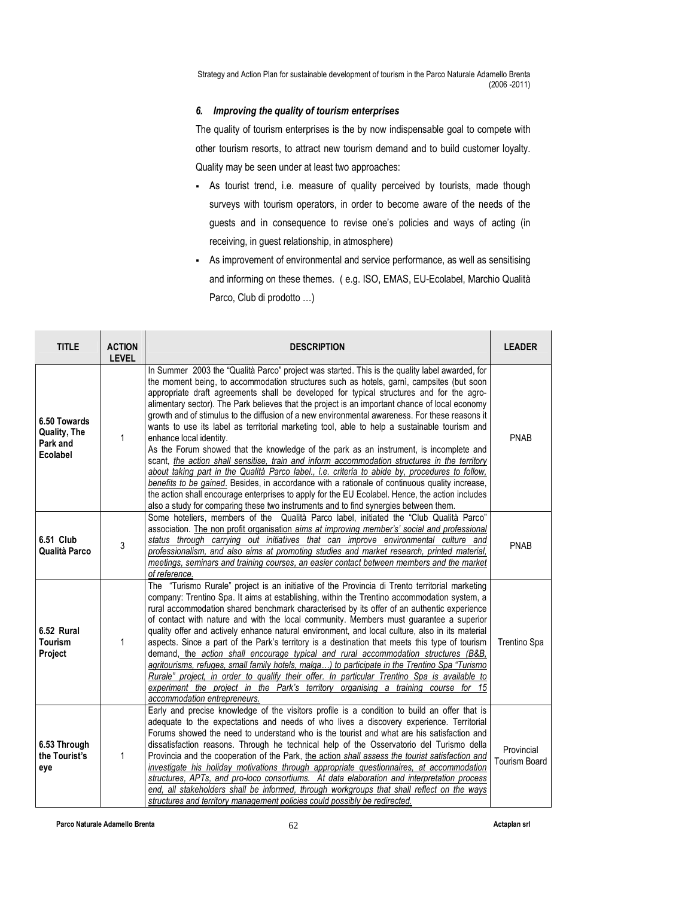## 6. Improving the quality of tourism enterprises

The quality of tourism enterprises is the by now indispensable goal to compete with other tourism resorts, to attract new tourism demand and to build customer loyalty. Quality may be seen under at least two approaches:

- As tourist trend, i.e. measure of quality perceived by tourists, made though surveys with tourism operators, in order to become aware of the needs of the guests and in consequence to revise one's policies and ways of acting (in receiving, in guest relationship, in atmosphere)
- As improvement of environmental and service performance, as well as sensitising and informing on these themes. ( e.g. ISO, EMAS, EU-Ecolabel, Marchio Qualità Parco, Club di prodotto …)

| <b>TITLE</b>                                         | <b>ACTION</b><br><b>LEVEL</b> | <b>DESCRIPTION</b>                                                                                                                                                                                                                                                                                                                                                                                                                                                                                                                                                                                                                                                                                                                                                                                                                                                                                                                                                                                                                                                                                                                                                                                               | <b>LEADER</b>                      |
|------------------------------------------------------|-------------------------------|------------------------------------------------------------------------------------------------------------------------------------------------------------------------------------------------------------------------------------------------------------------------------------------------------------------------------------------------------------------------------------------------------------------------------------------------------------------------------------------------------------------------------------------------------------------------------------------------------------------------------------------------------------------------------------------------------------------------------------------------------------------------------------------------------------------------------------------------------------------------------------------------------------------------------------------------------------------------------------------------------------------------------------------------------------------------------------------------------------------------------------------------------------------------------------------------------------------|------------------------------------|
| 6.50 Towards<br>Quality, The<br>Park and<br>Ecolabel | 1                             | In Summer 2003 the "Qualità Parco" project was started. This is the quality label awarded, for<br>the moment being, to accommodation structures such as hotels, garnì, campsites (but soon<br>appropriate draft agreements shall be developed for typical structures and for the agro-<br>alimentary sector). The Park believes that the project is an important chance of local economy<br>growth and of stimulus to the diffusion of a new environmental awareness. For these reasons it<br>wants to use its label as territorial marketing tool, able to help a sustainable tourism and<br>enhance local identity.<br>As the Forum showed that the knowledge of the park as an instrument, is incomplete and<br>scant, the action shall sensitise, train and inform accommodation structures in the territory<br>about taking part in the Qualità Parco label., i.e. criteria to abide by, procedures to follow,<br>benefits to be gained. Besides, in accordance with a rationale of continuous quality increase,<br>the action shall encourage enterprises to apply for the EU Ecolabel. Hence, the action includes<br>also a study for comparing these two instruments and to find synergies between them. | <b>PNAB</b>                        |
| 6.51 Club<br>Qualità Parco                           | 3                             | Some hoteliers, members of the Qualità Parco label, initiated the "Club Qualità Parco"<br>association. The non profit organisation aims at improving member's' social and professional<br>status through carrying out initiatives that can improve environmental culture and<br>professionalism, and also aims at promoting studies and market research, printed material,<br>meetings, seminars and training courses, an easier contact between members and the market<br>of reference.                                                                                                                                                                                                                                                                                                                                                                                                                                                                                                                                                                                                                                                                                                                         | <b>PNAB</b>                        |
| 6.52 Rural<br><b>Tourism</b><br>Project              | 1                             | The "Turismo Rurale" project is an initiative of the Provincia di Trento territorial marketing<br>company: Trentino Spa. It aims at establishing, within the Trentino accommodation system, a<br>rural accommodation shared benchmark characterised by its offer of an authentic experience<br>of contact with nature and with the local community. Members must guarantee a superior<br>quality offer and actively enhance natural environment, and local culture, also in its material<br>aspects. Since a part of the Park's territory is a destination that meets this type of tourism<br>demand, the action shall encourage typical and rural accommodation structures (B&B,<br>agritourisms, refuges, small family hotels, malga) to participate in the Trentino Spa "Turismo<br>Rurale" project, in order to qualify their offer. In particular Trentino Spa is available to<br>experiment the project in the Park's territory organising a training course for 15<br>accommodation entrepreneurs.                                                                                                                                                                                                        | Trentino Spa                       |
| 6.53 Through<br>the Tourist's<br>eye                 | 1                             | Early and precise knowledge of the visitors profile is a condition to build an offer that is<br>adequate to the expectations and needs of who lives a discovery experience. Territorial<br>Forums showed the need to understand who is the tourist and what are his satisfaction and<br>dissatisfaction reasons. Through he technical help of the Osservatorio del Turismo della<br>Provincia and the cooperation of the Park, the action shall assess the tourist satisfaction and<br>investigate his holiday motivations through appropriate questionnaires, at accommodation<br>structures, APTs, and pro-loco consortiums. At data elaboration and interpretation process<br>end, all stakeholders shall be informed, through workgroups that shall reflect on the ways<br>structures and territory management policies could possibly be redirected.                                                                                                                                                                                                                                                                                                                                                        | Provincial<br><b>Tourism Board</b> |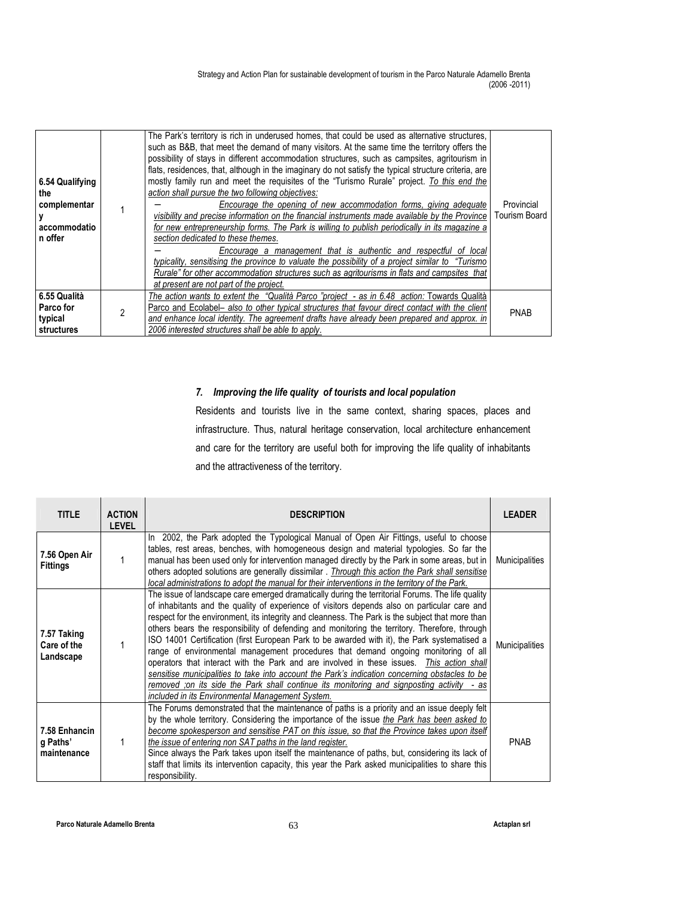| 6.54 Qualifying<br>the<br>complementar<br>accommodatio<br>n offer |   | The Park's territory is rich in underused homes, that could be used as alternative structures,<br>such as B&B, that meet the demand of many visitors. At the same time the territory offers the<br>possibility of stays in different accommodation structures, such as campsites, agritourism in<br>flats, residences, that, although in the imaginary do not satisfy the typical structure criteria, are<br>mostly family run and meet the requisites of the "Turismo Rurale" project. To this end the<br>action shall pursue the two following objectives:<br>Encourage the opening of new accommodation forms, giving adequate<br>visibility and precise information on the financial instruments made available by the Province<br>for new entrepreneurship forms. The Park is willing to publish periodically in its magazine a<br>section dedicated to these themes.<br>Encourage a management that is authentic and respectful of local<br>typicality, sensitising the province to valuate the possibility of a project similar to "Turismo"<br>Rurale" for other accommodation structures such as agritourisms in flats and campsites that<br>at present are not part of the project. | Provincial<br><b>Tourism Board</b> |
|-------------------------------------------------------------------|---|-----------------------------------------------------------------------------------------------------------------------------------------------------------------------------------------------------------------------------------------------------------------------------------------------------------------------------------------------------------------------------------------------------------------------------------------------------------------------------------------------------------------------------------------------------------------------------------------------------------------------------------------------------------------------------------------------------------------------------------------------------------------------------------------------------------------------------------------------------------------------------------------------------------------------------------------------------------------------------------------------------------------------------------------------------------------------------------------------------------------------------------------------------------------------------------------------|------------------------------------|
| 6.55 Qualità                                                      |   | The action wants to extent the "Qualità Parco "project - as in 6.48 action: Towards Qualità                                                                                                                                                                                                                                                                                                                                                                                                                                                                                                                                                                                                                                                                                                                                                                                                                                                                                                                                                                                                                                                                                                   |                                    |
| Parco for                                                         | 2 | Parco and Ecolabel– also to other typical structures that favour direct contact with the client                                                                                                                                                                                                                                                                                                                                                                                                                                                                                                                                                                                                                                                                                                                                                                                                                                                                                                                                                                                                                                                                                               | <b>PNAB</b>                        |
| typical                                                           |   | and enhance local identity. The agreement drafts have already been prepared and approx. in                                                                                                                                                                                                                                                                                                                                                                                                                                                                                                                                                                                                                                                                                                                                                                                                                                                                                                                                                                                                                                                                                                    |                                    |
| structures                                                        |   | 2006 interested structures shall be able to apply.                                                                                                                                                                                                                                                                                                                                                                                                                                                                                                                                                                                                                                                                                                                                                                                                                                                                                                                                                                                                                                                                                                                                            |                                    |

## 7. Improving the life quality of tourists and local population

Residents and tourists live in the same context, sharing spaces, places and infrastructure. Thus, natural heritage conservation, local architecture enhancement and care for the territory are useful both for improving the life quality of inhabitants and the attractiveness of the territory.

| <b>TITLE</b>                             | <b>ACTION</b><br><b>LEVEL</b> | <b>DESCRIPTION</b>                                                                                                                                                                                                                                                                                                                                                                                                                                                                                                                                                                                                                                                                                                                                                                                                                                                                                                                             | <b>LEADER</b>         |
|------------------------------------------|-------------------------------|------------------------------------------------------------------------------------------------------------------------------------------------------------------------------------------------------------------------------------------------------------------------------------------------------------------------------------------------------------------------------------------------------------------------------------------------------------------------------------------------------------------------------------------------------------------------------------------------------------------------------------------------------------------------------------------------------------------------------------------------------------------------------------------------------------------------------------------------------------------------------------------------------------------------------------------------|-----------------------|
| 7.56 Open Air<br><b>Fittings</b>         |                               | In 2002, the Park adopted the Typological Manual of Open Air Fittings, useful to choose<br>tables, rest areas, benches, with homogeneous design and material typologies. So far the<br>manual has been used only for intervention managed directly by the Park in some areas, but in<br>others adopted solutions are generally dissimilar . Through this action the Park shall sensitise<br>local administrations to adopt the manual for their interventions in the territory of the Park.                                                                                                                                                                                                                                                                                                                                                                                                                                                    | <b>Municipalities</b> |
| 7.57 Taking<br>Care of the<br>Landscape  |                               | The issue of landscape care emerged dramatically during the territorial Forums. The life quality<br>of inhabitants and the quality of experience of visitors depends also on particular care and<br>respect for the environment, its integrity and cleanness. The Park is the subject that more than<br>others bears the responsibility of defending and monitoring the territory. Therefore, through<br>ISO 14001 Certification (first European Park to be awarded with it), the Park systematised a<br>range of environmental management procedures that demand ongoing monitoring of all<br>operators that interact with the Park and are involved in these issues. This action shall<br>sensitise municipalities to take into account the Park's indication concerning obstacles to be<br>removed ;on its side the Park shall continue its monitoring and signposting activity<br>- as<br>included in its Environmental Management System. | <b>Municipalities</b> |
| 7.58 Enhancin<br>g Paths'<br>maintenance |                               | The Forums demonstrated that the maintenance of paths is a priority and an issue deeply felt<br>by the whole territory. Considering the importance of the issue the Park has been asked to<br>become spokesperson and sensitise PAT on this issue, so that the Province takes upon itself<br>the issue of entering non SAT paths in the land register.<br>Since always the Park takes upon itself the maintenance of paths, but, considering its lack of<br>staff that limits its intervention capacity, this year the Park asked municipalities to share this<br>responsibility.                                                                                                                                                                                                                                                                                                                                                              | <b>PNAB</b>           |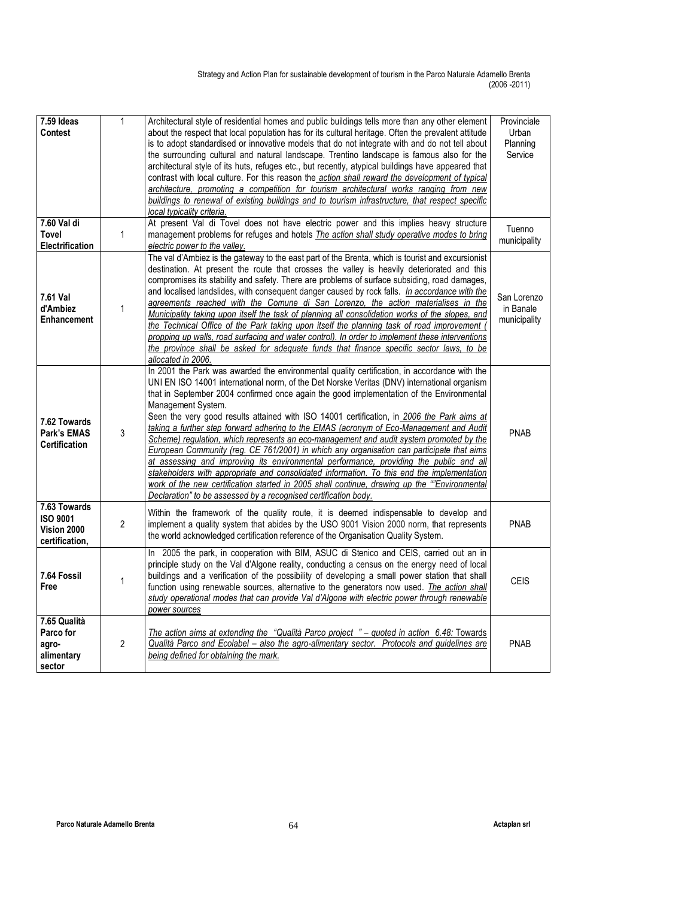| 7.59 Ideas                                                       | 1              | Architectural style of residential homes and public buildings tells more than any other element                                                                                                                                                                                                                                                                                                                                                                                                                                                                                                                                                                                                                                                                                                                                                                                                                                                                                                                                                           | Provinciale                              |
|------------------------------------------------------------------|----------------|-----------------------------------------------------------------------------------------------------------------------------------------------------------------------------------------------------------------------------------------------------------------------------------------------------------------------------------------------------------------------------------------------------------------------------------------------------------------------------------------------------------------------------------------------------------------------------------------------------------------------------------------------------------------------------------------------------------------------------------------------------------------------------------------------------------------------------------------------------------------------------------------------------------------------------------------------------------------------------------------------------------------------------------------------------------|------------------------------------------|
| <b>Contest</b>                                                   |                | about the respect that local population has for its cultural heritage. Often the prevalent attitude                                                                                                                                                                                                                                                                                                                                                                                                                                                                                                                                                                                                                                                                                                                                                                                                                                                                                                                                                       | Urban                                    |
|                                                                  |                | is to adopt standardised or innovative models that do not integrate with and do not tell about                                                                                                                                                                                                                                                                                                                                                                                                                                                                                                                                                                                                                                                                                                                                                                                                                                                                                                                                                            | Planning                                 |
|                                                                  |                | the surrounding cultural and natural landscape. Trentino landscape is famous also for the                                                                                                                                                                                                                                                                                                                                                                                                                                                                                                                                                                                                                                                                                                                                                                                                                                                                                                                                                                 | Service                                  |
|                                                                  |                | architectural style of its huts, refuges etc., but recently, atypical buildings have appeared that                                                                                                                                                                                                                                                                                                                                                                                                                                                                                                                                                                                                                                                                                                                                                                                                                                                                                                                                                        |                                          |
|                                                                  |                | contrast with local culture. For this reason the action shall reward the development of typical<br>architecture, promoting a competition for tourism architectural works ranging from new                                                                                                                                                                                                                                                                                                                                                                                                                                                                                                                                                                                                                                                                                                                                                                                                                                                                 |                                          |
|                                                                  |                | buildings to renewal of existing buildings and to tourism infrastructure, that respect specific                                                                                                                                                                                                                                                                                                                                                                                                                                                                                                                                                                                                                                                                                                                                                                                                                                                                                                                                                           |                                          |
|                                                                  |                | local typicality criteria.                                                                                                                                                                                                                                                                                                                                                                                                                                                                                                                                                                                                                                                                                                                                                                                                                                                                                                                                                                                                                                |                                          |
| $7.60$ Val di                                                    |                | At present Val di Tovel does not have electric power and this implies heavy structure                                                                                                                                                                                                                                                                                                                                                                                                                                                                                                                                                                                                                                                                                                                                                                                                                                                                                                                                                                     |                                          |
| <b>Tovel</b>                                                     | 1              | management problems for refuges and hotels <i>The action shall study operative modes to bring</i>                                                                                                                                                                                                                                                                                                                                                                                                                                                                                                                                                                                                                                                                                                                                                                                                                                                                                                                                                         | Tuenno                                   |
| Electrification                                                  |                | electric power to the valley.                                                                                                                                                                                                                                                                                                                                                                                                                                                                                                                                                                                                                                                                                                                                                                                                                                                                                                                                                                                                                             | municipality                             |
| 7.61 Val<br>d'Ambiez<br>Enhancement                              | 1              | The val d'Ambiez is the gateway to the east part of the Brenta, which is tourist and excursionist<br>destination. At present the route that crosses the valley is heavily deteriorated and this<br>compromises its stability and safety. There are problems of surface subsiding, road damages,<br>and localised landslides, with consequent danger caused by rock falls. In accordance with the<br>agreements reached with the Comune di San Lorenzo, the action materialises in the<br>Municipality taking upon itself the task of planning all consolidation works of the slopes, and<br>the Technical Office of the Park taking upon itself the planning task of road improvement<br>propping up walls, road surfacing and water control). In order to implement these interventions<br>the province shall be asked for adequate funds that finance specific sector laws, to be<br>allocated in 2006.                                                                                                                                                 | San Lorenzo<br>in Banale<br>municipality |
| 7.62 Towards<br>Park's EMAS<br><b>Certification</b>              | 3              | In 2001 the Park was awarded the environmental quality certification, in accordance with the<br>UNI EN ISO 14001 international norm, of the Det Norske Veritas (DNV) international organism<br>that in September 2004 confirmed once again the good implementation of the Environmental<br>Management System.<br>Seen the very good results attained with ISO 14001 certification, in 2006 the Park aims at<br>taking a further step forward adhering to the EMAS (acronym of Eco-Management and Audit<br>Scheme) regulation, which represents an eco-management and audit system promoted by the<br>European Community (reg. CE 761/2001) in which any organisation can participate that aims<br>at assessing and improving its environmental performance, providing the public and all<br>stakeholders with appropriate and consolidated information. To this end the implementation<br>work of the new certification started in 2005 shall continue, drawing up the ""Environmental<br>Declaration" to be assessed by a recognised certification body. | <b>PNAB</b>                              |
| 7.63 Towards<br><b>ISO 9001</b><br>Vision 2000<br>certification, | $\overline{2}$ | Within the framework of the quality route, it is deemed indispensable to develop and<br>implement a quality system that abides by the USO 9001 Vision 2000 norm, that represents<br>the world acknowledged certification reference of the Organisation Quality System.                                                                                                                                                                                                                                                                                                                                                                                                                                                                                                                                                                                                                                                                                                                                                                                    | <b>PNAB</b>                              |
| 7.64 Fossil<br>Free                                              | 1              | In 2005 the park, in cooperation with BIM, ASUC di Stenico and CEIS, carried out an in<br>principle study on the Val d'Algone reality, conducting a census on the energy need of local<br>buildings and a verification of the possibility of developing a small power station that shall<br>function using renewable sources, alternative to the generators now used. The action shall<br>study operational modes that can provide Val d'Algone with electric power through renewable<br>power sources                                                                                                                                                                                                                                                                                                                                                                                                                                                                                                                                                    | <b>CEIS</b>                              |
| 7.65 Qualità<br>Parco for<br>agro-<br>alimentary<br>sector       | 2              | The action aims at extending the "Qualità Parco project " - quoted in action 6.48: Towards<br>Qualità Parco and Ecolabel - also the agro-alimentary sector. Protocols and guidelines are<br>being defined for obtaining the mark.                                                                                                                                                                                                                                                                                                                                                                                                                                                                                                                                                                                                                                                                                                                                                                                                                         | <b>PNAB</b>                              |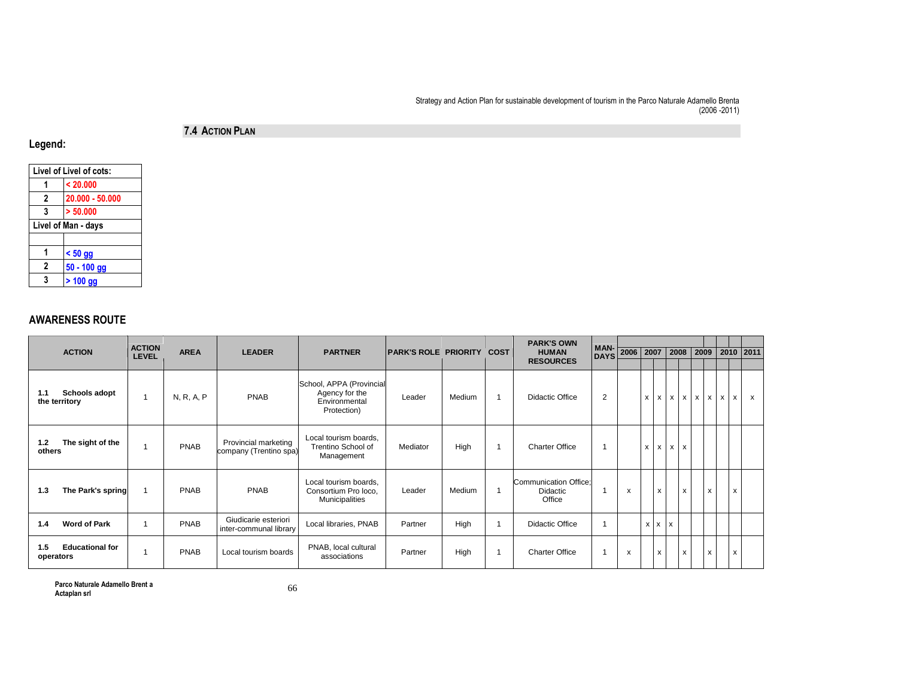## 7.4 <sup>A</sup>CTION PLAN

Legend:

| Livel of Livel of cots: |                 |  |  |  |  |  |  |  |
|-------------------------|-----------------|--|--|--|--|--|--|--|
|                         | < 20.000        |  |  |  |  |  |  |  |
| 2                       | 20.000 - 50.000 |  |  |  |  |  |  |  |
| 3                       | > 50.000        |  |  |  |  |  |  |  |
| Livel of Man - days     |                 |  |  |  |  |  |  |  |
|                         |                 |  |  |  |  |  |  |  |
| 1                       | $< 50$ gg       |  |  |  |  |  |  |  |
| 2                       | $50 - 100$ gg   |  |  |  |  |  |  |  |
| 3                       | $> 100$ gg      |  |  |  |  |  |  |  |
|                         |                 |  |  |  |  |  |  |  |

## AWARENESS ROUTE

| <b>ACTION</b>                                | <b>ACTION</b> | <b>AREA</b> | <b>LEADER</b>                                  | <b>PARTNER</b>                                                             | <b>PARK'S ROLE PRIORITY</b> |        | <b>COST</b> | <b>PARK'S OWN</b><br><b>HUMAN</b>           | <b>MAN-</b>    | 2006 2007 |                   |                   | 2008         |                           | 2009                      |                                | 2010 2011    |
|----------------------------------------------|---------------|-------------|------------------------------------------------|----------------------------------------------------------------------------|-----------------------------|--------|-------------|---------------------------------------------|----------------|-----------|-------------------|-------------------|--------------|---------------------------|---------------------------|--------------------------------|--------------|
|                                              | <b>LEVEL</b>  |             |                                                |                                                                            |                             |        |             | <b>RESOURCES</b>                            | <b>DAYS</b>    |           |                   |                   |              |                           |                           |                                |              |
| <b>Schools adopt</b><br>1.1<br>the territory |               | N, R, A, P  | <b>PNAB</b>                                    | School, APPA (Provincial<br>Agency for the<br>Environmental<br>Protection) | Leader                      | Medium |             | <b>Didactic Office</b>                      | $\overline{2}$ |           | x                 | $\mathsf{x}$<br>x | $\mathsf{x}$ | $\boldsymbol{\mathsf{x}}$ | $\boldsymbol{\mathsf{x}}$ | $\boldsymbol{\mathsf{x}}$<br>x | $\mathsf{x}$ |
| The sight of the<br>$1.2$<br>others          |               | <b>PNAB</b> | Provincial marketing<br>company (Trentino spa) | Local tourism boards,<br>Trentino School of<br>Management                  | Mediator                    | High   | -1          | <b>Charter Office</b>                       | 1              |           | x                 | $\mathsf{x}$<br>x | $\mathsf{x}$ |                           |                           |                                |              |
| The Park's spring<br>1.3                     |               | <b>PNAB</b> | <b>PNAB</b>                                    | Local tourism boards,<br>Consortium Pro loco,<br><b>Municipalities</b>     | Leader                      | Medium | $\mathbf 1$ | Communication Office;<br>Didactic<br>Office | $\mathbf 1$    | X         |                   | $\mathsf{x}$      | $\mathsf{x}$ |                           | $\mathsf{x}$              | $\mathsf{x}$                   |              |
| <b>Word of Park</b><br>1.4                   |               | <b>PNAB</b> | Giudicarie esteriori<br>inter-communal library | Local libraries, PNAB                                                      | Partner                     | High   |             | Didactic Office                             | 1              |           | $x \mid x \mid x$ |                   |              |                           |                           |                                |              |
| <b>Educational for</b><br>1.5<br>operators   |               | <b>PNAB</b> | Local tourism boards                           | PNAB, local cultural<br>associations                                       | Partner                     | High   | 1           | <b>Charter Office</b>                       | $\mathbf{1}$   | x         |                   | X                 | x            |                           | x                         | x                              |              |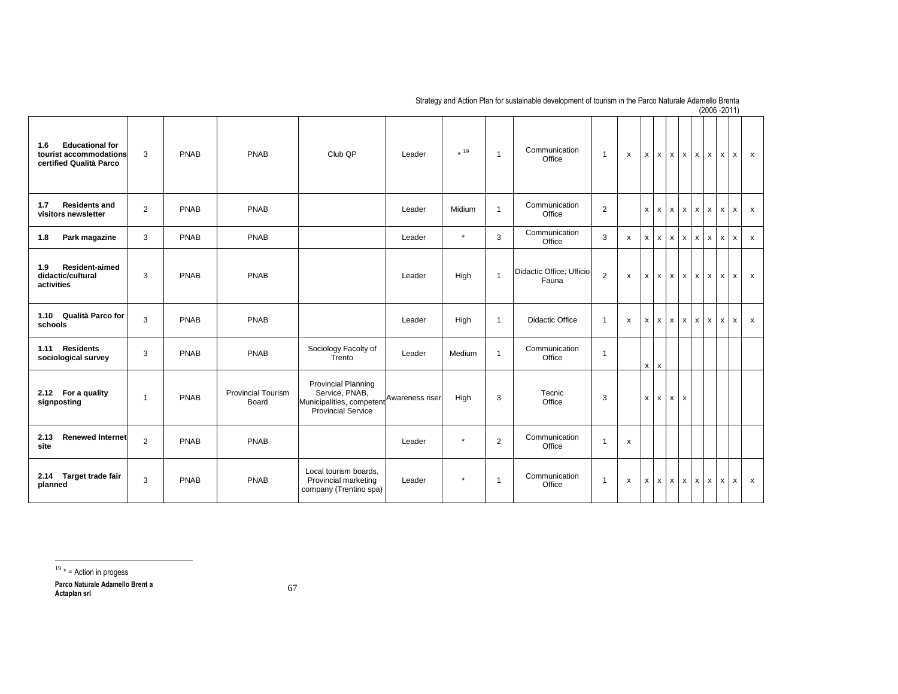| <b>Educational for</b><br>1.6<br>tourist accommodations<br>certified Qualità Parco | 3              | <b>PNAB</b> | PNAB                               | Club QP                                                                                                                | Leader | $*19$   | $\overline{1}$ | Communication<br>Office           | $\mathbf{1}$   | X                         | $\boldsymbol{\mathsf{x}}$<br>$\mathsf{x}$ | $\boldsymbol{\mathsf{x}}$ | $\boldsymbol{\mathsf{x}}$ | $\mathsf{x}$              | X<br>x            | x            | $\mathsf{x}$              |
|------------------------------------------------------------------------------------|----------------|-------------|------------------------------------|------------------------------------------------------------------------------------------------------------------------|--------|---------|----------------|-----------------------------------|----------------|---------------------------|-------------------------------------------|---------------------------|---------------------------|---------------------------|-------------------|--------------|---------------------------|
| <b>Residents and</b><br>1.7<br>visitors newsletter                                 | $\overline{2}$ | <b>PNAB</b> | PNAB                               |                                                                                                                        | Leader | Midium  | $\mathbf{1}$   | Communication<br>Office           | $\overline{2}$ |                           | $\mathsf{x}$<br>$\boldsymbol{\mathsf{x}}$ | $\boldsymbol{\mathsf{x}}$ | $\boldsymbol{\mathsf{x}}$ | $\boldsymbol{\mathsf{x}}$ | x<br>$\mathsf{x}$ | $\mathsf{x}$ | $\mathsf{x}$              |
| Park magazine<br>1.8                                                               | 3              | <b>PNAB</b> | <b>PNAB</b>                        |                                                                                                                        | Leader | $\star$ | 3              | Communication<br>Office           | 3              | x                         | X<br>$\mathsf{x}$                         | $\mathsf{x}$              | X                         | x                         | x<br>$\mathsf{x}$ | $\mathsf{x}$ | $\mathsf{x}$              |
| <b>Resident-aimed</b><br>1.9<br>didactic/cultural<br>activities                    | 3              | <b>PNAB</b> | <b>PNAB</b>                        |                                                                                                                        | Leader | High    | $\overline{1}$ | Didactic Office; Ufficio<br>Fauna | 2              | X                         | $\mathsf{x}$<br>$\mathsf{x}$              | $\mathsf{x}$              | $\mathsf{x}$              | $\times$                  | x<br>$\mathsf{x}$ | $\mathsf{x}$ | $\mathsf{x}$              |
| Qualità Parco for<br>1.10<br>schools                                               | 3              | <b>PNAB</b> | PNAB                               |                                                                                                                        | Leader | High    | $\overline{1}$ | <b>Didactic Office</b>            | $\mathbf{1}$   | $\boldsymbol{\mathsf{x}}$ | $x \mid x$                                | $\mathsf{x}$              | $\boldsymbol{\mathsf{x}}$ | $\mathsf{x}$              | X<br>x            | $\mathsf{x}$ | $\boldsymbol{\mathsf{x}}$ |
| <b>Residents</b><br>1.11<br>sociological survey                                    | 3              | <b>PNAB</b> | <b>PNAB</b>                        | Sociology Facolty of<br>Trento                                                                                         | Leader | Medium  | $\mathbf{1}$   | Communication<br>Office           | $\mathbf{1}$   |                           | $\times$<br>$\mathsf{x}$                  |                           |                           |                           |                   |              |                           |
| 2.12 For a quality<br>signposting                                                  | $\overline{1}$ | <b>PNAB</b> | <b>Provincial Tourism</b><br>Board | <b>Provincial Planning</b><br>Service, PNAB,<br>Municipalities, competent Awareness riser<br><b>Provincial Service</b> |        | High    | 3              | Tecnic<br>Office                  | 3              |                           | $\mathsf{x}$<br>$\mathsf{x}$              | $\times$                  | $\pmb{\mathsf{x}}$        |                           |                   |              |                           |
| 2.13<br><b>Renewed Internet</b><br>site                                            | $\overline{2}$ | PNAB        | PNAB                               |                                                                                                                        | Leader | $\star$ | $\overline{2}$ | Communication<br>Office           | $\mathbf{1}$   | X                         |                                           |                           |                           |                           |                   |              |                           |
| 2.14 Target trade fair<br>planned                                                  | 3              | PNAB        | PNAB                               | Local tourism boards,<br>Provincial marketing<br>company (Trentino spa)                                                | Leader | $\star$ | $\overline{1}$ | Communication<br>Office           | $\mathbf{1}$   | X                         | $x \mid x$                                | $\boldsymbol{\mathsf{x}}$ | $\boldsymbol{\mathsf{x}}$ | $x \mid x$                | x                 | $\mathsf{x}$ | $\boldsymbol{\mathsf{x}}$ |

 $19 *$  = Action in progess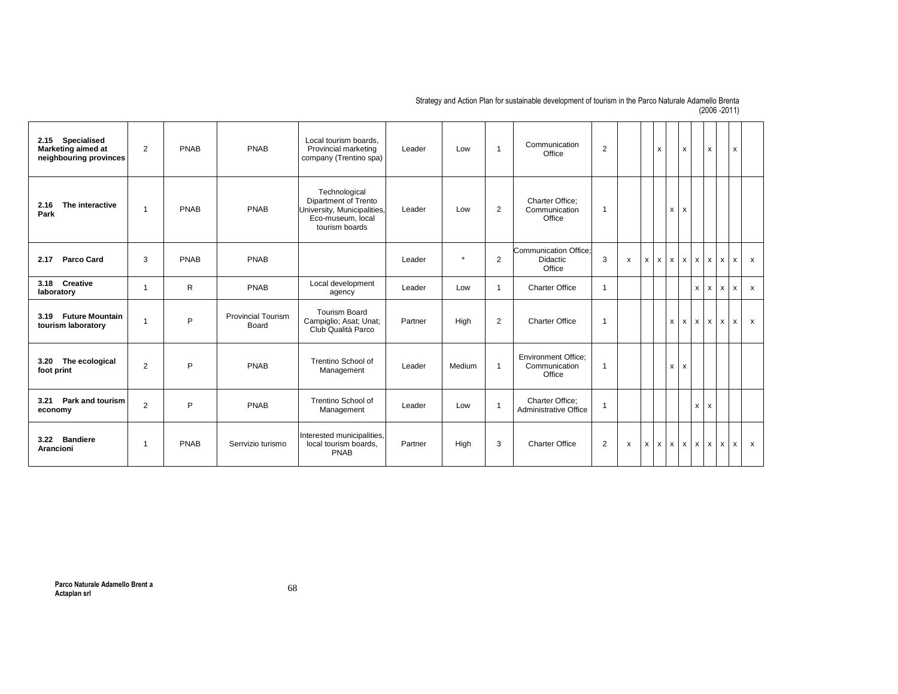| Specialised<br>2.15<br><b>Marketing aimed at</b><br>neighbouring provinces | 2              | PNAB | PNAB                               | Local tourism boards.<br>Provincial marketing<br>company (Trentino spa)                                     | Leader  | Low     | $\overline{1}$ | Communication<br>Office                                | 2              |   |              | X            |              | x            |   | X                            | $\mathsf{x}$              |                           |
|----------------------------------------------------------------------------|----------------|------|------------------------------------|-------------------------------------------------------------------------------------------------------------|---------|---------|----------------|--------------------------------------------------------|----------------|---|--------------|--------------|--------------|--------------|---|------------------------------|---------------------------|---------------------------|
| The interactive<br>2.16<br>Park                                            |                | PNAB | PNAB                               | Technological<br>Dipartment of Trento<br>University, Municipalities,<br>Eco-museum, local<br>tourism boards | Leader  | Low     | $\overline{2}$ | Charter Office;<br>Communication<br>Office             | $\overline{1}$ |   |              |              | X            | x            |   |                              |                           |                           |
| <b>Parco Card</b><br>2.17                                                  | 3              | PNAB | PNAB                               |                                                                                                             | Leader  | $\star$ | 2              | Communication Office:<br><b>Didactic</b><br>Office     | 3              | x | $\mathsf{x}$ | $\mathsf{x}$ | $\mathsf{x}$ | $\mathsf{x}$ | x | X<br>$\mathsf{x}$            | $\pmb{\chi}$              | $\mathsf{x}$              |
| <b>Creative</b><br>3.18<br>laboratory                                      | -1             | R    | PNAB                               | Local development<br>agency                                                                                 | Leader  | Low     | 1              | <b>Charter Office</b>                                  | $\overline{1}$ |   |              |              |              |              | x | x<br>x                       | $\boldsymbol{\mathsf{x}}$ | $\boldsymbol{\mathsf{x}}$ |
| <b>Future Mountain</b><br>3.19<br>tourism laboratory                       | $\overline{1}$ | P    | <b>Provincial Tourism</b><br>Board | <b>Tourism Board</b><br>Campiglio; Asat; Unat;<br>Club Qualità Parco                                        | Partner | High    | 2              | <b>Charter Office</b>                                  | $\overline{1}$ |   |              |              | $\mathsf{x}$ | $x \mid x$   |   | $\mathsf{x}$<br>$\mathsf{x}$ | $\mathsf{x}$              | $\mathsf{x}$              |
| The ecological<br>3.20<br>foot print                                       | 2              | P    | PNAB                               | Trentino School of<br>Management                                                                            | Leader  | Medium  | $\mathbf{1}$   | <b>Environment Office:</b><br>Communication<br>Office  | $\overline{1}$ |   |              |              | $\mathsf{x}$ | x            |   |                              |                           |                           |
| Park and tourism<br>3.21<br>economy                                        | $\overline{2}$ | P    | PNAB                               | Trentino School of<br>Management                                                                            | Leader  | Low     | 1              | <b>Charter Office:</b><br><b>Administrative Office</b> | $\overline{1}$ |   |              |              |              |              | x | x                            |                           |                           |
| 3.22 Bandiere<br><b>Arancioni</b>                                          | $\mathbf{1}$   | PNAB | Serrvizio turismo                  | Interested municipalities,<br>local tourism boards,<br><b>PNAB</b>                                          | Partner | High    | 3              | <b>Charter Office</b>                                  | 2              | x | $\mathsf{x}$ | $\mathsf{x}$ | $\mathsf{x}$ | $x \mid x$   |   | x<br>$\mathsf{x}$            | $\boldsymbol{\mathsf{x}}$ | $\boldsymbol{\mathsf{x}}$ |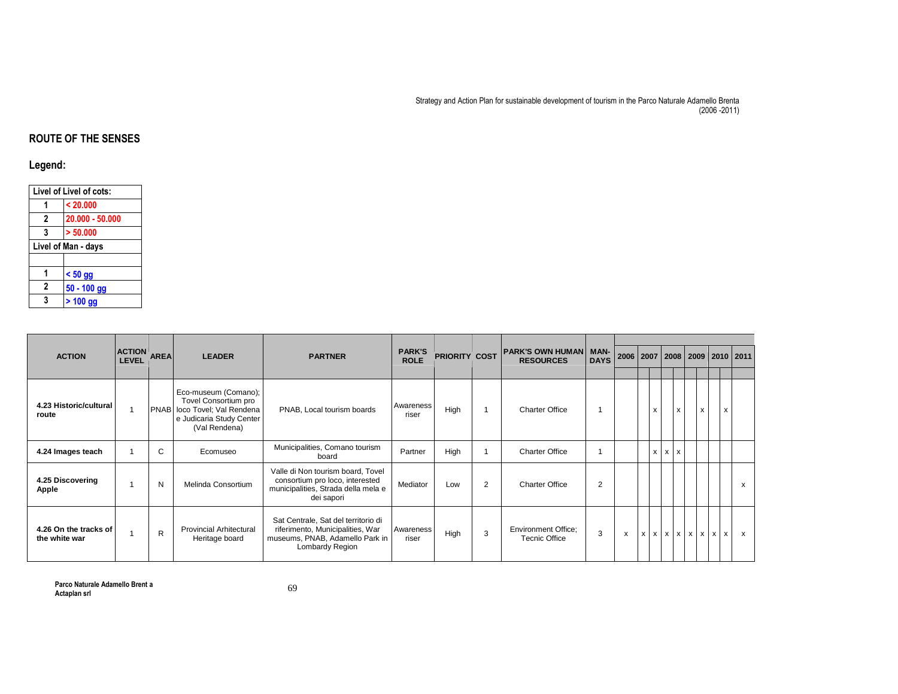## ROUTE OF THE SENSES

## Legend:

|   | Livel of Livel of cots: |
|---|-------------------------|
| 1 | < 20.000                |
| 2 | 20.000 - 50.000         |
| 3 | > 50.000                |
|   | Livel of Man - days     |
|   |                         |
| 1 | $< 50$ gg               |
| 2 | $50 - 100$ gg           |
| 3 | $> 100$ gg              |
|   |                         |

| <b>ACTION</b>                          | <b>ACTION</b> | <b>AREA</b> | <b>LEADER</b>                                                                                                             | <b>PARTNER</b>                                                                                                                | <b>PARK'S</b>      | <b>PRIORITY COST</b> |                | PARK'S OWN HUMAN   MAN-                            |             | 2006 2007 |                                        |            | 2008 2009 |                           |               | 2010 2011    |
|----------------------------------------|---------------|-------------|---------------------------------------------------------------------------------------------------------------------------|-------------------------------------------------------------------------------------------------------------------------------|--------------------|----------------------|----------------|----------------------------------------------------|-------------|-----------|----------------------------------------|------------|-----------|---------------------------|---------------|--------------|
|                                        | <b>LEVEL</b>  |             |                                                                                                                           |                                                                                                                               | <b>ROLE</b>        |                      |                | <b>RESOURCES</b>                                   | <b>DAYS</b> |           |                                        |            |           |                           |               |              |
| 4.23 Historic/cultural<br>route        |               |             | Eco-museum (Comano);<br>Tovel Consortium pro<br>PNAB loco Tovel; Val Rendena<br>e Judicaria Study Center<br>(Val Rendena) | PNAB, Local tourism boards                                                                                                    | Awareness<br>riser | High                 |                | <b>Charter Office</b>                              |             |           | X                                      | X          |           | $\boldsymbol{\mathsf{x}}$ | X             |              |
| 4.24 Images teach                      |               | C.          | Ecomuseo                                                                                                                  | Municipalities, Comano tourism<br>board                                                                                       | Partner            | High                 |                | <b>Charter Office</b>                              |             |           | x                                      | $x \mid x$ |           |                           |               |              |
| 4.25 Discovering<br>Apple              |               | N           | Melinda Consortium                                                                                                        | Valle di Non tourism board, Tovel<br>consortium pro loco, interested<br>municipalities, Strada della mela e<br>dei sapori     | Mediator           | Low                  | $\overline{2}$ | <b>Charter Office</b>                              | 2           |           |                                        |            |           |                           |               | $\mathsf{x}$ |
| 4.26 On the tracks of<br>the white war |               | R           | <b>Provincial Arhitectural</b><br>Heritage board                                                                          | Sat Centrale, Sat del territorio di<br>riferimento, Municipalities, War<br>museums, PNAB, Adamello Park in<br>Lombardy Region | Awareness<br>riser | High                 | 3              | <b>Environment Office;</b><br><b>Tecnic Office</b> | 3           | X         | $x \mid x \mid x \mid x \mid x \mid x$ |            |           |                           | $\times$<br>x | $\mathsf{x}$ |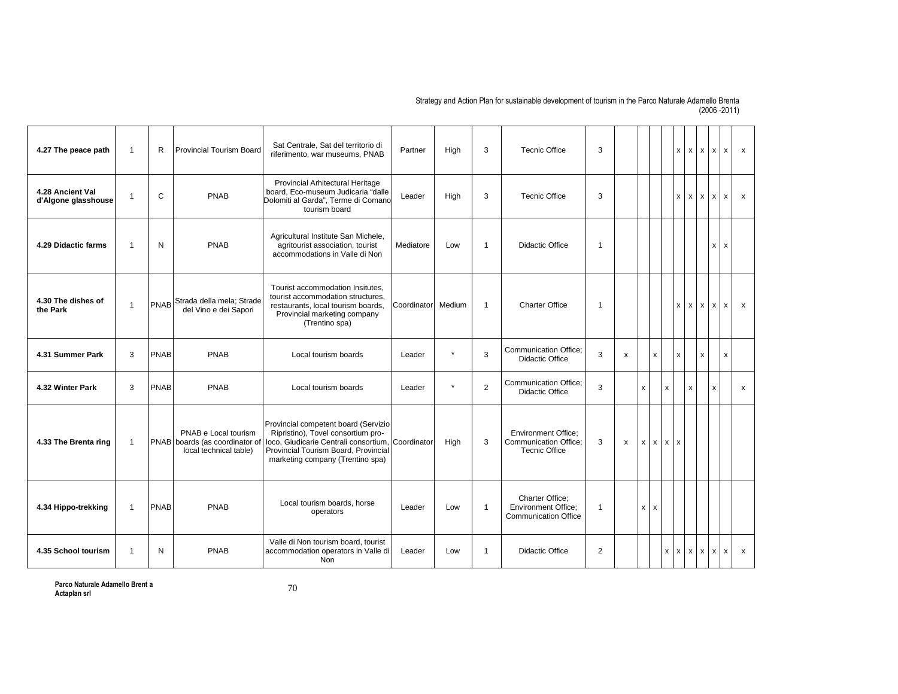| 4.27 The peace path                     | $\overline{1}$ | R            | <b>Provincial Tourism Board</b>                                                  | Sat Centrale, Sat del territorio di<br>riferimento, war museums, PNAB                                                                                                                                       | Partner     | High    | 3              | <b>Tecnic Office</b>                                                         | 3              |   |              |                   | X                  |          | $X$ $X$                   | $\boldsymbol{\mathsf{x}}$<br>$\mathsf{x}$ | $\mathsf{x}$              |
|-----------------------------------------|----------------|--------------|----------------------------------------------------------------------------------|-------------------------------------------------------------------------------------------------------------------------------------------------------------------------------------------------------------|-------------|---------|----------------|------------------------------------------------------------------------------|----------------|---|--------------|-------------------|--------------------|----------|---------------------------|-------------------------------------------|---------------------------|
| 4.28 Ancient Val<br>d'Algone glasshouse | $\overline{1}$ | $\mathsf{C}$ | <b>PNAB</b>                                                                      | Provincial Arhitectural Heritage<br>board. Eco-museum Judicaria "dalle<br>Dolomiti al Garda". Terme di Comano<br>tourism board                                                                              | Leader      | High    | 3              | <b>Tecnic Office</b>                                                         | 3              |   |              |                   | x                  |          | $x \mid x$                | $\boldsymbol{\mathsf{x}}$<br>$\mathsf{x}$ | $\mathsf{x}$              |
| 4.29 Didactic farms                     | $\overline{1}$ | N            | <b>PNAB</b>                                                                      | Agricultural Institute San Michele,<br>agritourist association, tourist<br>accommodations in Valle di Non                                                                                                   | Mediatore   | Low     | $\overline{1}$ | Didactic Office                                                              | $\overline{1}$ |   |              |                   |                    |          |                           | $\mathsf{x}$<br>$\mathsf{x}$              |                           |
| 4.30 The dishes of<br>the Park          | $\overline{1}$ |              | PNAB Strada della mela; Strade<br>del Vino e dei Sapori                          | Tourist accommodation Insitutes.<br>tourist accommodation structures,<br>restaurants, local tourism boards,<br>Provincial marketing company<br>(Trentino spa)                                               | Coordinator | Medium  | $\overline{1}$ | <b>Charter Office</b>                                                        | $\overline{1}$ |   |              |                   | x                  | $\times$ | $\boldsymbol{\mathsf{x}}$ | $\times$<br>$\boldsymbol{\mathsf{x}}$     | $\boldsymbol{\mathsf{x}}$ |
| 4.31 Summer Park                        | 3              | <b>PNAB</b>  | <b>PNAB</b>                                                                      | Local tourism boards                                                                                                                                                                                        | Leader      | $\star$ | 3              | <b>Communication Office:</b><br><b>Didactic Office</b>                       | 3              | X |              | X                 | X                  |          | X                         | X                                         |                           |
| 4.32 Winter Park                        | 3              | <b>PNAB</b>  | <b>PNAB</b>                                                                      | Local tourism boards                                                                                                                                                                                        | Leader      | $\star$ | 2              | <b>Communication Office:</b><br>Didactic Office                              | 3              |   | $\mathsf{x}$ | X                 |                    | x        |                           | $\boldsymbol{\mathsf{x}}$                 | x                         |
| 4.33 The Brenta ring                    | $\overline{1}$ |              | PNAB e Local tourism<br>PNAB boards (as coordinator of<br>local technical table) | Provincial competent board (Servizio<br>Ripristino), Tovel consortium pro-<br>loco, Giudicarie Centrali consortium, Coordinator<br>Provincial Tourism Board, Provincial<br>marketing company (Trentino spa) |             | High    | 3              | <b>Environment Office:</b><br>Communication Office;<br><b>Tecnic Office</b>  | 3              | X | $\mathsf{x}$ | $x \mid x \mid x$ |                    |          |                           |                                           |                           |
| 4.34 Hippo-trekking                     | $\overline{1}$ | PNAB         | PNAB                                                                             | Local tourism boards, horse<br>operators                                                                                                                                                                    | Leader      | Low     | $\overline{1}$ | Charter Office:<br><b>Environment Office:</b><br><b>Communication Office</b> | $\mathbf{1}$   |   | x            | x                 |                    |          |                           |                                           |                           |
| 4.35 School tourism                     | $\overline{1}$ | N            | <b>PNAB</b>                                                                      | Valle di Non tourism board, tourist<br>accommodation operators in Valle di<br>Non                                                                                                                           | Leader      | Low     | $\overline{1}$ | Didactic Office                                                              | $\overline{2}$ |   |              | X                 | $\pmb{\mathsf{x}}$ | $\times$ | $\pmb{\mathsf{x}}$        | $\pmb{\chi}$<br>$\mathsf{x}$              | $\mathsf{x}$              |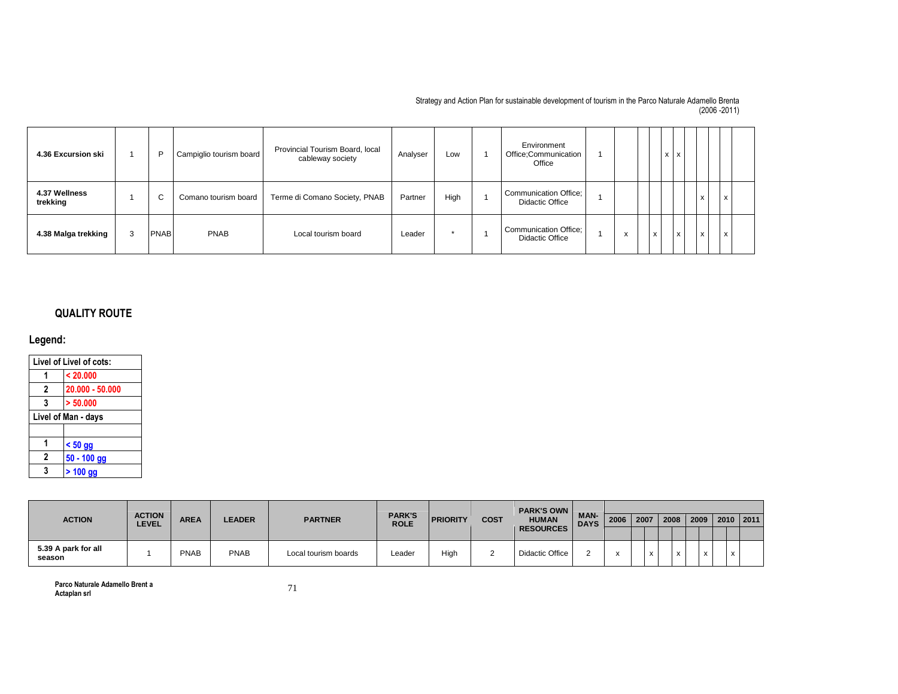| 4.36 Excursion ski        |   | D           | Campiglio tourism board | Provincial Tourism Board, local<br>cableway society | Analyser | Low  | Environment<br>Office;Communication<br>Office   |                                      |   | X | X            |   |   |  |
|---------------------------|---|-------------|-------------------------|-----------------------------------------------------|----------|------|-------------------------------------------------|--------------------------------------|---|---|--------------|---|---|--|
| 4.37 Wellness<br>trekking |   | $\sim$<br>◡ | Comano tourism board    | Terme di Comano Society, PNAB                       | Partner  | High | Communication Office;<br><b>Didactic Office</b> |                                      |   |   |              | x | X |  |
| 4.38 Malga trekking       | 3 | <b>PNAB</b> | <b>PNAB</b>             | Local tourism board                                 | Leader   |      | Communication Office;<br>Didactic Office        | $\ddot{\phantom{0}}$<br>$\mathbf{x}$ | X |   | $\mathsf{x}$ | x | X |  |

## QUALITY ROUTE

## Legend:

| Livel of Livel of cots:<br>< 20.000<br>$\mathbf{2}$<br>$20.000 - 50.000$ |                     |  |  |  |  |  |  |  |  |  |  |  |
|--------------------------------------------------------------------------|---------------------|--|--|--|--|--|--|--|--|--|--|--|
|                                                                          |                     |  |  |  |  |  |  |  |  |  |  |  |
|                                                                          |                     |  |  |  |  |  |  |  |  |  |  |  |
| 3                                                                        | > 50.000            |  |  |  |  |  |  |  |  |  |  |  |
|                                                                          | Livel of Man - days |  |  |  |  |  |  |  |  |  |  |  |
|                                                                          |                     |  |  |  |  |  |  |  |  |  |  |  |
|                                                                          | $< 50$ gg           |  |  |  |  |  |  |  |  |  |  |  |
| 2                                                                        | $50 - 100$ gg       |  |  |  |  |  |  |  |  |  |  |  |
| 3                                                                        | $> 100$ gg          |  |  |  |  |  |  |  |  |  |  |  |

|                               |                               |             |               |                      |                              |                 |      | <b>PARK'S OWN</b> |                            |      |      |                   |           |           |
|-------------------------------|-------------------------------|-------------|---------------|----------------------|------------------------------|-----------------|------|-------------------|----------------------------|------|------|-------------------|-----------|-----------|
| <b>ACTION</b>                 | <b>ACTION</b><br><b>LEVEL</b> | <b>AREA</b> | <b>LEADER</b> | <b>PARTNER</b>       | <b>PARK'S</b><br><b>ROLE</b> | <b>PRIORITY</b> | COST | <b>HUMAN</b>      | <b>MAN-</b><br><b>DAYS</b> | 2006 | 2007 |                   | 2008 2009 | 2010 2011 |
|                               |                               |             |               |                      |                              |                 |      | <b>RESOURCES</b>  |                            |      |      |                   |           |           |
| 5.39 A park for all<br>season |                               | <b>PNAB</b> | <b>PNAB</b>   | Local tourism boards | Leader                       | High            |      | Didactic Office   |                            |      |      | $\checkmark$<br>◠ |           |           |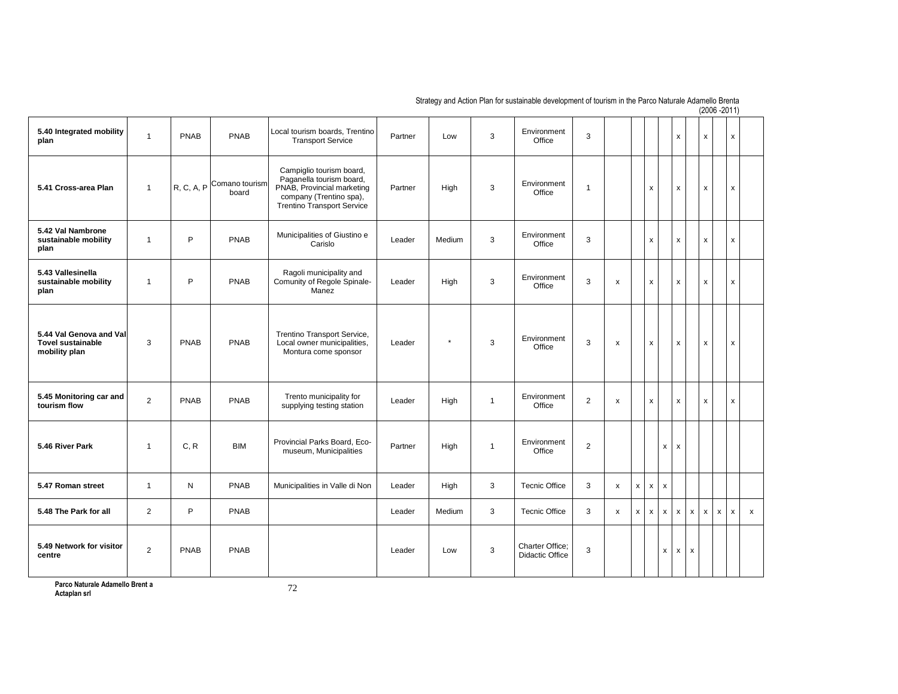| 5.40 Integrated mobility<br>plan                                     | $\overline{1}$ | <b>PNAB</b> | <b>PNAB</b>             | Local tourism boards, Trentino<br><b>Transport Service</b>                                                                                         | Partner | Low     | 3            | Environment<br>Office              | 3              |              |   |                    | x                                 |                    | x                 | $\pmb{\mathsf{x}}$ |                |
|----------------------------------------------------------------------|----------------|-------------|-------------------------|----------------------------------------------------------------------------------------------------------------------------------------------------|---------|---------|--------------|------------------------------------|----------------|--------------|---|--------------------|-----------------------------------|--------------------|-------------------|--------------------|----------------|
| 5.41 Cross-area Plan                                                 | $\mathbf{1}$   | R, C, A, P  | Comano tourism<br>board | Campiglio tourism board,<br>Paganella tourism board,<br>PNAB, Provincial marketing<br>company (Trentino spa),<br><b>Trentino Transport Service</b> | Partner | High    | 3            | Environment<br>Office              | $\overline{1}$ |              |   | $\pmb{\times}$     | x                                 |                    | x                 | x                  |                |
| 5.42 Val Nambrone<br>sustainable mobility<br>plan                    | $\overline{1}$ | P           | PNAB                    | Municipalities of Giustino e<br>Carislo                                                                                                            | Leader  | Medium  | 3            | Environment<br>Office              | 3              |              |   | x                  | x                                 |                    | x                 | x                  |                |
| 5.43 Vallesinella<br>sustainable mobility<br>plan                    | $\overline{1}$ | P           | <b>PNAB</b>             | Ragoli municipality and<br>Comunity of Regole Spinale-<br>Manez                                                                                    | Leader  | High    | 3            | Environment<br>Office              | 3              | X            |   | $\pmb{\times}$     | x                                 |                    | x                 | $\pmb{\mathsf{x}}$ |                |
| 5.44 Val Genova and Val<br><b>Tovel sustainable</b><br>mobility plan | 3              | PNAB        | PNAB                    | Trentino Transport Service,<br>Local owner municipalities,<br>Montura come sponsor                                                                 | Leader  | $\star$ | 3            | Environment<br>Office              | 3              | X            |   | $\mathsf{x}$       | x                                 |                    | x                 | x                  |                |
| 5.45 Monitoring car and<br>tourism flow                              | 2              | <b>PNAB</b> | <b>PNAB</b>             | Trento municipality for<br>supplying testing station                                                                                               | Leader  | High    | $\mathbf{1}$ | Environment<br>Office              | $\overline{2}$ | X            |   | $\pmb{\mathsf{x}}$ | x                                 |                    | x                 | x                  |                |
| 5.46 River Park                                                      | $\mathbf{1}$   | C, R        | <b>BIM</b>              | Provincial Parks Board, Eco-<br>museum, Municipalities                                                                                             | Partner | High    | $\mathbf{1}$ | Environment<br>Office              | $\overline{2}$ |              |   |                    | $\mathsf X$<br>$\pmb{\mathsf{x}}$ |                    |                   |                    |                |
| 5.47 Roman street                                                    | $\mathbf{1}$   | N           | <b>PNAB</b>             | Municipalities in Valle di Non                                                                                                                     | Leader  | High    | 3            | <b>Tecnic Office</b>               | 3              | X            | x | $\mathsf{x}$       | X                                 |                    |                   |                    |                |
| 5.48 The Park for all                                                | $\overline{2}$ | P           | PNAB                    |                                                                                                                                                    | Leader  | Medium  | 3            | <b>Tecnic Office</b>               | 3              | $\pmb{\chi}$ | x | $\mathsf{x}$       | $\pmb{\mathsf{x}}$<br>x           | X                  | $\mathsf{x}$<br>x | x                  | $\pmb{\times}$ |
| 5.49 Network for visitor<br>centre                                   | 2              | <b>PNAB</b> | PNAB                    |                                                                                                                                                    | Leader  | Low     | 3            | Charter Office:<br>Didactic Office | 3              |              |   |                    | x<br>x                            | $\pmb{\mathsf{x}}$ |                   |                    |                |
|                                                                      |                |             |                         |                                                                                                                                                    |         |         |              |                                    |                |              |   |                    |                                   |                    |                   |                    |                |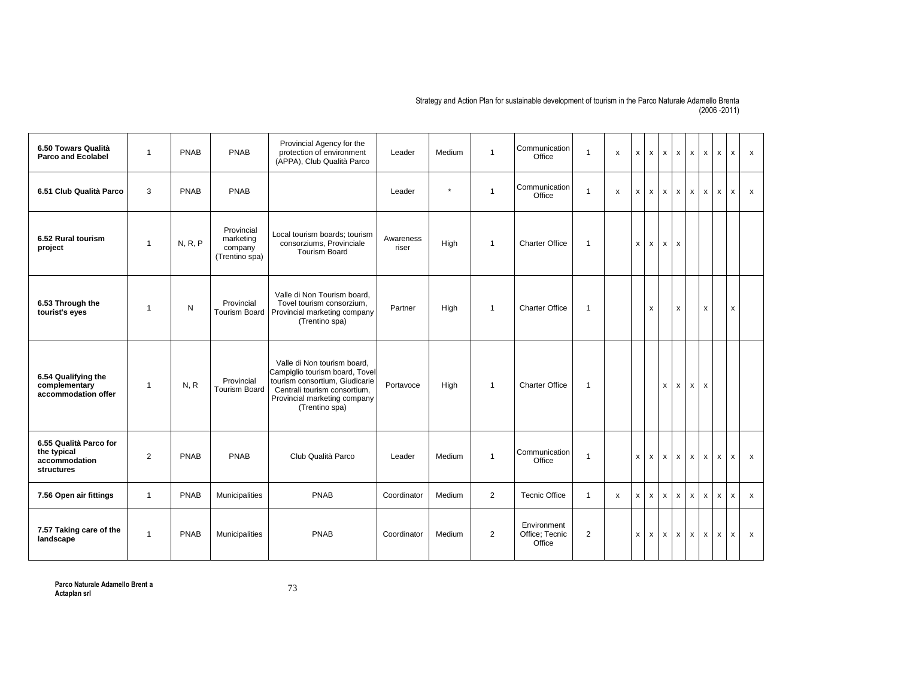| 6.50 Towars Qualità<br><b>Parco and Ecolabel</b>                            | $\overline{1}$ | <b>PNAB</b> | PNAB                                                 | Provincial Agency for the<br>protection of environment<br>(APPA), Club Qualità Parco                                                                                              | Leader             | Medium  | $\overline{1}$ | Communication<br>Office                 | $\overline{1}$ | X | X                         | $\boldsymbol{\mathsf{x}}$ | $\mathsf{x}$       | $\boldsymbol{\mathsf{x}}$ | $\mathsf{x}$              | $\pmb{\mathsf{x}}$ | $\pmb{\chi}$              | x            | $\boldsymbol{\mathsf{x}}$ |
|-----------------------------------------------------------------------------|----------------|-------------|------------------------------------------------------|-----------------------------------------------------------------------------------------------------------------------------------------------------------------------------------|--------------------|---------|----------------|-----------------------------------------|----------------|---|---------------------------|---------------------------|--------------------|---------------------------|---------------------------|--------------------|---------------------------|--------------|---------------------------|
| 6.51 Club Qualità Parco                                                     | 3              | PNAB        | PNAB                                                 |                                                                                                                                                                                   | Leader             | $\star$ | $\overline{1}$ | Communication<br>Office                 | $\mathbf{1}$   | x | x                         | X                         | $\mathsf{x}$       | $\times$                  | X                         | x                  | $\times$                  | x            | $\mathsf{x}$              |
| 6.52 Rural tourism<br>project                                               | $\mathbf{1}$   | N, R, P     | Provincial<br>marketing<br>company<br>(Trentino spa) | Local tourism boards: tourism<br>consorziums, Provinciale<br><b>Tourism Board</b>                                                                                                 | Awareness<br>riser | High    | $\overline{1}$ | <b>Charter Office</b>                   | $\mathbf{1}$   |   | x                         | x                         | $\mathsf{x}$       | $\mathsf{x}$              |                           |                    |                           |              |                           |
| 6.53 Through the<br>tourist's eyes                                          | $\mathbf{1}$   | N           | Provincial<br><b>Tourism Board</b>                   | Valle di Non Tourism board.<br>Tovel tourism consorzium,<br>Provincial marketing company<br>(Trentino spa)                                                                        | Partner            | High    | $\overline{1}$ | <b>Charter Office</b>                   | $\mathbf{1}$   |   |                           | x                         |                    | x                         |                           | x                  |                           | X            |                           |
| 6.54 Qualifying the<br>complementary<br>accommodation offer                 | $\mathbf{1}$   | N, R        | Provincial<br><b>Tourism Board</b>                   | Valle di Non tourism board.<br>Campiglio tourism board, Tovel<br>tourism consortium, Giudicarie<br>Centrali tourism consortium,<br>Provincial marketing company<br>(Trentino spa) | Portavoce          | High    | $\overline{1}$ | <b>Charter Office</b>                   | $\mathbf{1}$   |   |                           |                           | x                  | x                         | x                         | x                  |                           |              |                           |
| 6.55 Qualità Parco for<br>the typical<br>accommodation<br><b>structures</b> | $\overline{2}$ | <b>PNAB</b> | PNAB                                                 | Club Qualità Parco                                                                                                                                                                | Leader             | Medium  | $\overline{1}$ | Communication<br>Office                 | $\mathbf{1}$   |   | x                         | X                         | $\mathsf{x}$       | $\mathsf{x}$              | $\mathsf{x}$              | x                  | x                         | x            | $\mathsf{x}$              |
| 7.56 Open air fittings                                                      | $\mathbf{1}$   | PNAB        | Municipalities                                       | PNAB                                                                                                                                                                              | Coordinator        | Medium  | 2              | <b>Tecnic Office</b>                    | $\mathbf{1}$   | x | $\boldsymbol{\mathsf{X}}$ | X                         | $\pmb{\mathsf{x}}$ | $\mathsf{x}$              | $\boldsymbol{\mathsf{x}}$ | x                  | x                         | $\mathsf{x}$ | $\boldsymbol{\mathsf{x}}$ |
| 7.57 Taking care of the<br>landscape                                        | $\overline{1}$ | PNAB        | Municipalities                                       | PNAB                                                                                                                                                                              | Coordinator        | Medium  | $\overline{2}$ | Environment<br>Office: Tecnic<br>Office | $\overline{2}$ |   | $\mathsf{x}$              | $\pmb{\times}$            | x                  | x                         | $\mathsf{x}$              | x                  | $\boldsymbol{\mathsf{x}}$ | x            | $\boldsymbol{\mathsf{x}}$ |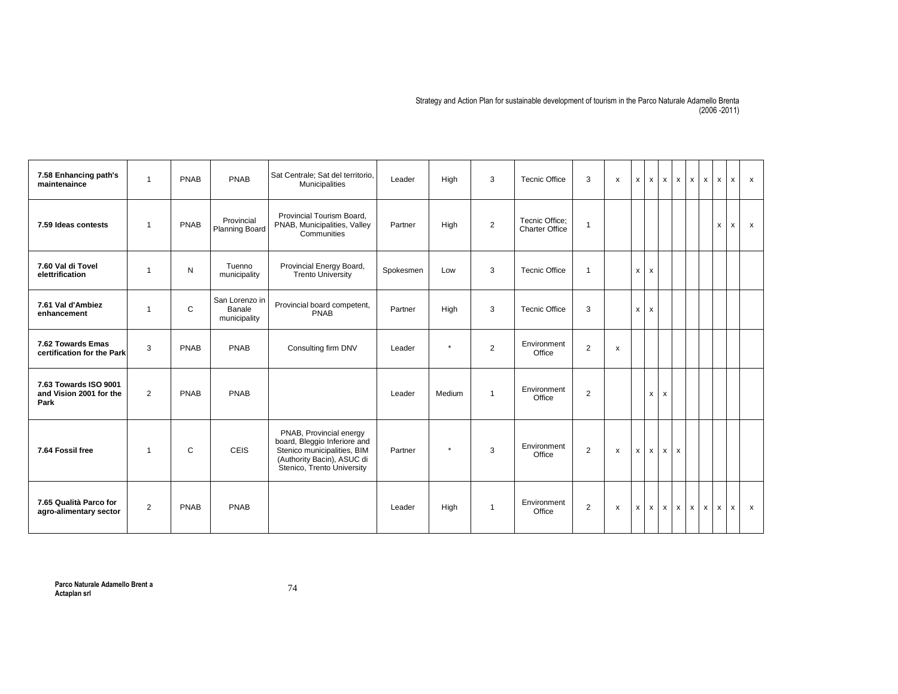| 7.58 Enhancing path's<br>maintenaince                    | $\mathbf{1}$   | <b>PNAB</b>  | PNAB                                     | Sat Centrale; Sat del territorio,<br>Municipalities                                                                                                | Leader    | High    | 3              | <b>Tecnic Office</b>             | 3              | $\boldsymbol{\mathsf{x}}$ | x | $\boldsymbol{\mathsf{x}}$ | $\mathsf{x}$ | $\mathsf{x}$ | $\mathsf{x}$ | x            | x            | X                         | $\mathsf{x}$ |
|----------------------------------------------------------|----------------|--------------|------------------------------------------|----------------------------------------------------------------------------------------------------------------------------------------------------|-----------|---------|----------------|----------------------------------|----------------|---------------------------|---|---------------------------|--------------|--------------|--------------|--------------|--------------|---------------------------|--------------|
| 7.59 Ideas contests                                      | $\mathbf{1}$   | PNAB         | Provincial<br><b>Planning Board</b>      | Provincial Tourism Board.<br>PNAB, Municipalities, Valley<br>Communities                                                                           | Partner   | High    | $\overline{2}$ | Tecnic Office:<br>Charter Office | $\overline{1}$ |                           |   |                           |              |              |              |              | x            | $\boldsymbol{\mathsf{x}}$ | $\mathsf{x}$ |
| 7.60 Val di Tovel<br>elettrification                     | $\mathbf{1}$   | $\mathsf{N}$ | Tuenno<br>municipality                   | Provincial Energy Board,<br><b>Trento University</b>                                                                                               | Spokesmen | Low     | 3              | <b>Tecnic Office</b>             | $\overline{1}$ |                           | x | x                         |              |              |              |              |              |                           |              |
| 7.61 Val d'Ambiez<br>enhancement                         | $\mathbf{1}$   | C            | San Lorenzo in<br>Banale<br>municipality | Provincial board competent,<br>PNAB                                                                                                                | Partner   | High    | 3              | <b>Tecnic Office</b>             | 3              |                           | X | $\mathsf{x}$              |              |              |              |              |              |                           |              |
| 7.62 Towards Emas<br>certification for the Park          | 3              | PNAB         | PNAB                                     | Consulting firm DNV                                                                                                                                | Leader    | $\star$ | 2              | Environment<br>Office            | 2              | x                         |   |                           |              |              |              |              |              |                           |              |
| 7.63 Towards ISO 9001<br>and Vision 2001 for the<br>Park | $\overline{2}$ | <b>PNAB</b>  | PNAB                                     |                                                                                                                                                    | Leader    | Medium  | $\overline{1}$ | Environment<br>Office            | $\overline{2}$ |                           |   | x                         | x            |              |              |              |              |                           |              |
| 7.64 Fossil free                                         | $\mathbf{1}$   | C            | CEIS                                     | PNAB, Provincial energy<br>board, Bleggio Inferiore and<br>Stenico municipalities, BIM<br>(Authority Bacin), ASUC di<br>Stenico, Trento University | Partner   | $\star$ | 3              | Environment<br>Office            | 2              | x                         | x | x                         | x            | $\mathsf{x}$ |              |              |              |                           |              |
| 7.65 Qualità Parco for<br>agro-alimentary sector         | $\overline{2}$ | <b>PNAB</b>  | PNAB                                     |                                                                                                                                                    | Leader    | High    | $\overline{1}$ | Environment<br>Office            | $\overline{2}$ | $\mathsf{x}$              | X | $\mathsf{x}$              | $\mathsf{x}$ | $\mathsf{x}$ | $\mathsf{x}$ | $\mathsf{x}$ | $\mathsf{x}$ | $\mathsf{x}$              | $\mathsf{x}$ |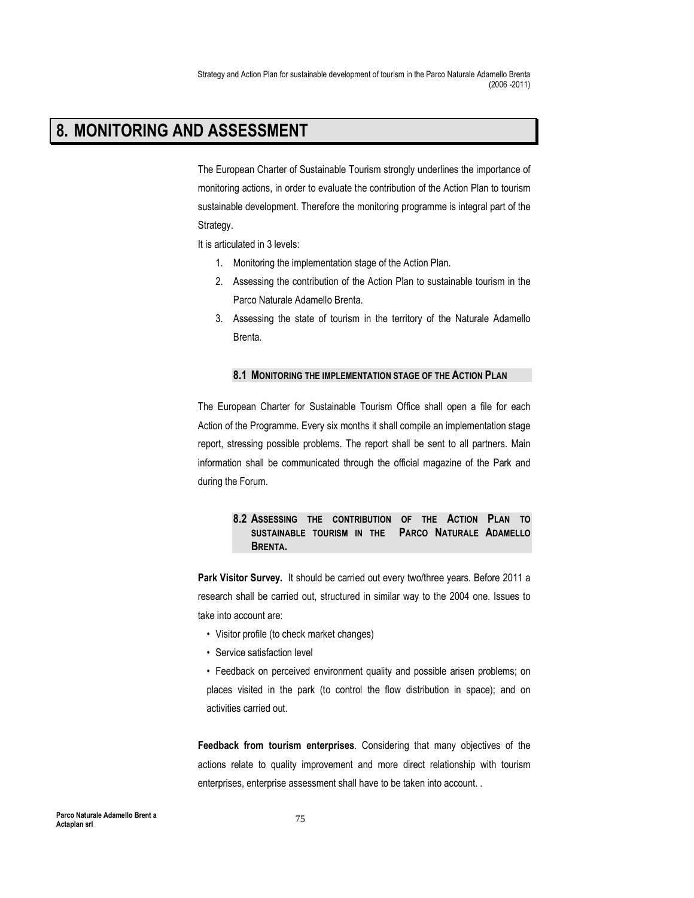Strategy and Action Plan for sustainable development of tourism in the Parco Naturale Adamello Brenta (2006 -2011)

## 8. MONITORING AND ASSESSMENT

The European Charter of Sustainable Tourism strongly underlines the importance of monitoring actions, in order to evaluate the contribution of the Action Plan to tourism sustainable development. Therefore the monitoring programme is integral part of the Strategy.

It is articulated in 3 levels:

- 1. Monitoring the implementation stage of the Action Plan.
- 2. Assessing the contribution of the Action Plan to sustainable tourism in the Parco Naturale Adamello Brenta.
- 3. Assessing the state of tourism in the territory of the Naturale Adamello Brenta.

## 8.1 MONITORING THE IMPLEMENTATION STAGE OF THE ACTION PLAN

The European Charter for Sustainable Tourism Office shall open a file for each Action of the Programme. Every six months it shall compile an implementation stage report, stressing possible problems. The report shall be sent to all partners. Main information shall be communicated through the official magazine of the Park and during the Forum.

## 8.2 ASSESSING THE CONTRIBUTION OF THE ACTION PLAN TO SUSTAINABLE TOURISM IN THE PARCO NATURALE ADAMELLO BRENTA.

Park Visitor Survey. It should be carried out every two/three years. Before 2011 a research shall be carried out, structured in similar way to the 2004 one. Issues to take into account are:

- Visitor profile (to check market changes)
- Service satisfaction level
- Feedback on perceived environment quality and possible arisen problems; on places visited in the park (to control the flow distribution in space); and on activities carried out.

Feedback from tourism enterprises. Considering that many objectives of the actions relate to quality improvement and more direct relationship with tourism enterprises, enterprise assessment shall have to be taken into account. .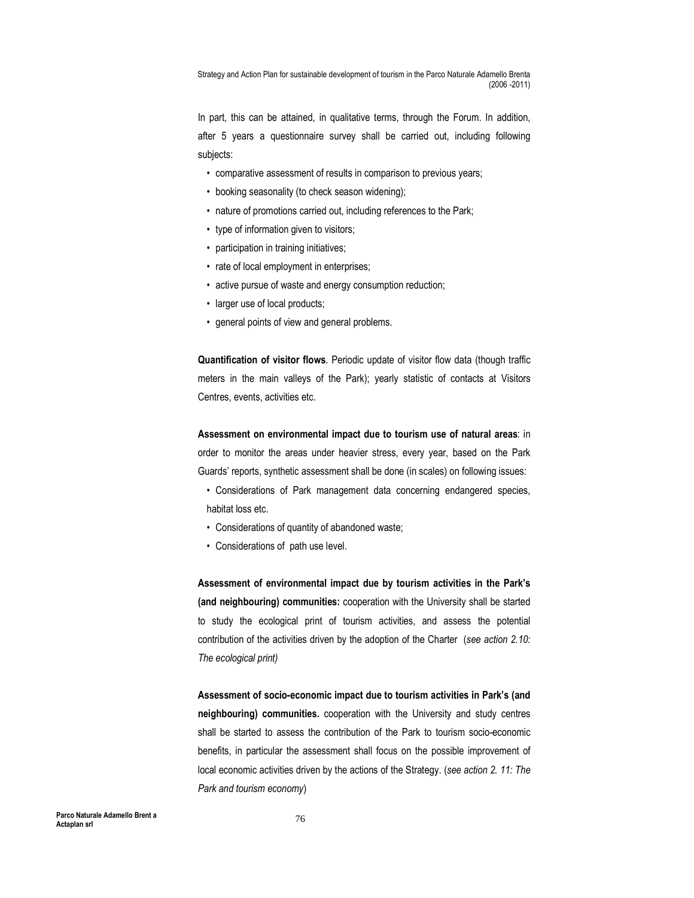Strategy and Action Plan for sustainable development of tourism in the Parco Naturale Adamello Brenta (2006 -2011)

In part, this can be attained, in qualitative terms, through the Forum. In addition, after 5 years a questionnaire survey shall be carried out, including following subjects:

- comparative assessment of results in comparison to previous years;
- booking seasonality (to check season widening);
- nature of promotions carried out, including references to the Park;
- type of information given to visitors;
- participation in training initiatives;
- rate of local employment in enterprises;
- active pursue of waste and energy consumption reduction;
- larger use of local products;
- general points of view and general problems.

Quantification of visitor flows. Periodic update of visitor flow data (though traffic meters in the main valleys of the Park); yearly statistic of contacts at Visitors Centres, events, activities etc.

Assessment on environmental impact due to tourism use of natural areas: in order to monitor the areas under heavier stress, every year, based on the Park Guards' reports, synthetic assessment shall be done (in scales) on following issues:

- Considerations of Park management data concerning endangered species, habitat loss etc.
- Considerations of quantity of abandoned waste;
- Considerations of path use level.

Assessment of environmental impact due by tourism activities in the Park's (and neighbouring) communities: cooperation with the University shall be started to study the ecological print of tourism activities, and assess the potential contribution of the activities driven by the adoption of the Charter (see action 2.10: The ecological print)

Assessment of socio-economic impact due to tourism activities in Park's (and neighbouring) communities. cooperation with the University and study centres shall be started to assess the contribution of the Park to tourism socio-economic benefits, in particular the assessment shall focus on the possible improvement of local economic activities driven by the actions of the Strategy. (see action 2. 11: The Park and tourism economy)